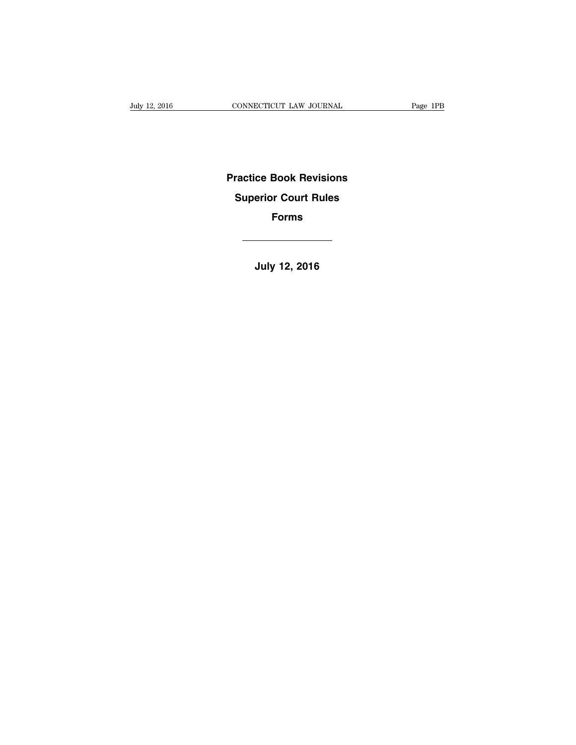# **Practice Book Revisions Superior Court Rules Forms**

**July 12, 2016**

 $\overline{\phantom{a}}$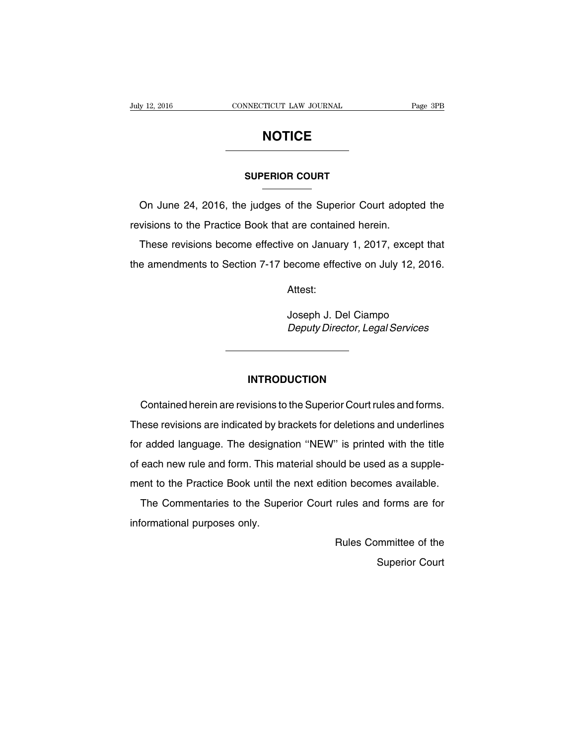# **NOTICE**

#### **SUPERIOR COURT**

On June 24, 2016, the judges of the Superior Court adopted the revisions to the Practice Book that are contained herein.

These revisions become effective on January 1, 2017, except that the amendments to Section 7-17 become effective on July 12, 2016.

Attest:

Joseph J. Del Ciampo Deputy Director, Legal Services

#### **INTRODUCTION**

Contained herein are revisions to the Superior Court rules and forms. These revisions are indicated by brackets for deletions and underlines for added language. The designation ''NEW'' is printed with the title of each new rule and form. This material should be used as a supplement to the Practice Book until the next edition becomes available.

The Commentaries to the Superior Court rules and forms are for informational purposes only.

> Rules Committee of the Superior Court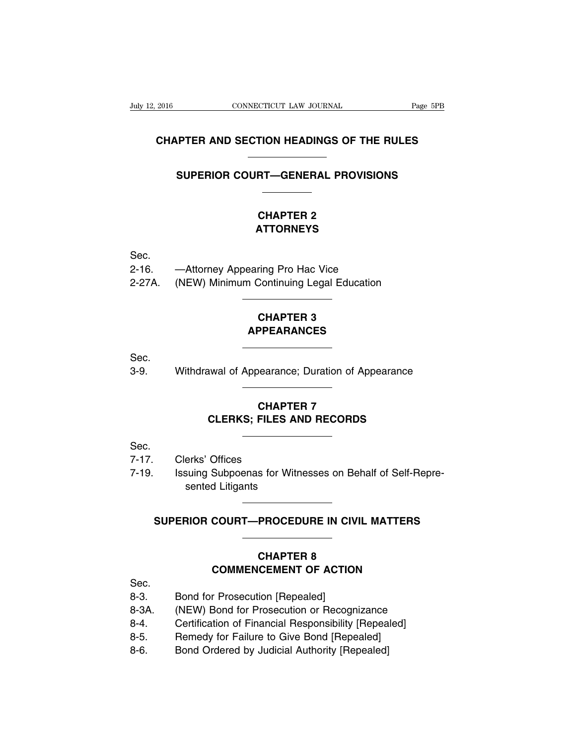### **CHAPTER AND SECTION HEADINGS OF THE RULES**

### **SUPERIOR COURT—GENERAL PROVISIONS**

## **CHAPTER 2 ATTORNEYS**

Sec.

- 2-16. —Attorney Appearing Pro Hac Vice
- 2-27A. (NEW) Minimum Continuing Legal Education

# **CHAPTER 3 APPEARANCES**

Sec.

3-9. Withdrawal of Appearance; Duration of Appearance

## **CHAPTER 7 CLERKS; FILES AND RECORDS**

Sec.

- 7-17. Clerks' Offices
- 7-19. Issuing Subpoenas for Witnesses on Behalf of Self-Represented Litigants

## **SUPERIOR COURT—PROCEDURE IN CIVIL MATTERS**

## **CHAPTER 8 COMMENCEMENT OF ACTION**

Sec.

- 8-3. Bond for Prosecution [Repealed]
- 8-3A. (NEW) Bond for Prosecution or Recognizance
- 8-4. Certification of Financial Responsibility [Repealed]
- 8-5. Remedy for Failure to Give Bond [Repealed]
- 8-6. Bond Ordered by Judicial Authority [Repealed]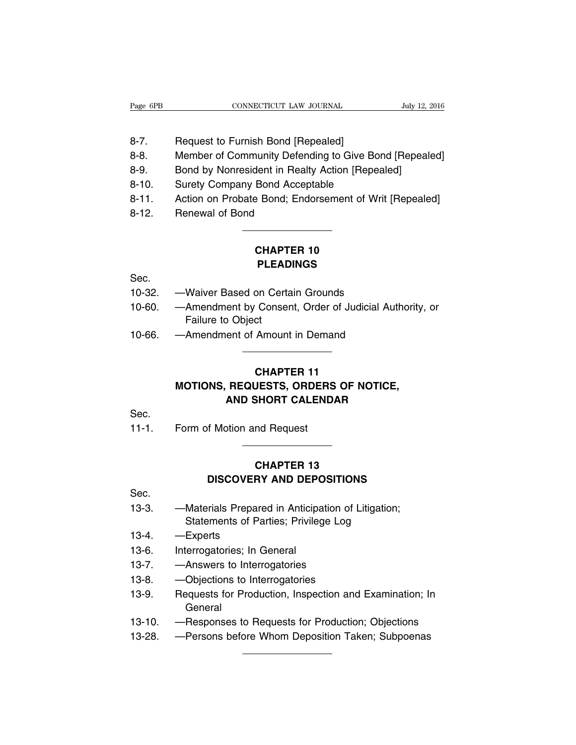- 8-7. Request to Furnish Bond [Repealed]
- 8-8. Member of Community Defending to Give Bond [Repealed]
- 8-9. Bond by Nonresident in Realty Action [Repealed]
- 8-10. Surety Company Bond Acceptable
- 8-11. Action on Probate Bond; Endorsement of Writ [Repealed]
- 8-12. Renewal of Bond

# **CHAPTER 10 PLEADINGS**

Sec.

- 10-32. —Waiver Based on Certain Grounds
- 10-60. —Amendment by Consent, Order of Judicial Authority, or Failure to Object
- 10-66. —Amendment of Amount in Demand

# **CHAPTER 11 MOTIONS, REQUESTS, ORDERS OF NOTICE, AND SHORT CALENDAR**

Sec.

11-1. Form of Motion and Request

# **CHAPTER 13 DISCOVERY AND DEPOSITIONS**

Sec.

- 13-3. —Materials Prepared in Anticipation of Litigation; Statements of Parties; Privilege Log
- 13-4. —Experts
- 13-6. Interrogatories; In General
- 13-7. —Answers to Interrogatories
- 13-8. —Objections to Interrogatories
- 13-9. Requests for Production, Inspection and Examination; In General
- 13-10. —Responses to Requests for Production; Objections
- 13-28. —Persons before Whom Deposition Taken; Subpoenas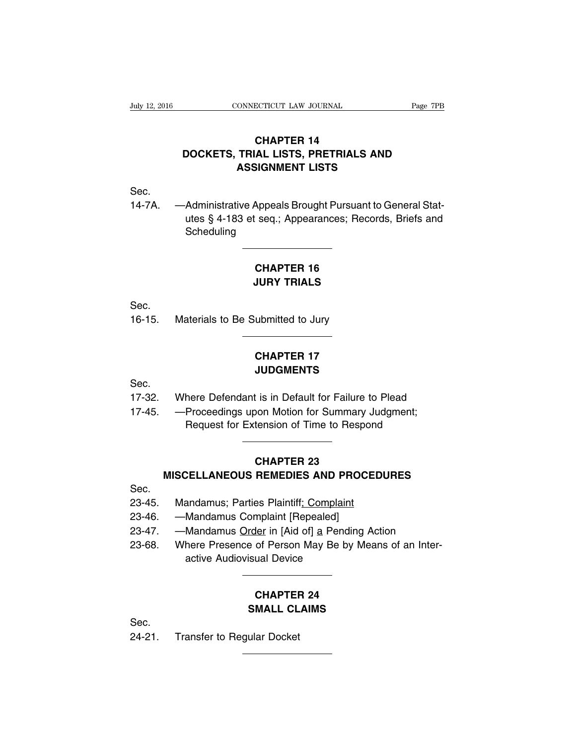# **CHAPTER 14 DOCKETS, TRIAL LISTS, PRETRIALS AND ASSIGNMENT LISTS**

Sec.

14-7A. —Administrative Appeals Brought Pursuant to General Statutes § 4-183 et seq.; Appearances; Records, Briefs and **Scheduling** 

# **CHAPTER 16 JURY TRIALS**

Sec.

16-15. Materials to Be Submitted to Jury

# **CHAPTER 17 JUDGMENTS**

Sec.

- 17-32. Where Defendant is in Default for Failure to Plead
- 17-45. —Proceedings upon Motion for Summary Judgment; Request for Extension of Time to Respond

### **CHAPTER 23**

### **MISCELLANEOUS REMEDIES AND PROCEDURES**

Sec.

- 23-45. Mandamus; Parties Plaintiff; Complaint
- 23-46. —Mandamus Complaint [Repealed]
- 23-47. Mandamus Order in [Aid of] a Pending Action
- 23-68. Where Presence of Person May Be by Means of an Interactive Audiovisual Device

## **CHAPTER 24 SMALL CLAIMS**

Sec.

24-21. Transfer to Regular Docket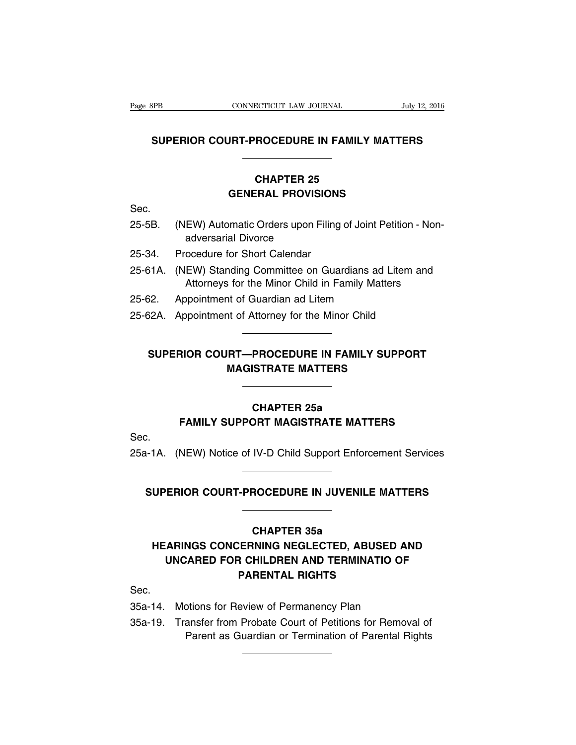## **SUPERIOR COURT-PROCEDURE IN FAMILY MATTERS**

# **CHAPTER 25 GENERAL PROVISIONS**

Sec.

- 25-5B. (NEW) Automatic Orders upon Filing of Joint Petition Nonadversarial Divorce
- 25-34. Procedure for Short Calendar
- 25-61A. (NEW) Standing Committee on Guardians ad Litem and Attorneys for the Minor Child in Family Matters
- 25-62. Appointment of Guardian ad Litem
- 25-62A. Appointment of Attorney for the Minor Child

# **SUPERIOR COURT—PROCEDURE IN FAMILY SUPPORT MAGISTRATE MATTERS**

### **CHAPTER 25a**

### **FAMILY SUPPORT MAGISTRATE MATTERS**

Sec.

25a-1A. (NEW) Notice of IV-D Child Support Enforcement Services

### **SUPERIOR COURT-PROCEDURE IN JUVENILE MATTERS**

### **CHAPTER 35a**

# **HEARINGS CONCERNING NEGLECTED, ABUSED AND UNCARED FOR CHILDREN AND TERMINATIO OF PARENTAL RIGHTS**

Sec.

- 35a-14. Motions for Review of Permanency Plan
- 35a-19. Transfer from Probate Court of Petitions for Removal of Parent as Guardian or Termination of Parental Rights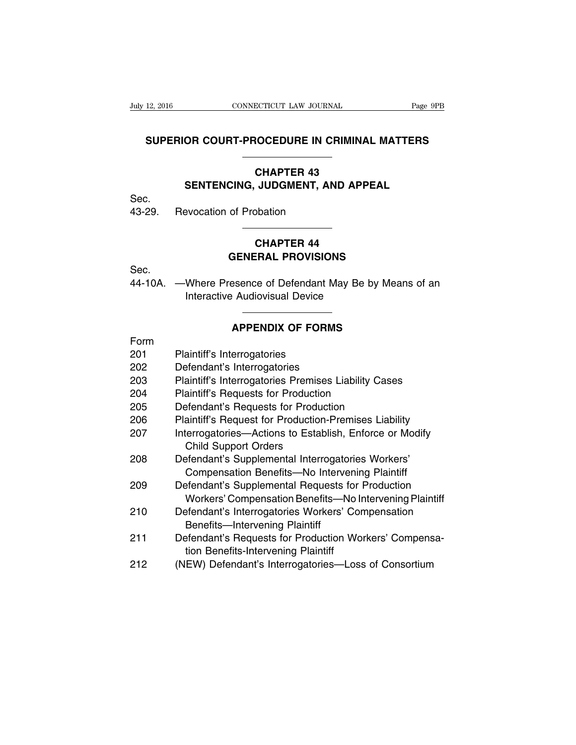### **SUPERIOR COURT-PROCEDURE IN CRIMINAL MATTERS**

### **CHAPTER 43 SENTENCING, JUDGMENT, AND APPEAL**

Sec.

43-29. Revocation of Probation

# **CHAPTER 44 GENERAL PROVISIONS**

Sec.

44-10A. —Where Presence of Defendant May Be by Means of an Interactive Audiovisual Device

### **APPENDIX OF FORMS**

| Form |                                                                                                             |
|------|-------------------------------------------------------------------------------------------------------------|
| 201  | Plaintiff's Interrogatories                                                                                 |
| 202  | Defendant's Interrogatories                                                                                 |
| 203  | Plaintiff's Interrogatories Premises Liability Cases                                                        |
| 204  | <b>Plaintiff's Requests for Production</b>                                                                  |
| 205  | Defendant's Requests for Production                                                                         |
| 206  | Plaintiff's Request for Production-Premises Liability                                                       |
| 207  | Interrogatories-Actions to Establish, Enforce or Modify<br><b>Child Support Orders</b>                      |
| 208  | Defendant's Supplemental Interrogatories Workers'<br>Compensation Benefits-No Intervening Plaintiff         |
| 209  | Defendant's Supplemental Requests for Production<br>Workers' Compensation Benefits-No Intervening Plaintiff |
| 210  | Defendant's Interrogatories Workers' Compensation<br><b>Benefits-Intervening Plaintiff</b>                  |
| 211  | Defendant's Requests for Production Workers' Compensa-<br>tion Benefits-Intervening Plaintiff               |
| 212  | (NEW) Defendant's Interrogatories-Loss of Consortium                                                        |
|      |                                                                                                             |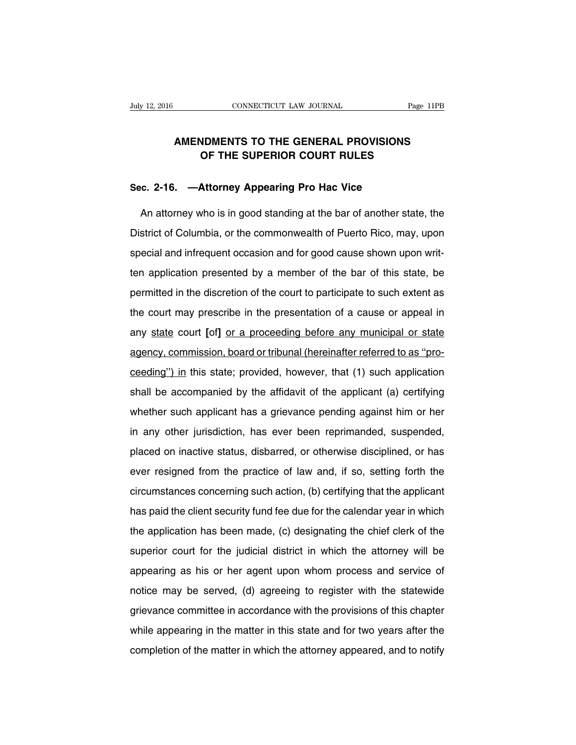## **AMENDMENTS TO THE GENERAL PROVISIONS OF THE SUPERIOR COURT RULES**

### **Sec. 2-16. —Attorney Appearing Pro Hac Vice**

An attorney who is in good standing at the bar of another state, the District of Columbia, or the commonwealth of Puerto Rico, may, upon special and infrequent occasion and for good cause shown upon written application presented by a member of the bar of this state, be permitted in the discretion of the court to participate to such extent as the court may prescribe in the presentation of a cause or appeal in any state court **[**of**]** or a proceeding before any municipal or state agency, commission, board or tribunal (hereinafter referred to as ''proceeding'') in this state; provided, however, that (1) such application shall be accompanied by the affidavit of the applicant (a) certifying whether such applicant has a grievance pending against him or her in any other jurisdiction, has ever been reprimanded, suspended, placed on inactive status, disbarred, or otherwise disciplined, or has ever resigned from the practice of law and, if so, setting forth the circumstances concerning such action, (b) certifying that the applicant has paid the client security fund fee due for the calendar year in which the application has been made, (c) designating the chief clerk of the superior court for the judicial district in which the attorney will be appearing as his or her agent upon whom process and service of notice may be served, (d) agreeing to register with the statewide grievance committee in accordance with the provisions of this chapter while appearing in the matter in this state and for two years after the completion of the matter in which the attorney appeared, and to notify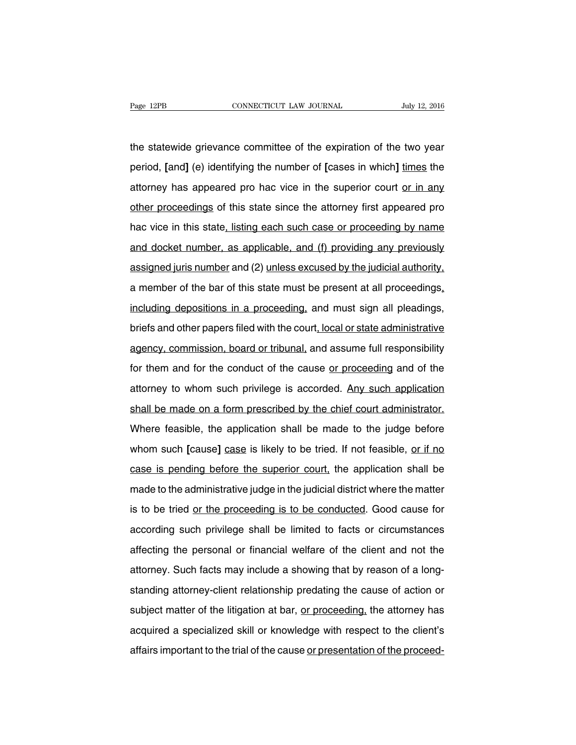the statewide grievance committee of the expiration of the two year period, **[**and**]** (e) identifying the number of **[**cases in which**]** times the attorney has appeared pro hac vice in the superior court or in any other proceedings of this state since the attorney first appeared pro hac vice in this state, listing each such case or proceeding by name and docket number, as applicable, and (f) providing any previously assigned juris number and (2) unless excused by the judicial authority, a member of the bar of this state must be present at all proceedings, including depositions in a proceeding, and must sign all pleadings, briefs and other papers filed with the court, local or state administrative agency, commission, board or tribunal, and assume full responsibility for them and for the conduct of the cause or proceeding and of the attorney to whom such privilege is accorded. Any such application shall be made on a form prescribed by the chief court administrator. Where feasible, the application shall be made to the judge before whom such **[**cause] case is likely to be tried. If not feasible, or if no case is pending before the superior court, the application shall be made to the administrative judge in the judicial district where the matter is to be tried or the proceeding is to be conducted. Good cause for according such privilege shall be limited to facts or circumstances affecting the personal or financial welfare of the client and not the attorney. Such facts may include a showing that by reason of a longstanding attorney-client relationship predating the cause of action or subject matter of the litigation at bar, or proceeding, the attorney has acquired a specialized skill or knowledge with respect to the client's affairs important to the trial of the cause or presentation of the proceed-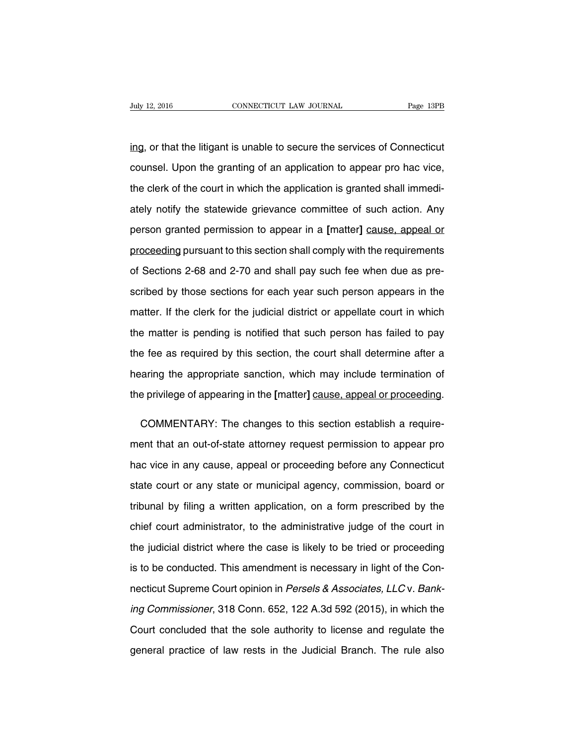ing, or that the litigant is unable to secure the services of Connecticut counsel. Upon the granting of an application to appear pro hac vice, the clerk of the court in which the application is granted shall immediately notify the statewide grievance committee of such action. Any person granted permission to appear in a **[**matter**]** cause, appeal or proceeding pursuant to this section shall comply with the requirements of Sections 2-68 and 2-70 and shall pay such fee when due as prescribed by those sections for each year such person appears in the matter. If the clerk for the judicial district or appellate court in which the matter is pending is notified that such person has failed to pay the fee as required by this section, the court shall determine after a hearing the appropriate sanction, which may include termination of the privilege of appearing in the **[**matter**]** cause, appeal or proceeding.

COMMENTARY: The changes to this section establish a requirement that an out-of-state attorney request permission to appear pro hac vice in any cause, appeal or proceeding before any Connecticut state court or any state or municipal agency, commission, board or tribunal by filing a written application, on a form prescribed by the chief court administrator, to the administrative judge of the court in the judicial district where the case is likely to be tried or proceeding is to be conducted. This amendment is necessary in light of the Connecticut Supreme Court opinion in Persels & Associates, LLC v. Banking Commissioner, 318 Conn. 652, 122 A.3d 592 (2015), in which the Court concluded that the sole authority to license and regulate the general practice of law rests in the Judicial Branch. The rule also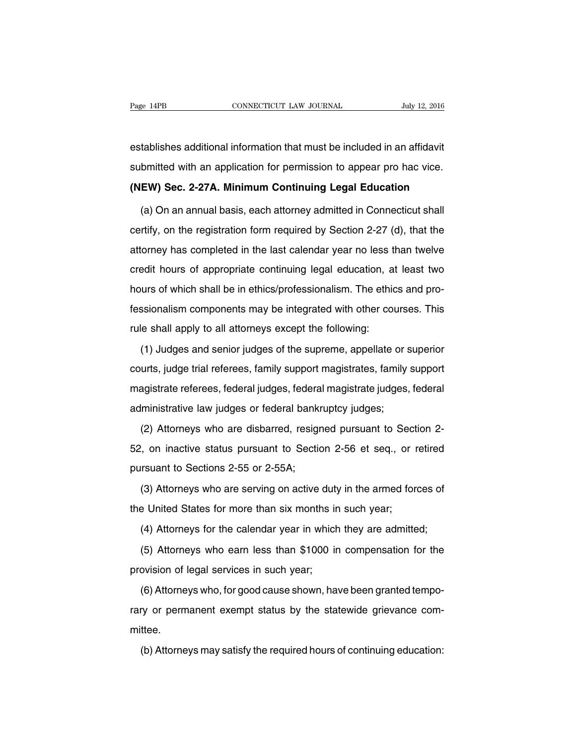establishes additional information that must be included in an affidavit submitted with an application for permission to appear pro hac vice.

**(NEW) Sec. 2-27A. Minimum Continuing Legal Education**

(a) On an annual basis, each attorney admitted in Connecticut shall certify, on the registration form required by Section 2-27 (d), that the attorney has completed in the last calendar year no less than twelve credit hours of appropriate continuing legal education, at least two hours of which shall be in ethics/professionalism. The ethics and professionalism components may be integrated with other courses. This rule shall apply to all attorneys except the following:

(1) Judges and senior judges of the supreme, appellate or superior courts, judge trial referees, family support magistrates, family support magistrate referees, federal judges, federal magistrate judges, federal administrative law judges or federal bankruptcy judges;

(2) Attorneys who are disbarred, resigned pursuant to Section 2- 52, on inactive status pursuant to Section 2-56 et seq., or retired pursuant to Sections 2-55 or 2-55A;

(3) Attorneys who are serving on active duty in the armed forces of the United States for more than six months in such year;

(4) Attorneys for the calendar year in which they are admitted;

(5) Attorneys who earn less than \$1000 in compensation for the provision of legal services in such year;

(6) Attorneys who, for good cause shown, have been granted temporary or permanent exempt status by the statewide grievance committee.

(b) Attorneys may satisfy the required hours of continuing education: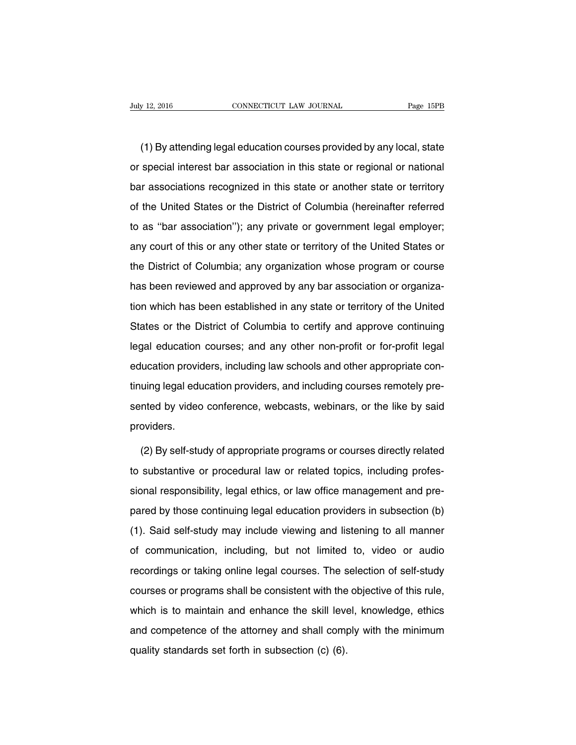(1) By attending legal education courses provided by any local, state or special interest bar association in this state or regional or national bar associations recognized in this state or another state or territory of the United States or the District of Columbia (hereinafter referred to as ''bar association''); any private or government legal employer; any court of this or any other state or territory of the United States or the District of Columbia; any organization whose program or course has been reviewed and approved by any bar association or organization which has been established in any state or territory of the United States or the District of Columbia to certify and approve continuing legal education courses; and any other non-profit or for-profit legal education providers, including law schools and other appropriate continuing legal education providers, and including courses remotely presented by video conference, webcasts, webinars, or the like by said providers.

(2) By self-study of appropriate programs or courses directly related to substantive or procedural law or related topics, including professional responsibility, legal ethics, or law office management and prepared by those continuing legal education providers in subsection (b) (1). Said self-study may include viewing and listening to all manner of communication, including, but not limited to, video or audio recordings or taking online legal courses. The selection of self-study courses or programs shall be consistent with the objective of this rule, which is to maintain and enhance the skill level, knowledge, ethics and competence of the attorney and shall comply with the minimum quality standards set forth in subsection (c) (6).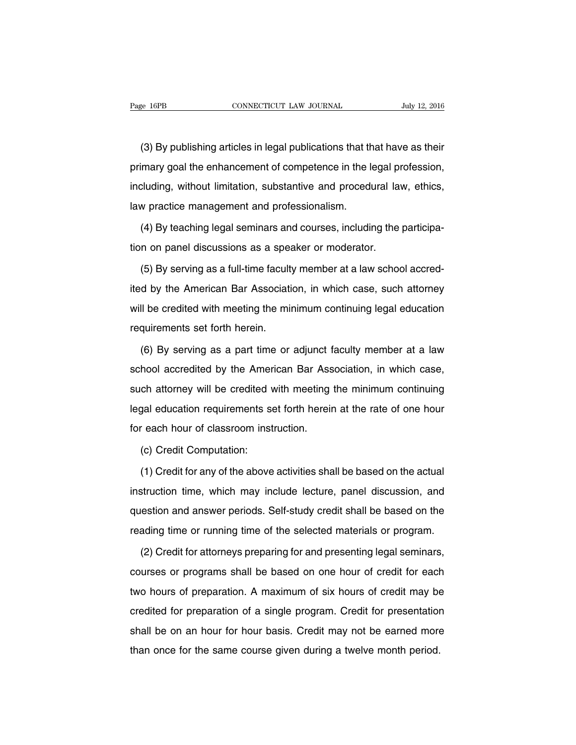(3) By publishing articles in legal publications that that have as their primary goal the enhancement of competence in the legal profession, including, without limitation, substantive and procedural law, ethics, law practice management and professionalism.

(4) By teaching legal seminars and courses, including the participation on panel discussions as a speaker or moderator.

(5) By serving as a full-time faculty member at a law school accredited by the American Bar Association, in which case, such attorney will be credited with meeting the minimum continuing legal education requirements set forth herein.

(6) By serving as a part time or adjunct faculty member at a law school accredited by the American Bar Association, in which case, such attorney will be credited with meeting the minimum continuing legal education requirements set forth herein at the rate of one hour for each hour of classroom instruction.

(c) Credit Computation:

(1) Credit for any of the above activities shall be based on the actual instruction time, which may include lecture, panel discussion, and question and answer periods. Self-study credit shall be based on the reading time or running time of the selected materials or program.

(2) Credit for attorneys preparing for and presenting legal seminars, courses or programs shall be based on one hour of credit for each two hours of preparation. A maximum of six hours of credit may be credited for preparation of a single program. Credit for presentation shall be on an hour for hour basis. Credit may not be earned more than once for the same course given during a twelve month period.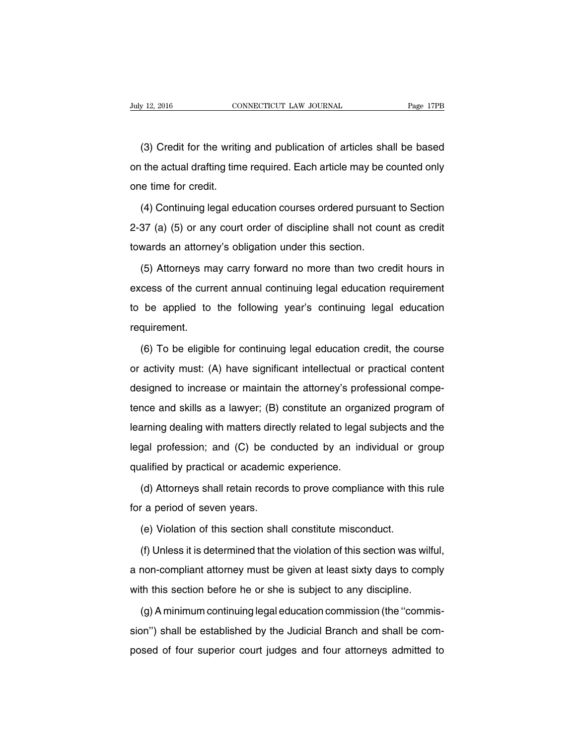(3) Credit for the writing and publication of articles shall be based on the actual drafting time required. Each article may be counted only one time for credit.

(4) Continuing legal education courses ordered pursuant to Section 2-37 (a) (5) or any court order of discipline shall not count as credit towards an attorney's obligation under this section.

(5) Attorneys may carry forward no more than two credit hours in excess of the current annual continuing legal education requirement to be applied to the following year's continuing legal education requirement.

(6) To be eligible for continuing legal education credit, the course or activity must: (A) have significant intellectual or practical content designed to increase or maintain the attorney's professional competence and skills as a lawyer; (B) constitute an organized program of learning dealing with matters directly related to legal subjects and the legal profession; and (C) be conducted by an individual or group qualified by practical or academic experience.

(d) Attorneys shall retain records to prove compliance with this rule for a period of seven years.

(e) Violation of this section shall constitute misconduct.

(f) Unless it is determined that the violation of this section was wilful, a non-compliant attorney must be given at least sixty days to comply with this section before he or she is subject to any discipline.

(g) A minimum continuing legal education commission (the ''commission'') shall be established by the Judicial Branch and shall be composed of four superior court judges and four attorneys admitted to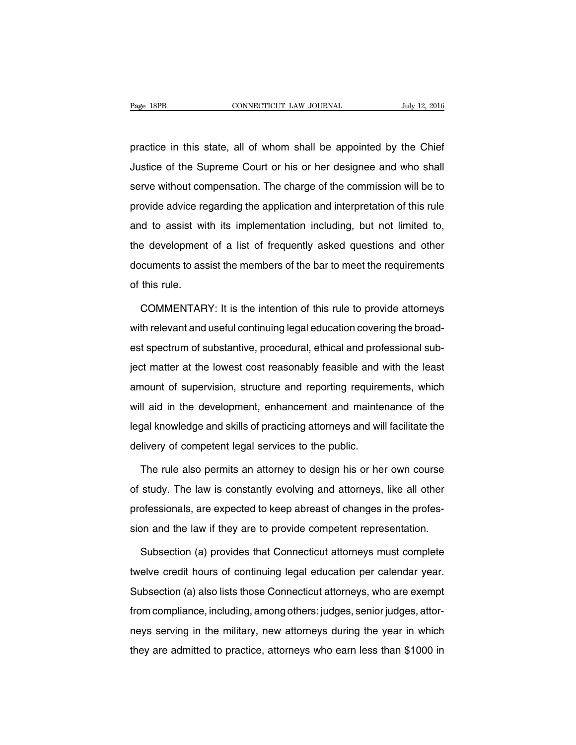practice in this state, all of whom shall be appointed by the Chief Justice of the Supreme Court or his or her designee and who shall serve without compensation. The charge of the commission will be to provide advice regarding the application and interpretation of this rule and to assist with its implementation including, but not limited to, the development of a list of frequently asked questions and other documents to assist the members of the bar to meet the requirements of this rule.

COMMENTARY: It is the intention of this rule to provide attorneys with relevant and useful continuing legal education covering the broadest spectrum of substantive, procedural, ethical and professional subject matter at the lowest cost reasonably feasible and with the least amount of supervision, structure and reporting requirements, which will aid in the development, enhancement and maintenance of the legal knowledge and skills of practicing attorneys and will facilitate the delivery of competent legal services to the public.

The rule also permits an attorney to design his or her own course of study. The law is constantly evolving and attorneys, like all other professionals, are expected to keep abreast of changes in the profession and the law if they are to provide competent representation.

Subsection (a) provides that Connecticut attorneys must complete twelve credit hours of continuing legal education per calendar year. Subsection (a) also lists those Connecticut attorneys, who are exempt from compliance, including, among others: judges, senior judges, attorneys serving in the military, new attorneys during the year in which they are admitted to practice, attorneys who earn less than \$1000 in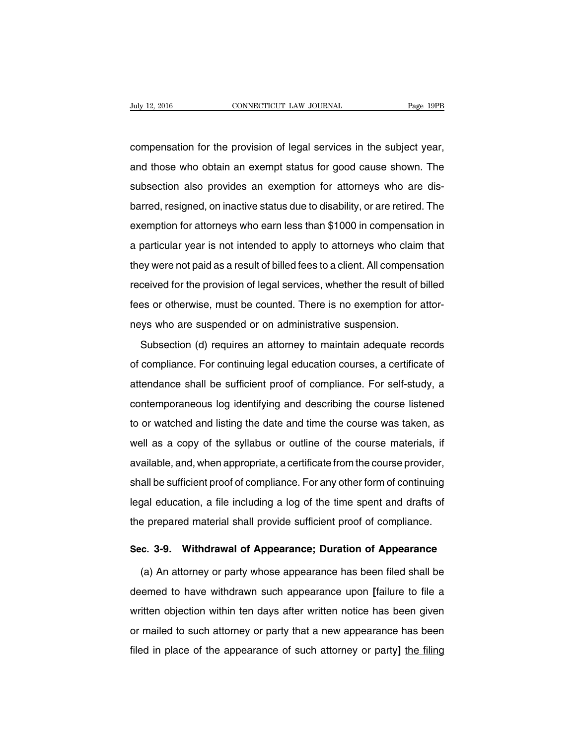compensation for the provision of legal services in the subject year, and those who obtain an exempt status for good cause shown. The subsection also provides an exemption for attorneys who are disbarred, resigned, on inactive status due to disability, or are retired. The exemption for attorneys who earn less than \$1000 in compensation in a particular year is not intended to apply to attorneys who claim that they were not paid as a result of billed fees to a client. All compensation received for the provision of legal services, whether the result of billed fees or otherwise, must be counted. There is no exemption for attorneys who are suspended or on administrative suspension.

Subsection (d) requires an attorney to maintain adequate records of compliance. For continuing legal education courses, a certificate of attendance shall be sufficient proof of compliance. For self-study, a contemporaneous log identifying and describing the course listened to or watched and listing the date and time the course was taken, as well as a copy of the syllabus or outline of the course materials, if available, and, when appropriate, a certificate from the course provider, shall be sufficient proof of compliance. For any other form of continuing legal education, a file including a log of the time spent and drafts of the prepared material shall provide sufficient proof of compliance.

### **Sec. 3-9. Withdrawal of Appearance; Duration of Appearance**

(a) An attorney or party whose appearance has been filed shall be deemed to have withdrawn such appearance upon **[**failure to file a written objection within ten days after written notice has been given or mailed to such attorney or party that a new appearance has been filed in place of the appearance of such attorney or party**]** the filing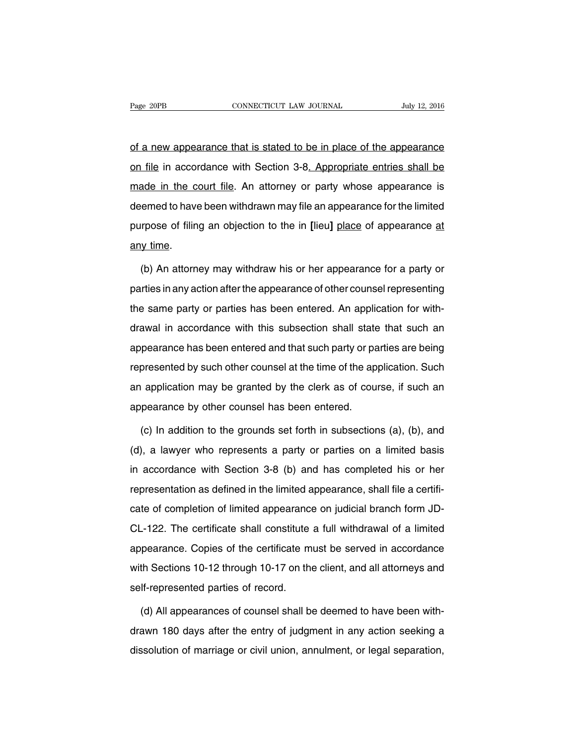of a new appearance that is stated to be in place of the appearance on file in accordance with Section 3-8. Appropriate entries shall be made in the court file. An attorney or party whose appearance is deemed to have been withdrawn may file an appearance for the limited purpose of filing an objection to the in **[**lieu**]** place of appearance at any time.

(b) An attorney may withdraw his or her appearance for a party or parties in any action after the appearance of other counsel representing the same party or parties has been entered. An application for withdrawal in accordance with this subsection shall state that such an appearance has been entered and that such party or parties are being represented by such other counsel at the time of the application. Such an application may be granted by the clerk as of course, if such an appearance by other counsel has been entered.

(c) In addition to the grounds set forth in subsections (a), (b), and (d), a lawyer who represents a party or parties on a limited basis in accordance with Section 3-8 (b) and has completed his or her representation as defined in the limited appearance, shall file a certificate of completion of limited appearance on judicial branch form JD-CL-122. The certificate shall constitute a full withdrawal of a limited appearance. Copies of the certificate must be served in accordance with Sections 10-12 through 10-17 on the client, and all attorneys and self-represented parties of record.

(d) All appearances of counsel shall be deemed to have been withdrawn 180 days after the entry of judgment in any action seeking a dissolution of marriage or civil union, annulment, or legal separation,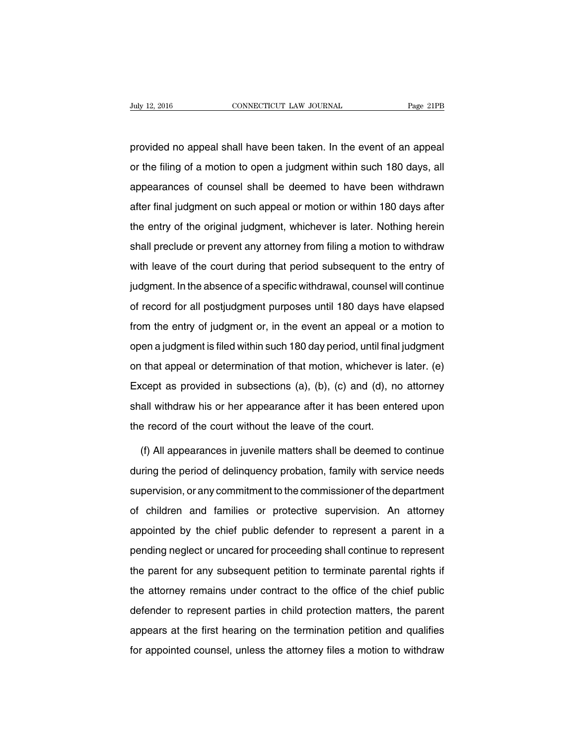provided no appeal shall have been taken. In the event of an appeal or the filing of a motion to open a judgment within such 180 days, all appearances of counsel shall be deemed to have been withdrawn after final judgment on such appeal or motion or within 180 days after the entry of the original judgment, whichever is later. Nothing herein shall preclude or prevent any attorney from filing a motion to withdraw with leave of the court during that period subsequent to the entry of judgment. In the absence of a specific withdrawal, counsel will continue of record for all postjudgment purposes until 180 days have elapsed from the entry of judgment or, in the event an appeal or a motion to open a judgment is filed within such 180 day period, until final judgment on that appeal or determination of that motion, whichever is later. (e) Except as provided in subsections (a), (b), (c) and (d), no attorney shall withdraw his or her appearance after it has been entered upon the record of the court without the leave of the court.

(f) All appearances in juvenile matters shall be deemed to continue during the period of delinquency probation, family with service needs supervision, or any commitment to the commissioner of the department of children and families or protective supervision. An attorney appointed by the chief public defender to represent a parent in a pending neglect or uncared for proceeding shall continue to represent the parent for any subsequent petition to terminate parental rights if the attorney remains under contract to the office of the chief public defender to represent parties in child protection matters, the parent appears at the first hearing on the termination petition and qualifies for appointed counsel, unless the attorney files a motion to withdraw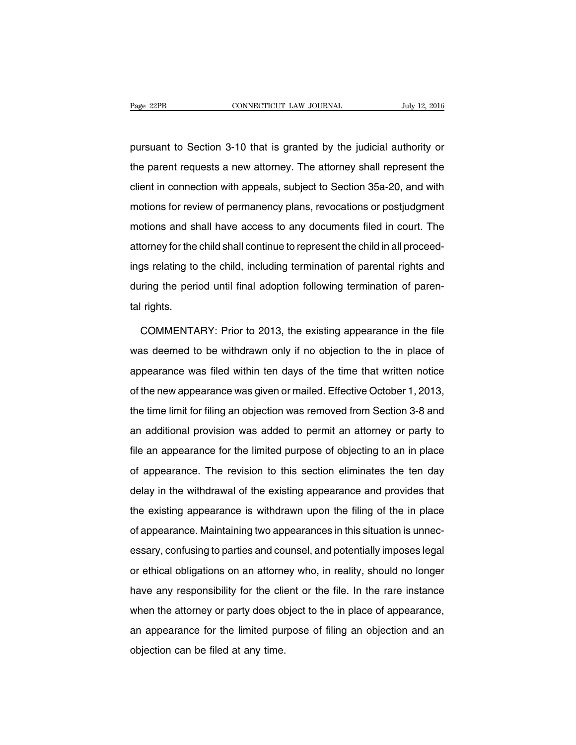pursuant to Section 3-10 that is granted by the judicial authority or the parent requests a new attorney. The attorney shall represent the client in connection with appeals, subject to Section 35a-20, and with motions for review of permanency plans, revocations or postjudgment motions and shall have access to any documents filed in court. The attorney for the child shall continue to represent the child in all proceedings relating to the child, including termination of parental rights and during the period until final adoption following termination of parental rights.

COMMENTARY: Prior to 2013, the existing appearance in the file was deemed to be withdrawn only if no objection to the in place of appearance was filed within ten days of the time that written notice of the new appearance was given or mailed. Effective October 1, 2013, the time limit for filing an objection was removed from Section 3-8 and an additional provision was added to permit an attorney or party to file an appearance for the limited purpose of objecting to an in place of appearance. The revision to this section eliminates the ten day delay in the withdrawal of the existing appearance and provides that the existing appearance is withdrawn upon the filing of the in place of appearance. Maintaining two appearances in this situation is unnecessary, confusing to parties and counsel, and potentially imposes legal or ethical obligations on an attorney who, in reality, should no longer have any responsibility for the client or the file. In the rare instance when the attorney or party does object to the in place of appearance, an appearance for the limited purpose of filing an objection and an objection can be filed at any time.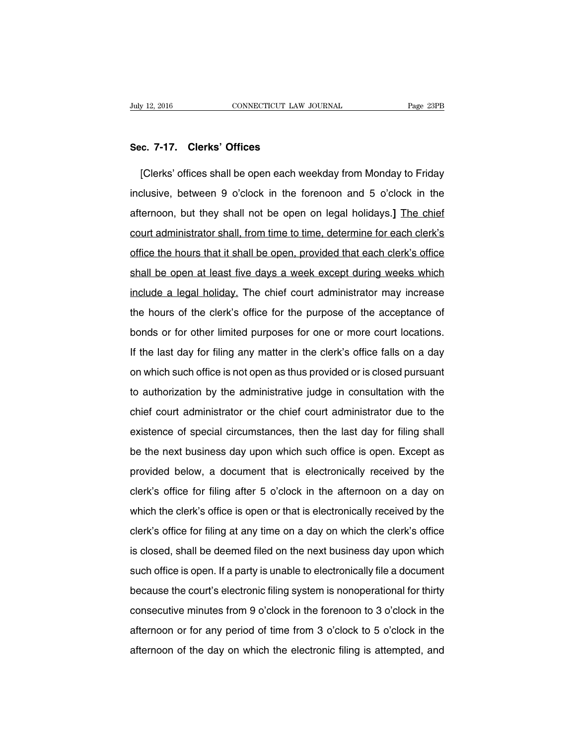#### **Sec. 7-17. Clerks' Offices**

[Clerks' offices shall be open each weekday from Monday to Friday inclusive, between 9 o'clock in the forenoon and 5 o'clock in the afternoon, but they shall not be open on legal holidays.**]** The chief court administrator shall, from time to time, determine for each clerk's office the hours that it shall be open, provided that each clerk's office shall be open at least five days a week except during weeks which include a legal holiday. The chief court administrator may increase the hours of the clerk's office for the purpose of the acceptance of bonds or for other limited purposes for one or more court locations. If the last day for filing any matter in the clerk's office falls on a day on which such office is not open as thus provided or is closed pursuant to authorization by the administrative judge in consultation with the chief court administrator or the chief court administrator due to the existence of special circumstances, then the last day for filing shall be the next business day upon which such office is open. Except as provided below, a document that is electronically received by the clerk's office for filing after 5 o'clock in the afternoon on a day on which the clerk's office is open or that is electronically received by the clerk's office for filing at any time on a day on which the clerk's office is closed, shall be deemed filed on the next business day upon which such office is open. If a party is unable to electronically file a document because the court's electronic filing system is nonoperational for thirty consecutive minutes from 9 o'clock in the forenoon to 3 o'clock in the afternoon or for any period of time from 3 o'clock to 5 o'clock in the afternoon of the day on which the electronic filing is attempted, and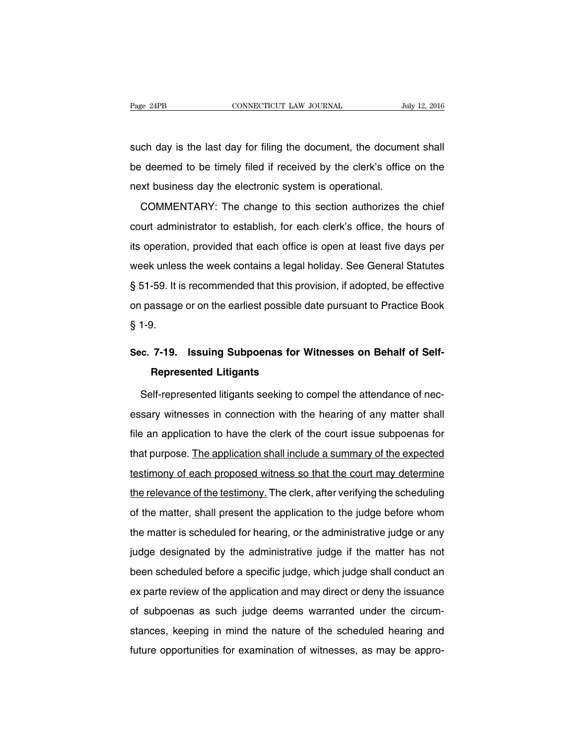such day is the last day for filing the document, the document shall be deemed to be timely filed if received by the clerk's office on the next business day the electronic system is operational.

COMMENTARY: The change to this section authorizes the chief court administrator to establish, for each clerk's office, the hours of its operation, provided that each office is open at least five days per week unless the week contains a legal holiday. See General Statutes § 51-59. It is recommended that this provision, if adopted, be effective on passage or on the earliest possible date pursuant to Practice Book § 1-9.

# **Sec. 7-19. Issuing Subpoenas for Witnesses on Behalf of Self-Represented Litigants**

Self-represented litigants seeking to compel the attendance of necessary witnesses in connection with the hearing of any matter shall file an application to have the clerk of the court issue subpoenas for that purpose. The application shall include a summary of the expected testimony of each proposed witness so that the court may determine the relevance of the testimony. The clerk, after verifying the scheduling of the matter, shall present the application to the judge before whom the matter is scheduled for hearing, or the administrative judge or any judge designated by the administrative judge if the matter has not been scheduled before a specific judge, which judge shall conduct an ex parte review of the application and may direct or deny the issuance of subpoenas as such judge deems warranted under the circumstances, keeping in mind the nature of the scheduled hearing and future opportunities for examination of witnesses, as may be appro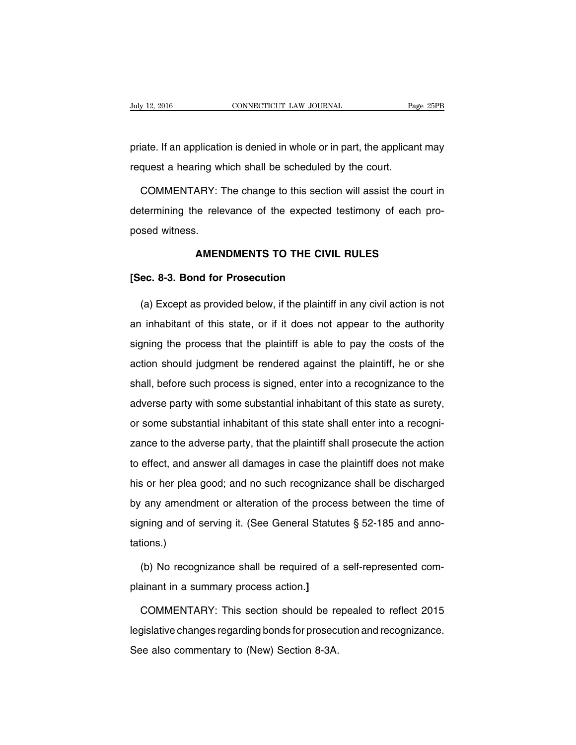priate. If an application is denied in whole or in part, the applicant may request a hearing which shall be scheduled by the court.

COMMENTARY: The change to this section will assist the court in determining the relevance of the expected testimony of each proposed witness.

#### **AMENDMENTS TO THE CIVIL RULES**

#### **[Sec. 8-3. Bond for Prosecution**

(a) Except as provided below, if the plaintiff in any civil action is not an inhabitant of this state, or if it does not appear to the authority signing the process that the plaintiff is able to pay the costs of the action should judgment be rendered against the plaintiff, he or she shall, before such process is signed, enter into a recognizance to the adverse party with some substantial inhabitant of this state as surety, or some substantial inhabitant of this state shall enter into a recognizance to the adverse party, that the plaintiff shall prosecute the action to effect, and answer all damages in case the plaintiff does not make his or her plea good; and no such recognizance shall be discharged by any amendment or alteration of the process between the time of signing and of serving it. (See General Statutes § 52-185 and annotations.)

(b) No recognizance shall be required of a self-represented complainant in a summary process action.**]**

COMMENTARY: This section should be repealed to reflect 2015 legislative changes regarding bonds for prosecution and recognizance. See also commentary to (New) Section 8-3A.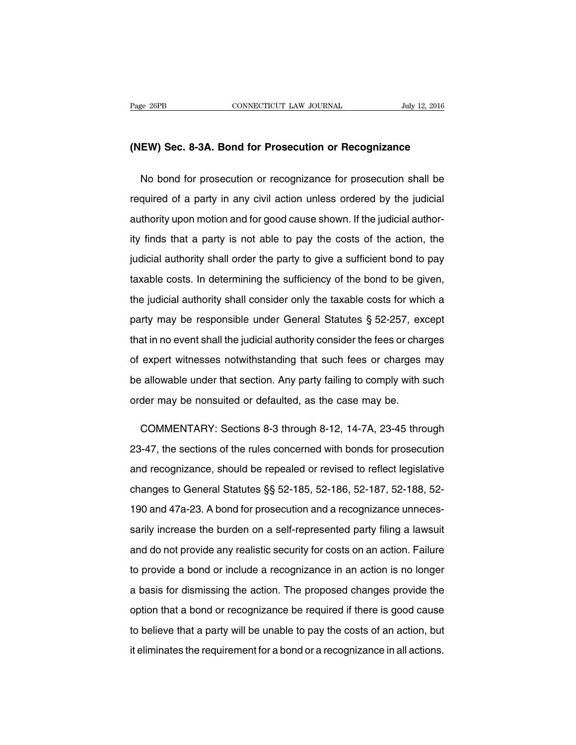#### **(NEW) Sec. 8-3A. Bond for Prosecution or Recognizance**

No bond for prosecution or recognizance for prosecution shall be required of a party in any civil action unless ordered by the judicial authority upon motion and for good cause shown. If the judicial authority finds that a party is not able to pay the costs of the action, the judicial authority shall order the party to give a sufficient bond to pay taxable costs. In determining the sufficiency of the bond to be given, the judicial authority shall consider only the taxable costs for which a party may be responsible under General Statutes § 52-257, except that in no event shall the judicial authority consider the fees or charges of expert witnesses notwithstanding that such fees or charges may be allowable under that section. Any party failing to comply with such order may be nonsuited or defaulted, as the case may be.

COMMENTARY: Sections 8-3 through 8-12, 14-7A, 23-45 through 23-47, the sections of the rules concerned with bonds for prosecution and recognizance, should be repealed or revised to reflect legislative changes to General Statutes §§ 52-185, 52-186, 52-187, 52-188, 52- 190 and 47a-23. A bond for prosecution and a recognizance unnecessarily increase the burden on a self-represented party filing a lawsuit and do not provide any realistic security for costs on an action. Failure to provide a bond or include a recognizance in an action is no longer a basis for dismissing the action. The proposed changes provide the option that a bond or recognizance be required if there is good cause to believe that a party will be unable to pay the costs of an action, but it eliminates the requirement for a bond or a recognizance in all actions.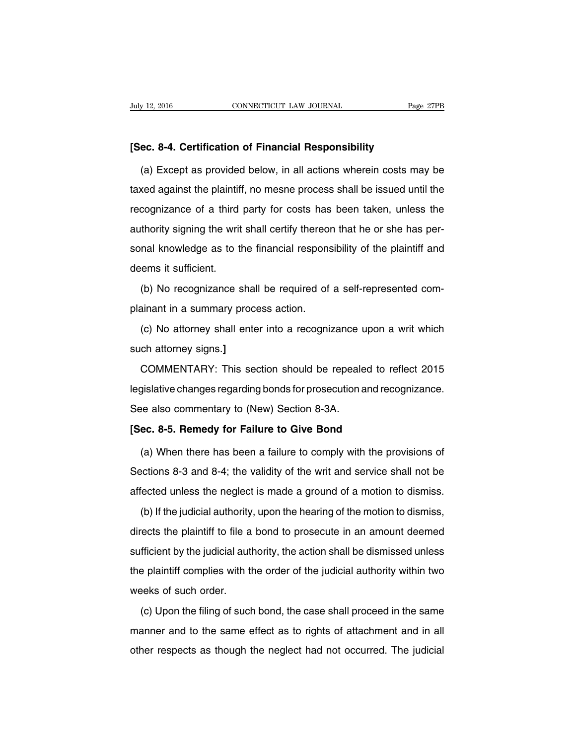#### **[Sec. 8-4. Certification of Financial Responsibility**

(a) Except as provided below, in all actions wherein costs may be taxed against the plaintiff, no mesne process shall be issued until the recognizance of a third party for costs has been taken, unless the authority signing the writ shall certify thereon that he or she has personal knowledge as to the financial responsibility of the plaintiff and deems it sufficient.

(b) No recognizance shall be required of a self-represented complainant in a summary process action.

(c) No attorney shall enter into a recognizance upon a writ which such attorney signs.**]**

COMMENTARY: This section should be repealed to reflect 2015 legislative changes regarding bonds for prosecution and recognizance. See also commentary to (New) Section 8-3A.

#### **[Sec. 8-5. Remedy for Failure to Give Bond**

(a) When there has been a failure to comply with the provisions of Sections 8-3 and 8-4; the validity of the writ and service shall not be affected unless the neglect is made a ground of a motion to dismiss.

(b) If the judicial authority, upon the hearing of the motion to dismiss, directs the plaintiff to file a bond to prosecute in an amount deemed sufficient by the judicial authority, the action shall be dismissed unless the plaintiff complies with the order of the judicial authority within two weeks of such order.

(c) Upon the filing of such bond, the case shall proceed in the same manner and to the same effect as to rights of attachment and in all other respects as though the neglect had not occurred. The judicial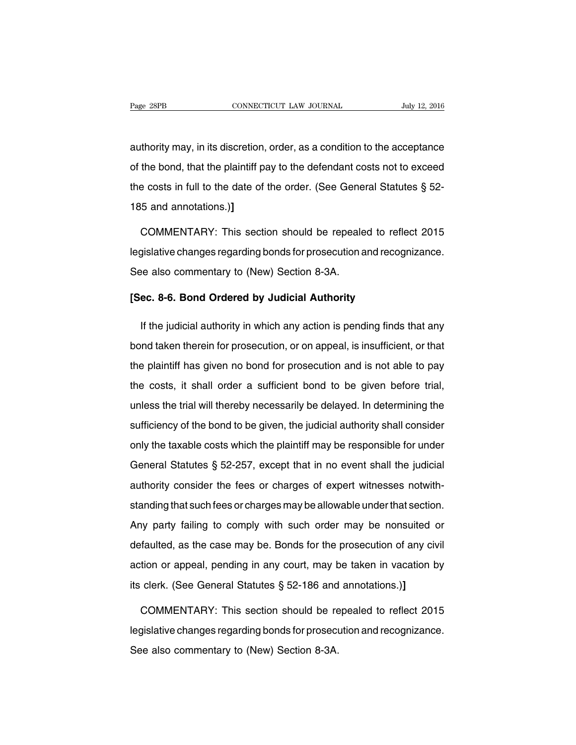authority may, in its discretion, order, as a condition to the acceptance of the bond, that the plaintiff pay to the defendant costs not to exceed the costs in full to the date of the order. (See General Statutes § 52- 185 and annotations.)**]**

COMMENTARY: This section should be repealed to reflect 2015 legislative changes regarding bonds for prosecution and recognizance. See also commentary to (New) Section 8-3A.

#### **[Sec. 8-6. Bond Ordered by Judicial Authority**

If the judicial authority in which any action is pending finds that any bond taken therein for prosecution, or on appeal, is insufficient, or that the plaintiff has given no bond for prosecution and is not able to pay the costs, it shall order a sufficient bond to be given before trial, unless the trial will thereby necessarily be delayed. In determining the sufficiency of the bond to be given, the judicial authority shall consider only the taxable costs which the plaintiff may be responsible for under General Statutes § 52-257, except that in no event shall the judicial authority consider the fees or charges of expert witnesses notwithstanding that such fees or charges may be allowable under that section. Any party failing to comply with such order may be nonsuited or defaulted, as the case may be. Bonds for the prosecution of any civil action or appeal, pending in any court, may be taken in vacation by its clerk. (See General Statutes § 52-186 and annotations.)**]**

COMMENTARY: This section should be repealed to reflect 2015 legislative changes regarding bonds for prosecution and recognizance. See also commentary to (New) Section 8-3A.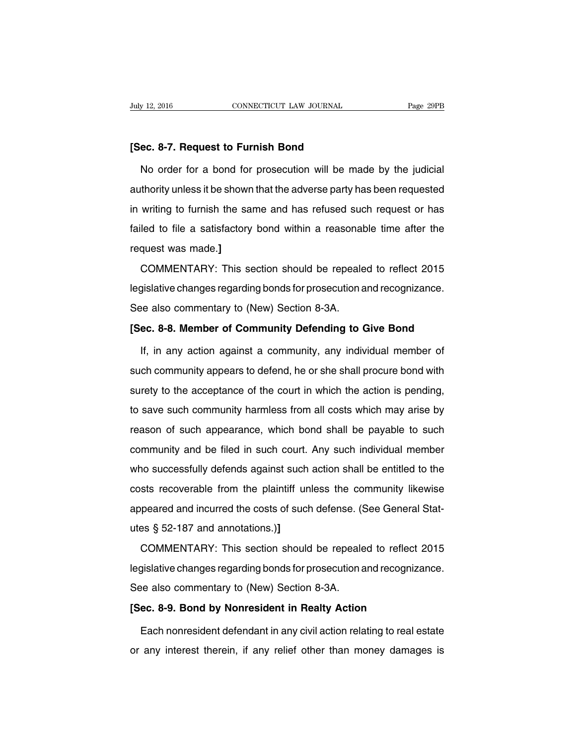#### **[Sec. 8-7. Request to Furnish Bond**

No order for a bond for prosecution will be made by the judicial authority unless it be shown that the adverse party has been requested in writing to furnish the same and has refused such request or has failed to file a satisfactory bond within a reasonable time after the request was made.**]**

COMMENTARY: This section should be repealed to reflect 2015 legislative changes regarding bonds for prosecution and recognizance. See also commentary to (New) Section 8-3A.

#### **[Sec. 8-8. Member of Community Defending to Give Bond**

If, in any action against a community, any individual member of such community appears to defend, he or she shall procure bond with surety to the acceptance of the court in which the action is pending, to save such community harmless from all costs which may arise by reason of such appearance, which bond shall be payable to such community and be filed in such court. Any such individual member who successfully defends against such action shall be entitled to the costs recoverable from the plaintiff unless the community likewise appeared and incurred the costs of such defense. (See General Statutes § 52-187 and annotations.)**]**

COMMENTARY: This section should be repealed to reflect 2015 legislative changes regarding bonds for prosecution and recognizance. See also commentary to (New) Section 8-3A.

#### **[Sec. 8-9. Bond by Nonresident in Realty Action**

Each nonresident defendant in any civil action relating to real estate or any interest therein, if any relief other than money damages is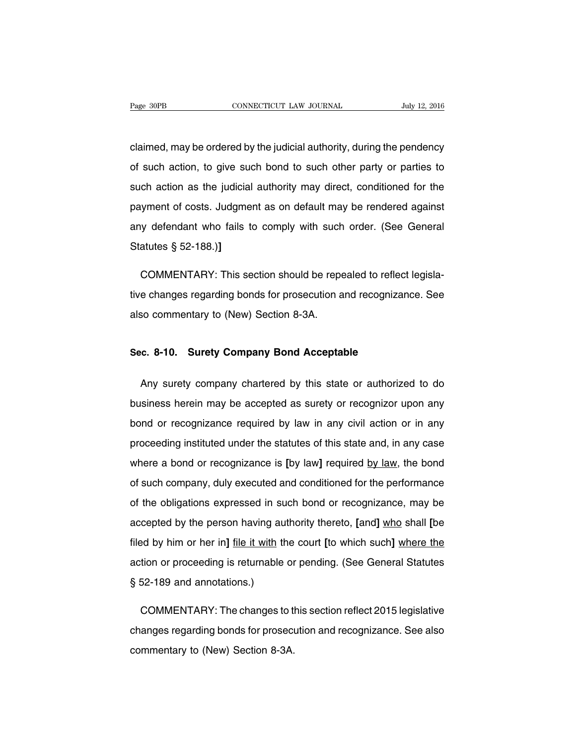claimed, may be ordered by the judicial authority, during the pendency of such action, to give such bond to such other party or parties to such action as the judicial authority may direct, conditioned for the payment of costs. Judgment as on default may be rendered against any defendant who fails to comply with such order. (See General Statutes § 52-188.)**]**

COMMENTARY: This section should be repealed to reflect legislative changes regarding bonds for prosecution and recognizance. See also commentary to (New) Section 8-3A.

#### **Sec. 8-10. Surety Company Bond Acceptable**

Any surety company chartered by this state or authorized to do business herein may be accepted as surety or recognizor upon any bond or recognizance required by law in any civil action or in any proceeding instituted under the statutes of this state and, in any case where a bond or recognizance is **[**by law**]** required by law, the bond of such company, duly executed and conditioned for the performance of the obligations expressed in such bond or recognizance, may be accepted by the person having authority thereto, **[**and**]** who shall **[**be filed by him or her in**]** file it with the court **[**to which such**]** where the action or proceeding is returnable or pending. (See General Statutes § 52-189 and annotations.)

COMMENTARY: The changes to this section reflect 2015 legislative changes regarding bonds for prosecution and recognizance. See also commentary to (New) Section 8-3A.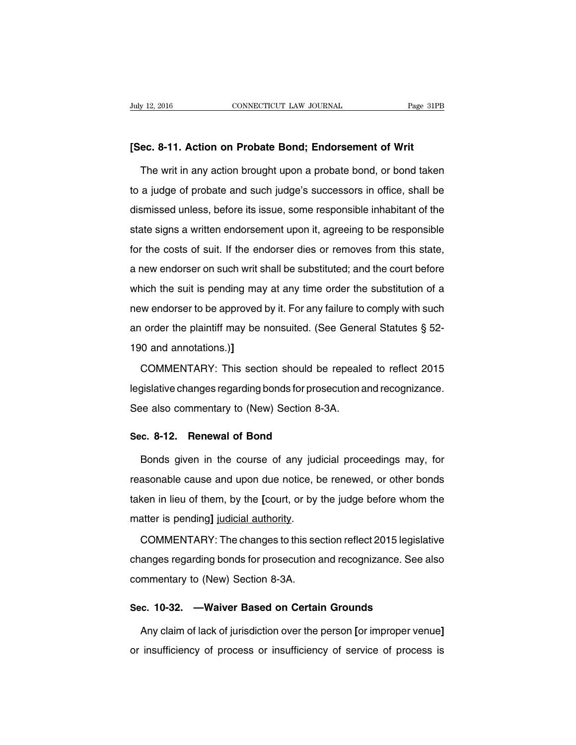#### **[Sec. 8-11. Action on Probate Bond; Endorsement of Writ**

The writ in any action brought upon a probate bond, or bond taken to a judge of probate and such judge's successors in office, shall be dismissed unless, before its issue, some responsible inhabitant of the state signs a written endorsement upon it, agreeing to be responsible for the costs of suit. If the endorser dies or removes from this state, a new endorser on such writ shall be substituted; and the court before which the suit is pending may at any time order the substitution of a new endorser to be approved by it. For any failure to comply with such an order the plaintiff may be nonsuited. (See General Statutes § 52- 190 and annotations.)**]**

COMMENTARY: This section should be repealed to reflect 2015 legislative changes regarding bonds for prosecution and recognizance. See also commentary to (New) Section 8-3A.

#### **Sec. 8-12. Renewal of Bond**

Bonds given in the course of any judicial proceedings may, for reasonable cause and upon due notice, be renewed, or other bonds taken in lieu of them, by the **[**court, or by the judge before whom the matter is pending**]** judicial authority.

COMMENTARY: The changes to this section reflect 2015 legislative changes regarding bonds for prosecution and recognizance. See also commentary to (New) Section 8-3A.

#### **Sec. 10-32. —Waiver Based on Certain Grounds**

Any claim of lack of jurisdiction over the person **[**or improper venue**]** or insufficiency of process or insufficiency of service of process is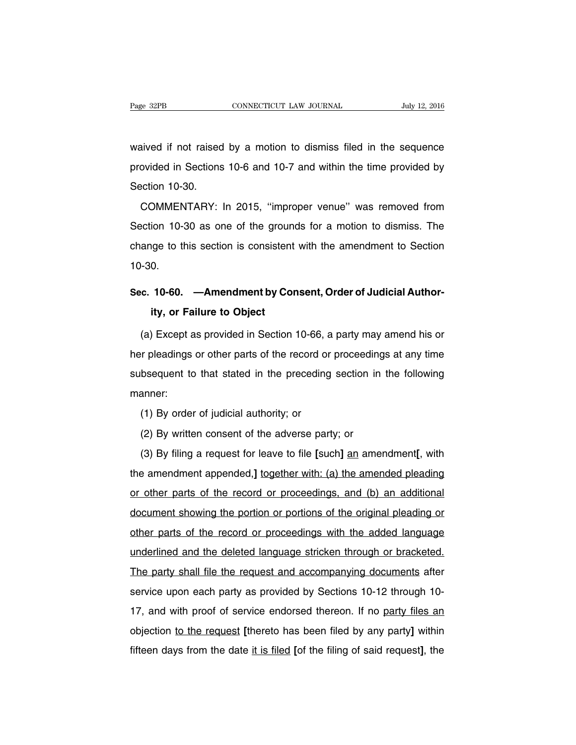waived if not raised by a motion to dismiss filed in the sequence provided in Sections 10-6 and 10-7 and within the time provided by Section 10-30.

COMMENTARY: In 2015, ''improper venue'' was removed from Section 10-30 as one of the grounds for a motion to dismiss. The change to this section is consistent with the amendment to Section 10-30.

# **Sec. 10-60. —Amendment by Consent, Order of Judicial Authority, or Failure to Object**

(a) Except as provided in Section 10-66, a party may amend his or her pleadings or other parts of the record or proceedings at any time subsequent to that stated in the preceding section in the following manner:

(1) By order of judicial authority; or

(2) By written consent of the adverse party; or

(3) By filing a request for leave to file **[**such**]** an amendment**[**, with the amendment appended,**]** together with: (a) the amended pleading or other parts of the record or proceedings, and (b) an additional document showing the portion or portions of the original pleading or other parts of the record or proceedings with the added language underlined and the deleted language stricken through or bracketed. The party shall file the request and accompanying documents after service upon each party as provided by Sections 10-12 through 10- 17, and with proof of service endorsed thereon. If no party files an objection to the request **[**thereto has been filed by any party**]** within fifteen days from the date it is filed **[**of the filing of said request**]**, the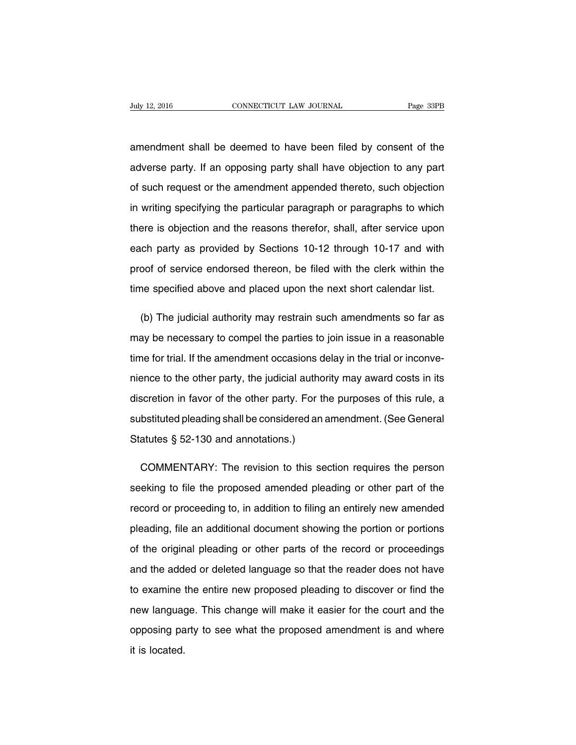amendment shall be deemed to have been filed by consent of the adverse party. If an opposing party shall have objection to any part of such request or the amendment appended thereto, such objection in writing specifying the particular paragraph or paragraphs to which there is objection and the reasons therefor, shall, after service upon each party as provided by Sections 10-12 through 10-17 and with proof of service endorsed thereon, be filed with the clerk within the time specified above and placed upon the next short calendar list.

(b) The judicial authority may restrain such amendments so far as may be necessary to compel the parties to join issue in a reasonable time for trial. If the amendment occasions delay in the trial or inconvenience to the other party, the judicial authority may award costs in its discretion in favor of the other party. For the purposes of this rule, a substituted pleading shall be considered an amendment. (See General Statutes § 52-130 and annotations.)

COMMENTARY: The revision to this section requires the person seeking to file the proposed amended pleading or other part of the record or proceeding to, in addition to filing an entirely new amended pleading, file an additional document showing the portion or portions of the original pleading or other parts of the record or proceedings and the added or deleted language so that the reader does not have to examine the entire new proposed pleading to discover or find the new language. This change will make it easier for the court and the opposing party to see what the proposed amendment is and where it is located.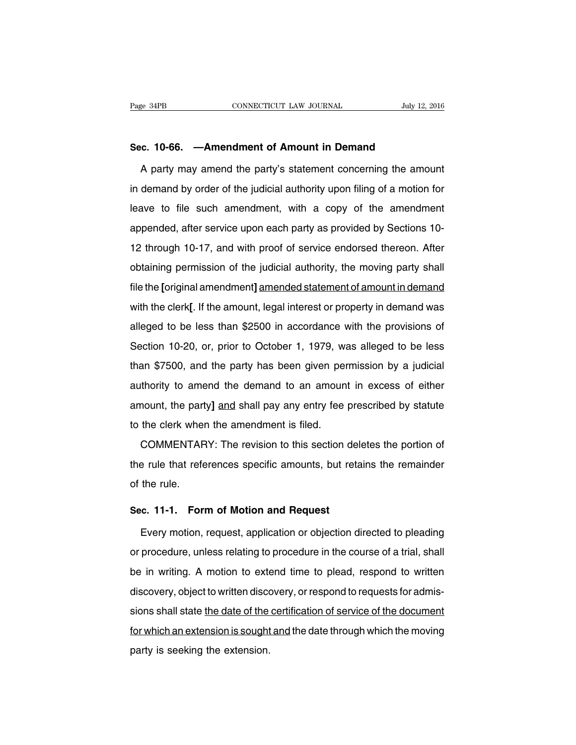### **Sec. 10-66. —Amendment of Amount in Demand**

A party may amend the party's statement concerning the amount in demand by order of the judicial authority upon filing of a motion for leave to file such amendment, with a copy of the amendment appended, after service upon each party as provided by Sections 10- 12 through 10-17, and with proof of service endorsed thereon. After obtaining permission of the judicial authority, the moving party shall file the **[**original amendment**]** amended statement of amount in demand with the clerk**[**. If the amount, legal interest or property in demand was alleged to be less than \$2500 in accordance with the provisions of Section 10-20, or, prior to October 1, 1979, was alleged to be less than \$7500, and the party has been given permission by a judicial authority to amend the demand to an amount in excess of either amount, the party**]** and shall pay any entry fee prescribed by statute to the clerk when the amendment is filed.

COMMENTARY: The revision to this section deletes the portion of the rule that references specific amounts, but retains the remainder of the rule.

#### **Sec. 11-1. Form of Motion and Request**

Every motion, request, application or objection directed to pleading or procedure, unless relating to procedure in the course of a trial, shall be in writing. A motion to extend time to plead, respond to written discovery, object to written discovery, or respond to requests for admissions shall state the date of the certification of service of the document for which an extension is sought and the date through which the moving party is seeking the extension.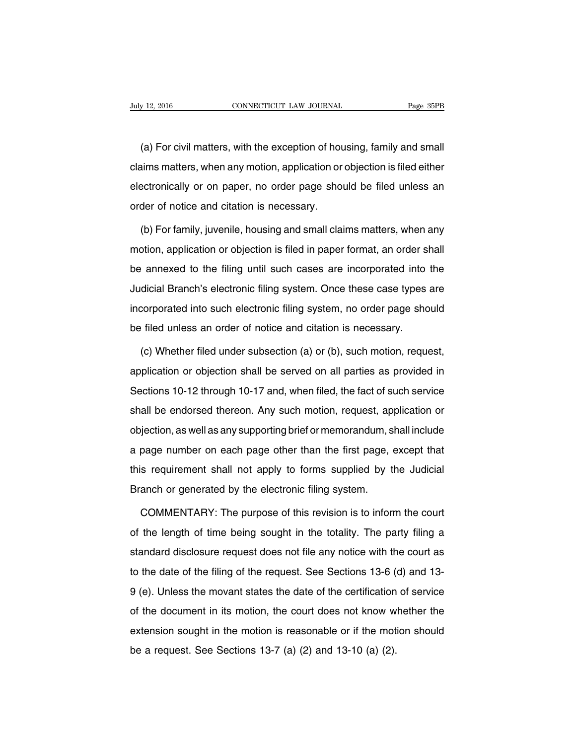(a) For civil matters, with the exception of housing, family and small claims matters, when any motion, application or objection is filed either electronically or on paper, no order page should be filed unless an order of notice and citation is necessary.

(b) For family, juvenile, housing and small claims matters, when any motion, application or objection is filed in paper format, an order shall be annexed to the filing until such cases are incorporated into the Judicial Branch's electronic filing system. Once these case types are incorporated into such electronic filing system, no order page should be filed unless an order of notice and citation is necessary.

(c) Whether filed under subsection (a) or (b), such motion, request, application or objection shall be served on all parties as provided in Sections 10-12 through 10-17 and, when filed, the fact of such service shall be endorsed thereon. Any such motion, request, application or objection, as well as any supporting brief or memorandum, shall include a page number on each page other than the first page, except that this requirement shall not apply to forms supplied by the Judicial Branch or generated by the electronic filing system.

COMMENTARY: The purpose of this revision is to inform the court of the length of time being sought in the totality. The party filing a standard disclosure request does not file any notice with the court as to the date of the filing of the request. See Sections 13-6 (d) and 13- 9 (e). Unless the movant states the date of the certification of service of the document in its motion, the court does not know whether the extension sought in the motion is reasonable or if the motion should be a request. See Sections 13-7 (a) (2) and 13-10 (a) (2).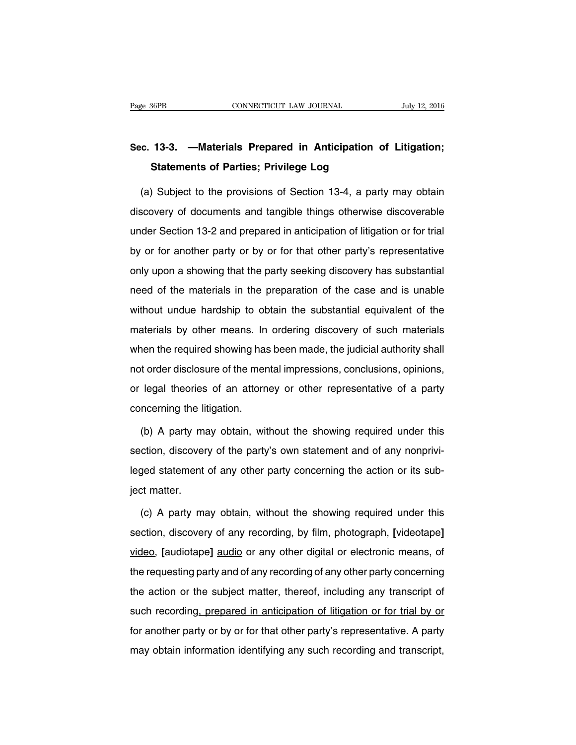# **Sec. 13-3. —Materials Prepared in Anticipation of Litigation; Statements of Parties; Privilege Log**

(a) Subject to the provisions of Section 13-4, a party may obtain discovery of documents and tangible things otherwise discoverable under Section 13-2 and prepared in anticipation of litigation or for trial by or for another party or by or for that other party's representative only upon a showing that the party seeking discovery has substantial need of the materials in the preparation of the case and is unable without undue hardship to obtain the substantial equivalent of the materials by other means. In ordering discovery of such materials when the required showing has been made, the judicial authority shall not order disclosure of the mental impressions, conclusions, opinions, or legal theories of an attorney or other representative of a party concerning the litigation.

(b) A party may obtain, without the showing required under this section, discovery of the party's own statement and of any nonprivileged statement of any other party concerning the action or its subject matter.

(c) A party may obtain, without the showing required under this section, discovery of any recording, by film, photograph, **[**videotape**]** video, **[**audiotape**]** audio or any other digital or electronic means, of the requesting party and of any recording of any other party concerning the action or the subject matter, thereof, including any transcript of such recording, prepared in anticipation of litigation or for trial by or for another party or by or for that other party's representative. A party may obtain information identifying any such recording and transcript,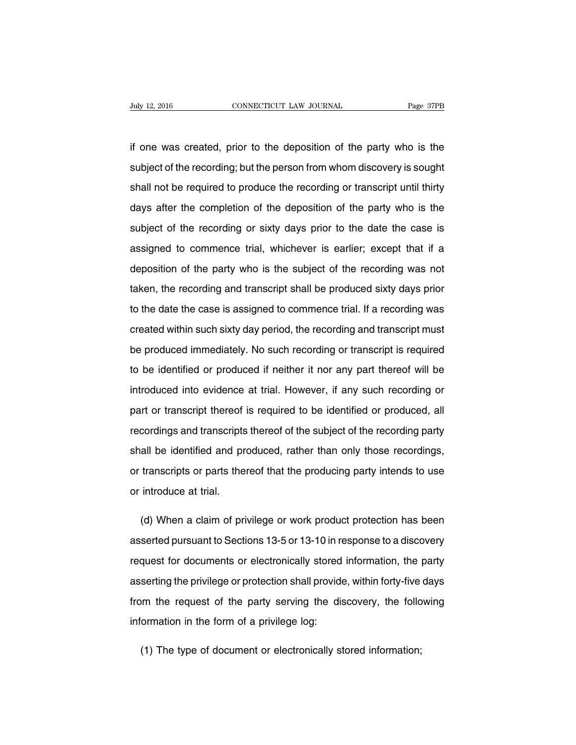if one was created, prior to the deposition of the party who is the subject of the recording; but the person from whom discovery is sought shall not be required to produce the recording or transcript until thirty days after the completion of the deposition of the party who is the subject of the recording or sixty days prior to the date the case is assigned to commence trial, whichever is earlier; except that if a deposition of the party who is the subject of the recording was not taken, the recording and transcript shall be produced sixty days prior to the date the case is assigned to commence trial. If a recording was created within such sixty day period, the recording and transcript must be produced immediately. No such recording or transcript is required to be identified or produced if neither it nor any part thereof will be introduced into evidence at trial. However, if any such recording or part or transcript thereof is required to be identified or produced, all recordings and transcripts thereof of the subject of the recording party shall be identified and produced, rather than only those recordings, or transcripts or parts thereof that the producing party intends to use or introduce at trial.

(d) When a claim of privilege or work product protection has been asserted pursuant to Sections 13-5 or 13-10 in response to a discovery request for documents or electronically stored information, the party asserting the privilege or protection shall provide, within forty-five days from the request of the party serving the discovery, the following information in the form of a privilege log:

(1) The type of document or electronically stored information;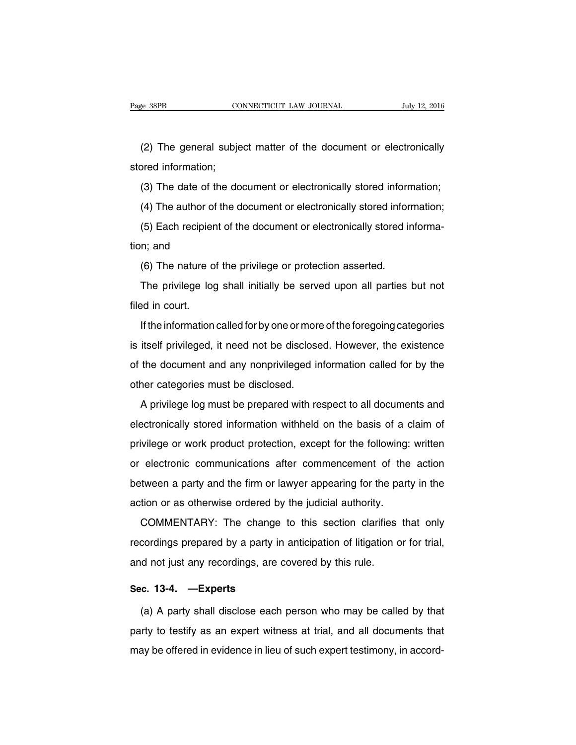(2) The general subject matter of the document or electronically stored information;

(3) The date of the document or electronically stored information;

(4) The author of the document or electronically stored information;

(5) Each recipient of the document or electronically stored information; and

(6) The nature of the privilege or protection asserted.

The privilege log shall initially be served upon all parties but not filed in court.

If the information called for by one or more of the foregoing categories is itself privileged, it need not be disclosed. However, the existence of the document and any nonprivileged information called for by the other categories must be disclosed.

A privilege log must be prepared with respect to all documents and electronically stored information withheld on the basis of a claim of privilege or work product protection, except for the following: written or electronic communications after commencement of the action between a party and the firm or lawyer appearing for the party in the action or as otherwise ordered by the judicial authority.

COMMENTARY: The change to this section clarifies that only recordings prepared by a party in anticipation of litigation or for trial, and not just any recordings, are covered by this rule.

#### **Sec. 13-4. —Experts**

(a) A party shall disclose each person who may be called by that party to testify as an expert witness at trial, and all documents that may be offered in evidence in lieu of such expert testimony, in accord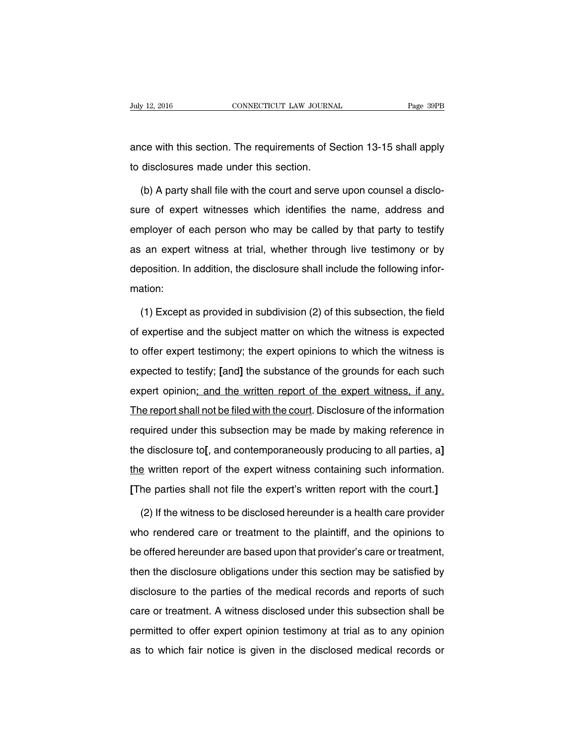ance with this section. The requirements of Section 13-15 shall apply to disclosures made under this section.

(b) A party shall file with the court and serve upon counsel a disclosure of expert witnesses which identifies the name, address and employer of each person who may be called by that party to testify as an expert witness at trial, whether through live testimony or by deposition. In addition, the disclosure shall include the following information:

(1) Except as provided in subdivision (2) of this subsection, the field of expertise and the subject matter on which the witness is expected to offer expert testimony; the expert opinions to which the witness is expected to testify; **[**and**]** the substance of the grounds for each such expert opinion; and the written report of the expert witness, if any. The report shall not be filed with the court. Disclosure of the information required under this subsection may be made by making reference in the disclosure to**[**, and contemporaneously producing to all parties, a**]** the written report of the expert witness containing such information. **[**The parties shall not file the expert's written report with the court.**]**

(2) If the witness to be disclosed hereunder is a health care provider who rendered care or treatment to the plaintiff, and the opinions to be offered hereunder are based upon that provider's care or treatment, then the disclosure obligations under this section may be satisfied by disclosure to the parties of the medical records and reports of such care or treatment. A witness disclosed under this subsection shall be permitted to offer expert opinion testimony at trial as to any opinion as to which fair notice is given in the disclosed medical records or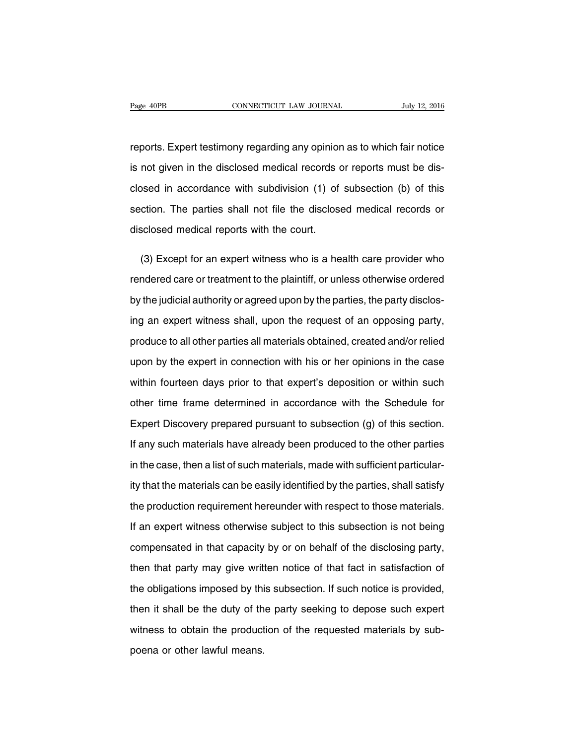reports. Expert testimony regarding any opinion as to which fair notice is not given in the disclosed medical records or reports must be disclosed in accordance with subdivision (1) of subsection (b) of this section. The parties shall not file the disclosed medical records or disclosed medical reports with the court.

(3) Except for an expert witness who is a health care provider who rendered care or treatment to the plaintiff, or unless otherwise ordered by the judicial authority or agreed upon by the parties, the party disclosing an expert witness shall, upon the request of an opposing party, produce to all other parties all materials obtained, created and/or relied upon by the expert in connection with his or her opinions in the case within fourteen days prior to that expert's deposition or within such other time frame determined in accordance with the Schedule for Expert Discovery prepared pursuant to subsection (g) of this section. If any such materials have already been produced to the other parties in the case, then a list of such materials, made with sufficient particularity that the materials can be easily identified by the parties, shall satisfy the production requirement hereunder with respect to those materials. If an expert witness otherwise subject to this subsection is not being compensated in that capacity by or on behalf of the disclosing party, then that party may give written notice of that fact in satisfaction of the obligations imposed by this subsection. If such notice is provided, then it shall be the duty of the party seeking to depose such expert witness to obtain the production of the requested materials by subpoena or other lawful means.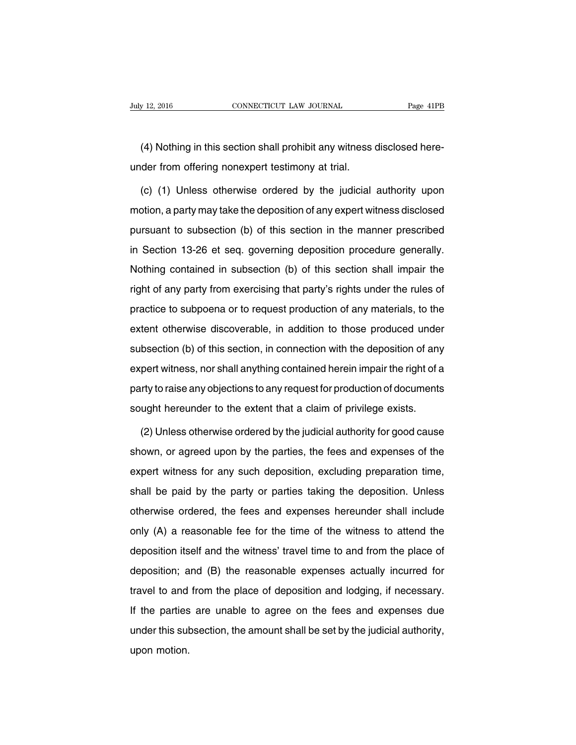(4) Nothing in this section shall prohibit any witness disclosed hereunder from offering nonexpert testimony at trial.

(c) (1) Unless otherwise ordered by the judicial authority upon motion, a party may take the deposition of any expert witness disclosed pursuant to subsection (b) of this section in the manner prescribed in Section 13-26 et seq. governing deposition procedure generally. Nothing contained in subsection (b) of this section shall impair the right of any party from exercising that party's rights under the rules of practice to subpoena or to request production of any materials, to the extent otherwise discoverable, in addition to those produced under subsection (b) of this section, in connection with the deposition of any expert witness, nor shall anything contained herein impair the right of a party to raise any objections to any request for production of documents sought hereunder to the extent that a claim of privilege exists.

(2) Unless otherwise ordered by the judicial authority for good cause shown, or agreed upon by the parties, the fees and expenses of the expert witness for any such deposition, excluding preparation time, shall be paid by the party or parties taking the deposition. Unless otherwise ordered, the fees and expenses hereunder shall include only (A) a reasonable fee for the time of the witness to attend the deposition itself and the witness' travel time to and from the place of deposition; and (B) the reasonable expenses actually incurred for travel to and from the place of deposition and lodging, if necessary. If the parties are unable to agree on the fees and expenses due under this subsection, the amount shall be set by the judicial authority, upon motion.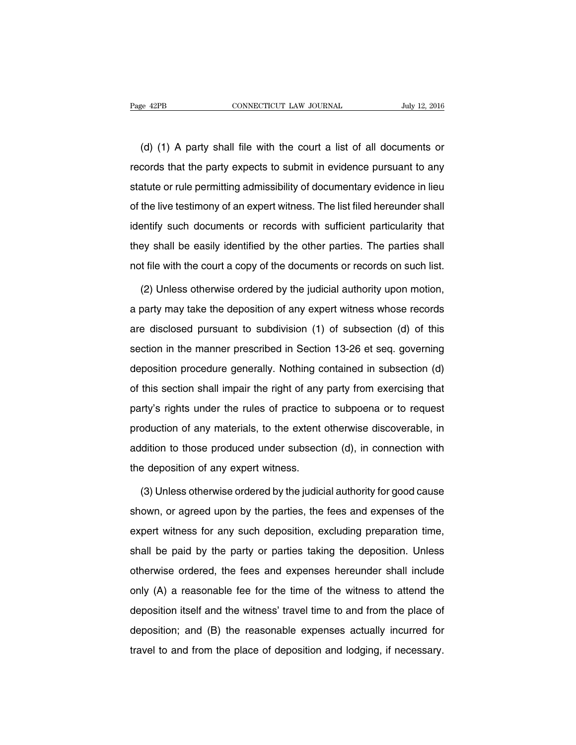(d) (1) A party shall file with the court a list of all documents or records that the party expects to submit in evidence pursuant to any statute or rule permitting admissibility of documentary evidence in lieu of the live testimony of an expert witness. The list filed hereunder shall identify such documents or records with sufficient particularity that they shall be easily identified by the other parties. The parties shall not file with the court a copy of the documents or records on such list.

(2) Unless otherwise ordered by the judicial authority upon motion, a party may take the deposition of any expert witness whose records are disclosed pursuant to subdivision (1) of subsection (d) of this section in the manner prescribed in Section 13-26 et seq. governing deposition procedure generally. Nothing contained in subsection (d) of this section shall impair the right of any party from exercising that party's rights under the rules of practice to subpoena or to request production of any materials, to the extent otherwise discoverable, in addition to those produced under subsection (d), in connection with the deposition of any expert witness.

(3) Unless otherwise ordered by the judicial authority for good cause shown, or agreed upon by the parties, the fees and expenses of the expert witness for any such deposition, excluding preparation time, shall be paid by the party or parties taking the deposition. Unless otherwise ordered, the fees and expenses hereunder shall include only (A) a reasonable fee for the time of the witness to attend the deposition itself and the witness' travel time to and from the place of deposition; and (B) the reasonable expenses actually incurred for travel to and from the place of deposition and lodging, if necessary.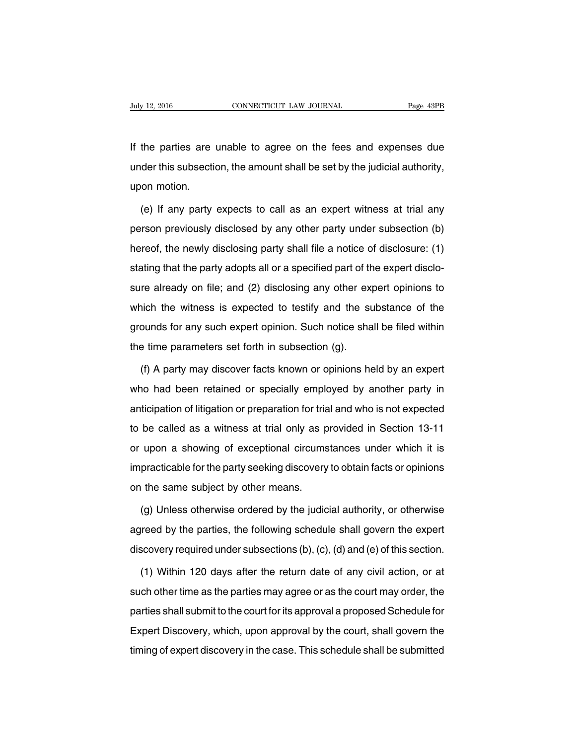If the parties are unable to agree on the fees and expenses due under this subsection, the amount shall be set by the judicial authority, upon motion.

(e) If any party expects to call as an expert witness at trial any person previously disclosed by any other party under subsection (b) hereof, the newly disclosing party shall file a notice of disclosure: (1) stating that the party adopts all or a specified part of the expert disclosure already on file; and (2) disclosing any other expert opinions to which the witness is expected to testify and the substance of the grounds for any such expert opinion. Such notice shall be filed within the time parameters set forth in subsection (g).

(f) A party may discover facts known or opinions held by an expert who had been retained or specially employed by another party in anticipation of litigation or preparation for trial and who is not expected to be called as a witness at trial only as provided in Section 13-11 or upon a showing of exceptional circumstances under which it is impracticable for the party seeking discovery to obtain facts or opinions on the same subject by other means.

(g) Unless otherwise ordered by the judicial authority, or otherwise agreed by the parties, the following schedule shall govern the expert discovery required under subsections (b), (c), (d) and (e) of this section.

(1) Within 120 days after the return date of any civil action, or at such other time as the parties may agree or as the court may order, the parties shall submit to the court for its approval a proposed Schedule for Expert Discovery, which, upon approval by the court, shall govern the timing of expert discovery in the case. This schedule shall be submitted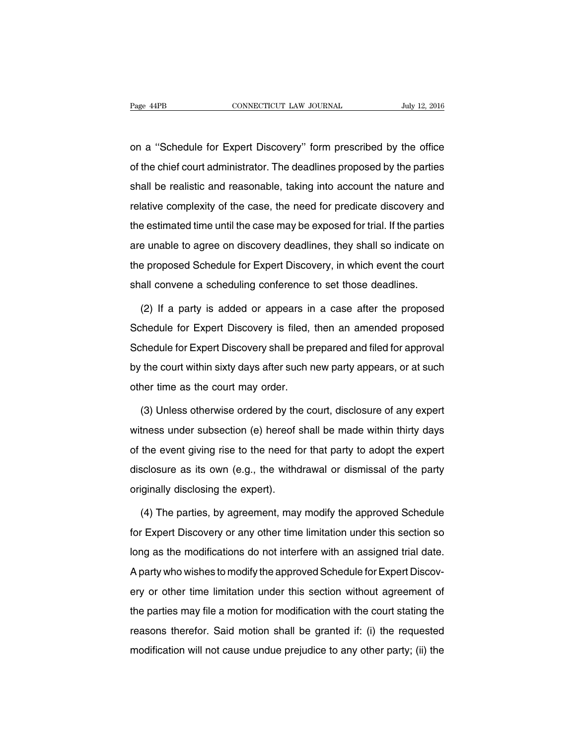on a ''Schedule for Expert Discovery'' form prescribed by the office of the chief court administrator. The deadlines proposed by the parties shall be realistic and reasonable, taking into account the nature and relative complexity of the case, the need for predicate discovery and the estimated time until the case may be exposed for trial. If the parties are unable to agree on discovery deadlines, they shall so indicate on the proposed Schedule for Expert Discovery, in which event the court shall convene a scheduling conference to set those deadlines.

(2) If a party is added or appears in a case after the proposed Schedule for Expert Discovery is filed, then an amended proposed Schedule for Expert Discovery shall be prepared and filed for approval by the court within sixty days after such new party appears, or at such other time as the court may order.

(3) Unless otherwise ordered by the court, disclosure of any expert witness under subsection (e) hereof shall be made within thirty days of the event giving rise to the need for that party to adopt the expert disclosure as its own (e.g., the withdrawal or dismissal of the party originally disclosing the expert).

(4) The parties, by agreement, may modify the approved Schedule for Expert Discovery or any other time limitation under this section so long as the modifications do not interfere with an assigned trial date. A party who wishes to modify the approved Schedule for Expert Discovery or other time limitation under this section without agreement of the parties may file a motion for modification with the court stating the reasons therefor. Said motion shall be granted if: (i) the requested modification will not cause undue prejudice to any other party; (ii) the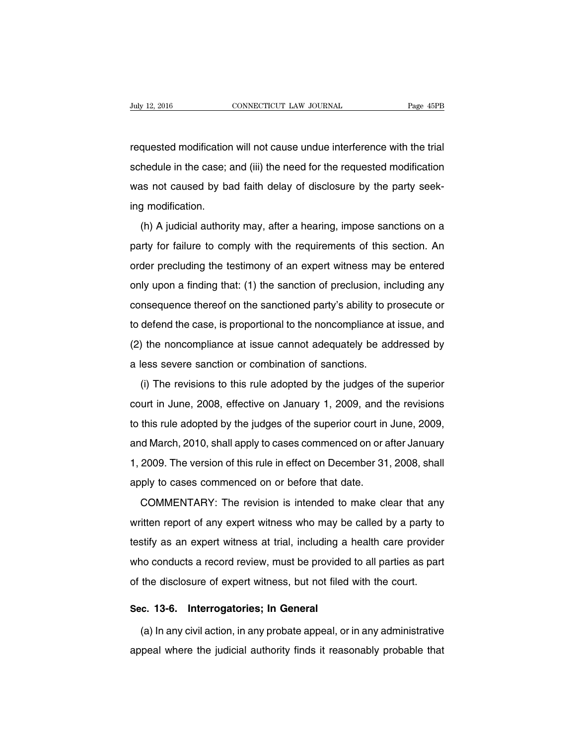requested modification will not cause undue interference with the trial schedule in the case; and (iii) the need for the requested modification was not caused by bad faith delay of disclosure by the party seeking modification.

(h) A judicial authority may, after a hearing, impose sanctions on a party for failure to comply with the requirements of this section. An order precluding the testimony of an expert witness may be entered only upon a finding that: (1) the sanction of preclusion, including any consequence thereof on the sanctioned party's ability to prosecute or to defend the case, is proportional to the noncompliance at issue, and (2) the noncompliance at issue cannot adequately be addressed by a less severe sanction or combination of sanctions.

(i) The revisions to this rule adopted by the judges of the superior court in June, 2008, effective on January 1, 2009, and the revisions to this rule adopted by the judges of the superior court in June, 2009, and March, 2010, shall apply to cases commenced on or after January 1, 2009. The version of this rule in effect on December 31, 2008, shall apply to cases commenced on or before that date.

COMMENTARY: The revision is intended to make clear that any written report of any expert witness who may be called by a party to testify as an expert witness at trial, including a health care provider who conducts a record review, must be provided to all parties as part of the disclosure of expert witness, but not filed with the court.

#### **Sec. 13-6. Interrogatories; In General**

(a) In any civil action, in any probate appeal, or in any administrative appeal where the judicial authority finds it reasonably probable that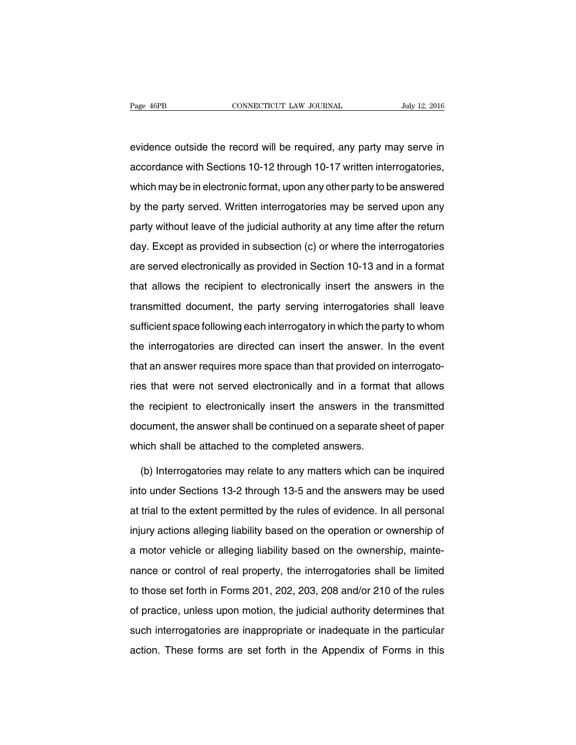evidence outside the record will be required, any party may serve in accordance with Sections 10-12 through 10-17 written interrogatories, which may be in electronic format, upon any other party to be answered by the party served. Written interrogatories may be served upon any party without leave of the judicial authority at any time after the return day. Except as provided in subsection (c) or where the interrogatories are served electronically as provided in Section 10-13 and in a format that allows the recipient to electronically insert the answers in the transmitted document, the party serving interrogatories shall leave sufficient space following each interrogatory in which the party to whom the interrogatories are directed can insert the answer. In the event that an answer requires more space than that provided on interrogatories that were not served electronically and in a format that allows the recipient to electronically insert the answers in the transmitted document, the answer shall be continued on a separate sheet of paper which shall be attached to the completed answers.

(b) Interrogatories may relate to any matters which can be inquired into under Sections 13-2 through 13-5 and the answers may be used at trial to the extent permitted by the rules of evidence. In all personal injury actions alleging liability based on the operation or ownership of a motor vehicle or alleging liability based on the ownership, maintenance or control of real property, the interrogatories shall be limited to those set forth in Forms 201, 202, 203, 208 and/or 210 of the rules of practice, unless upon motion, the judicial authority determines that such interrogatories are inappropriate or inadequate in the particular action. These forms are set forth in the Appendix of Forms in this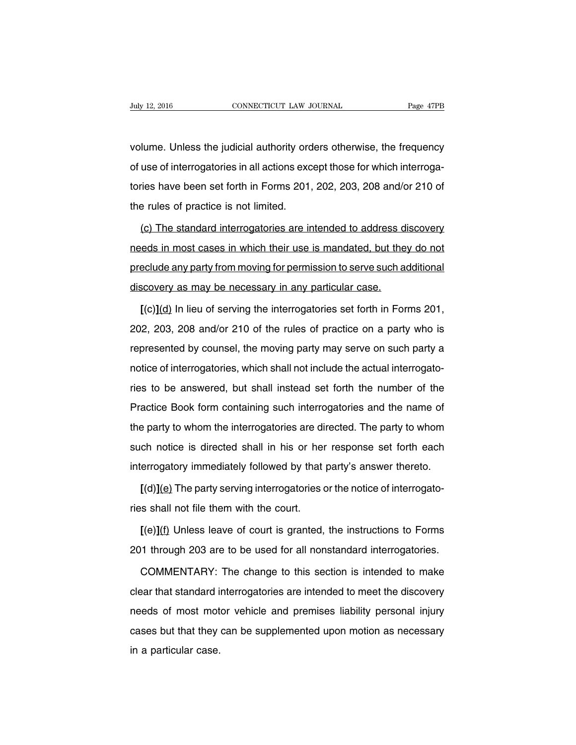volume. Unless the judicial authority orders otherwise, the frequency of use of interrogatories in all actions except those for which interrogatories have been set forth in Forms 201, 202, 203, 208 and/or 210 of the rules of practice is not limited.

(c) The standard interrogatories are intended to address discovery needs in most cases in which their use is mandated, but they do not preclude any party from moving for permission to serve such additional discovery as may be necessary in any particular case.

**[**(c)**]**(d) In lieu of serving the interrogatories set forth in Forms 201, 202, 203, 208 and/or 210 of the rules of practice on a party who is represented by counsel, the moving party may serve on such party a notice of interrogatories, which shall not include the actual interrogatories to be answered, but shall instead set forth the number of the Practice Book form containing such interrogatories and the name of the party to whom the interrogatories are directed. The party to whom such notice is directed shall in his or her response set forth each interrogatory immediately followed by that party's answer thereto.

**[**(d)**]**(e) The party serving interrogatories or the notice of interrogatories shall not file them with the court.

**[**(e)**]**(f) Unless leave of court is granted, the instructions to Forms 201 through 203 are to be used for all nonstandard interrogatories.

COMMENTARY: The change to this section is intended to make clear that standard interrogatories are intended to meet the discovery needs of most motor vehicle and premises liability personal injury cases but that they can be supplemented upon motion as necessary in a particular case.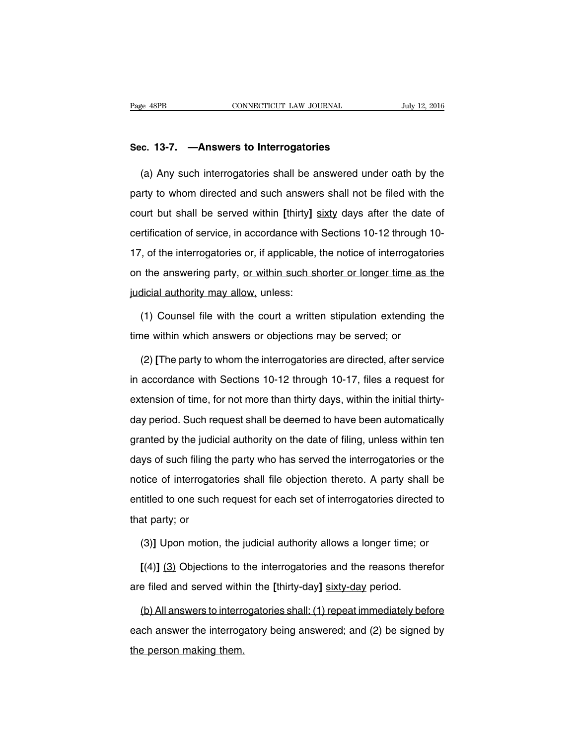#### **Sec. 13-7. —Answers to Interrogatories**

(a) Any such interrogatories shall be answered under oath by the party to whom directed and such answers shall not be filed with the court but shall be served within **[**thirty**]** sixty days after the date of certification of service, in accordance with Sections 10-12 through 10- 17, of the interrogatories or, if applicable, the notice of interrogatories on the answering party, or within such shorter or longer time as the judicial authority may allow, unless:

(1) Counsel file with the court a written stipulation extending the time within which answers or objections may be served; or

(2) **[**The party to whom the interrogatories are directed, after service in accordance with Sections 10-12 through 10-17, files a request for extension of time, for not more than thirty days, within the initial thirtyday period. Such request shall be deemed to have been automatically granted by the judicial authority on the date of filing, unless within ten days of such filing the party who has served the interrogatories or the notice of interrogatories shall file objection thereto. A party shall be entitled to one such request for each set of interrogatories directed to that party; or

(3)**]** Upon motion, the judicial authority allows a longer time; or

**[**(4)**]** (3) Objections to the interrogatories and the reasons therefor are filed and served within the **[**thirty-day**]** sixty-day period.

(b) All answers to interrogatories shall: (1) repeat immediately before each answer the interrogatory being answered; and (2) be signed by the person making them.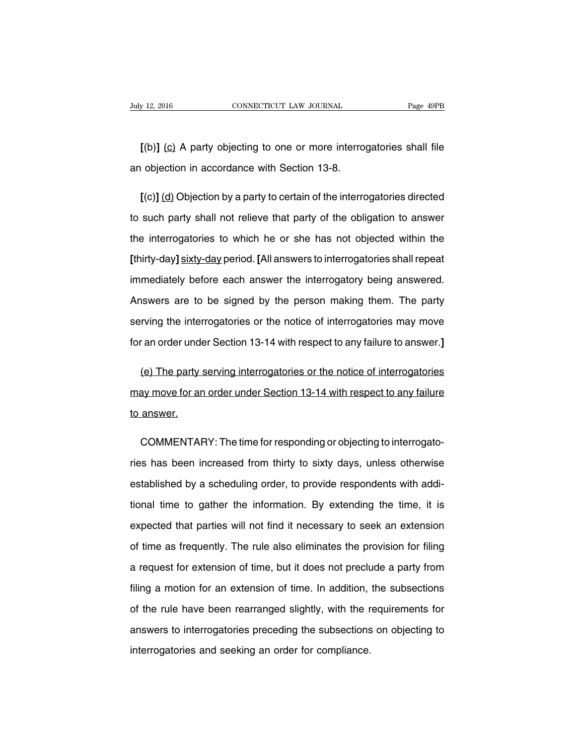**[**(b)**]** (c) A party objecting to one or more interrogatories shall file an objection in accordance with Section 13-8.

**[**(c)**]** (d) Objection by a party to certain of the interrogatories directed to such party shall not relieve that party of the obligation to answer the interrogatories to which he or she has not objected within the **[**thirty-day**]** sixty-day period. **[**All answers to interrogatories shall repeat immediately before each answer the interrogatory being answered. Answers are to be signed by the person making them. The party serving the interrogatories or the notice of interrogatories may move for an order under Section 13-14 with respect to any failure to answer.**]**

(e) The party serving interrogatories or the notice of interrogatories may move for an order under Section 13-14 with respect to any failure to answer.

COMMENTARY: The time for responding or objecting to interrogatories has been increased from thirty to sixty days, unless otherwise established by a scheduling order, to provide respondents with additional time to gather the information. By extending the time, it is expected that parties will not find it necessary to seek an extension of time as frequently. The rule also eliminates the provision for filing a request for extension of time, but it does not preclude a party from filing a motion for an extension of time. In addition, the subsections of the rule have been rearranged slightly, with the requirements for answers to interrogatories preceding the subsections on objecting to interrogatories and seeking an order for compliance.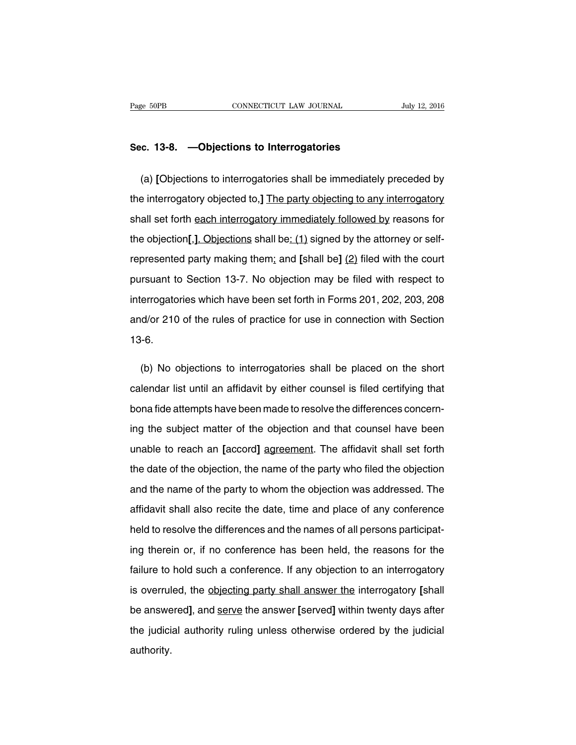#### **Sec. 13-8. —Objections to Interrogatories**

(a) **[**Objections to interrogatories shall be immediately preceded by the interrogatory objected to,**]** The party objecting to any interrogatory shall set forth each interrogatory immediately followed by reasons for the objection**[**,**]**. Objections shall be: (1) signed by the attorney or selfrepresented party making them; and **[**shall be**]** (2) filed with the court pursuant to Section 13-7. No objection may be filed with respect to interrogatories which have been set forth in Forms 201, 202, 203, 208 and/or 210 of the rules of practice for use in connection with Section 13-6.

(b) No objections to interrogatories shall be placed on the short calendar list until an affidavit by either counsel is filed certifying that bona fide attempts have been made to resolve the differences concerning the subject matter of the objection and that counsel have been unable to reach an **[**accord**]** agreement. The affidavit shall set forth the date of the objection, the name of the party who filed the objection and the name of the party to whom the objection was addressed. The affidavit shall also recite the date, time and place of any conference held to resolve the differences and the names of all persons participating therein or, if no conference has been held, the reasons for the failure to hold such a conference. If any objection to an interrogatory is overruled, the objecting party shall answer the interrogatory **[**shall be answered**]**, and serve the answer **[**served**]** within twenty days after the judicial authority ruling unless otherwise ordered by the judicial authority.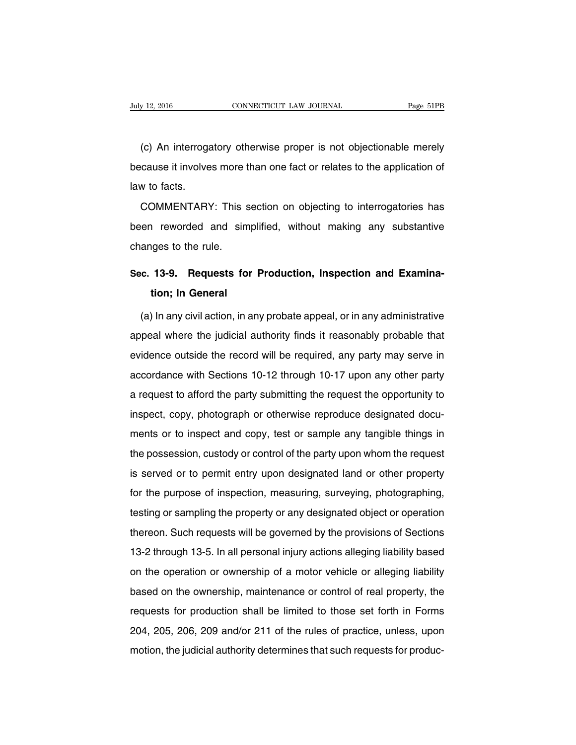(c) An interrogatory otherwise proper is not objectionable merely because it involves more than one fact or relates to the application of law to facts.

COMMENTARY: This section on objecting to interrogatories has been reworded and simplified, without making any substantive changes to the rule.

## **Sec. 13-9. Requests for Production, Inspection and Examination; In General**

(a) In any civil action, in any probate appeal, or in any administrative appeal where the judicial authority finds it reasonably probable that evidence outside the record will be required, any party may serve in accordance with Sections 10-12 through 10-17 upon any other party a request to afford the party submitting the request the opportunity to inspect, copy, photograph or otherwise reproduce designated documents or to inspect and copy, test or sample any tangible things in the possession, custody or control of the party upon whom the request is served or to permit entry upon designated land or other property for the purpose of inspection, measuring, surveying, photographing, testing or sampling the property or any designated object or operation thereon. Such requests will be governed by the provisions of Sections 13-2 through 13-5. In all personal injury actions alleging liability based on the operation or ownership of a motor vehicle or alleging liability based on the ownership, maintenance or control of real property, the requests for production shall be limited to those set forth in Forms 204, 205, 206, 209 and/or 211 of the rules of practice, unless, upon motion, the judicial authority determines that such requests for produc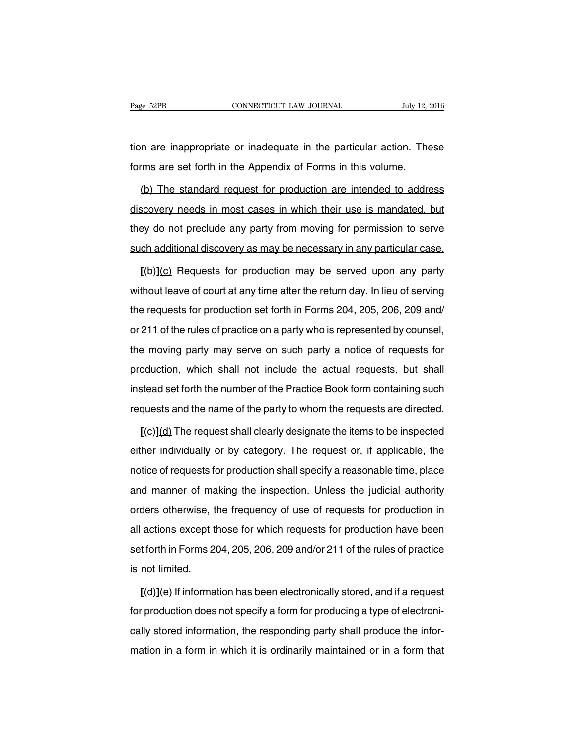tion are inappropriate or inadequate in the particular action. These forms are set forth in the Appendix of Forms in this volume.

(b) The standard request for production are intended to address discovery needs in most cases in which their use is mandated, but they do not preclude any party from moving for permission to serve such additional discovery as may be necessary in any particular case.

**[**(b)**]**(c) Requests for production may be served upon any party without leave of court at any time after the return day. In lieu of serving the requests for production set forth in Forms 204, 205, 206, 209 and/ or 211 of the rules of practice on a party who is represented by counsel, the moving party may serve on such party a notice of requests for production, which shall not include the actual requests, but shall instead set forth the number of the Practice Book form containing such requests and the name of the party to whom the requests are directed.

**[**(c)**]**(d) The request shall clearly designate the items to be inspected either individually or by category. The request or, if applicable, the notice of requests for production shall specify a reasonable time, place and manner of making the inspection. Unless the judicial authority orders otherwise, the frequency of use of requests for production in all actions except those for which requests for production have been set forth in Forms 204, 205, 206, 209 and/or 211 of the rules of practice is not limited.

**[**(d)**]**(e) If information has been electronically stored, and if a request for production does not specify a form for producing a type of electronically stored information, the responding party shall produce the information in a form in which it is ordinarily maintained or in a form that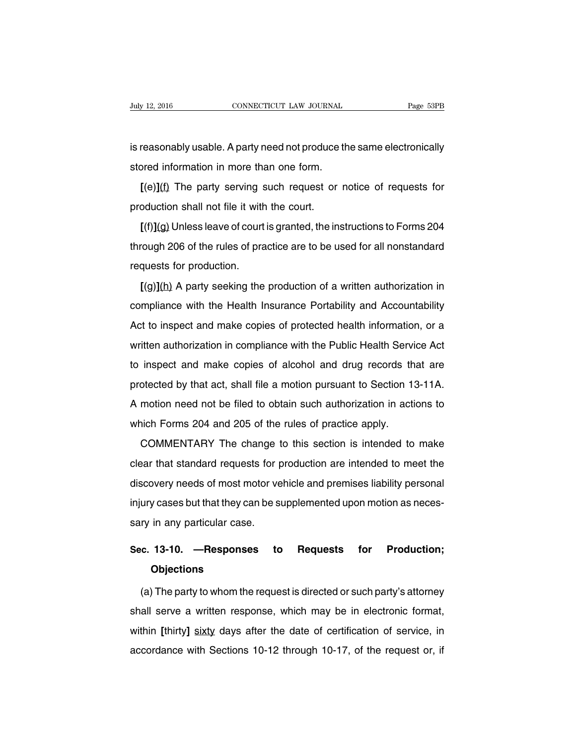is reasonably usable. A party need not produce the same electronically stored information in more than one form.

**[**(e)**]**(f) The party serving such request or notice of requests for production shall not file it with the court.

**[**(f)**]**(g) Unless leave of court is granted, the instructions to Forms 204 through 206 of the rules of practice are to be used for all nonstandard requests for production.

**[**(g)**]**(h) A party seeking the production of a written authorization in compliance with the Health Insurance Portability and Accountability Act to inspect and make copies of protected health information, or a written authorization in compliance with the Public Health Service Act to inspect and make copies of alcohol and drug records that are protected by that act, shall file a motion pursuant to Section 13-11A. A motion need not be filed to obtain such authorization in actions to which Forms 204 and 205 of the rules of practice apply.

COMMENTARY The change to this section is intended to make clear that standard requests for production are intended to meet the discovery needs of most motor vehicle and premises liability personal injury cases but that they can be supplemented upon motion as necessary in any particular case.

### **Sec. 13-10. —Responses to Requests for Production; Objections**

(a) The party to whom the request is directed or such party's attorney shall serve a written response, which may be in electronic format, within **[**thirty**]** sixty days after the date of certification of service, in accordance with Sections 10-12 through 10-17, of the request or, if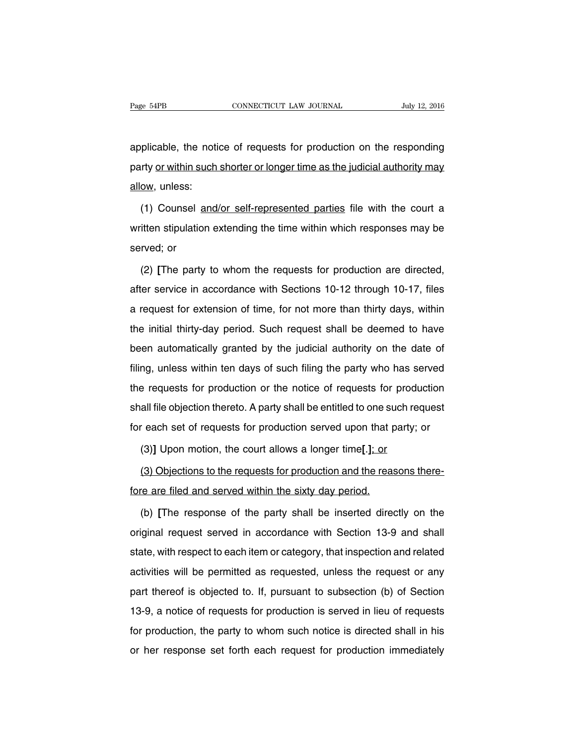applicable, the notice of requests for production on the responding party or within such shorter or longer time as the judicial authority may allow, unless:

(1) Counsel and/or self-represented parties file with the court a written stipulation extending the time within which responses may be served; or

(2) **[**The party to whom the requests for production are directed, after service in accordance with Sections 10-12 through 10-17, files a request for extension of time, for not more than thirty days, within the initial thirty-day period. Such request shall be deemed to have been automatically granted by the judicial authority on the date of filing, unless within ten days of such filing the party who has served the requests for production or the notice of requests for production shall file objection thereto. A party shall be entitled to one such request for each set of requests for production served upon that party; or

(3)**]** Upon motion, the court allows a longer time**[**.**]**; or

(3) Objections to the requests for production and the reasons therefore are filed and served within the sixty day period.

(b) **[**The response of the party shall be inserted directly on the original request served in accordance with Section 13-9 and shall state, with respect to each item or category, that inspection and related activities will be permitted as requested, unless the request or any part thereof is objected to. If, pursuant to subsection (b) of Section 13-9, a notice of requests for production is served in lieu of requests for production, the party to whom such notice is directed shall in his or her response set forth each request for production immediately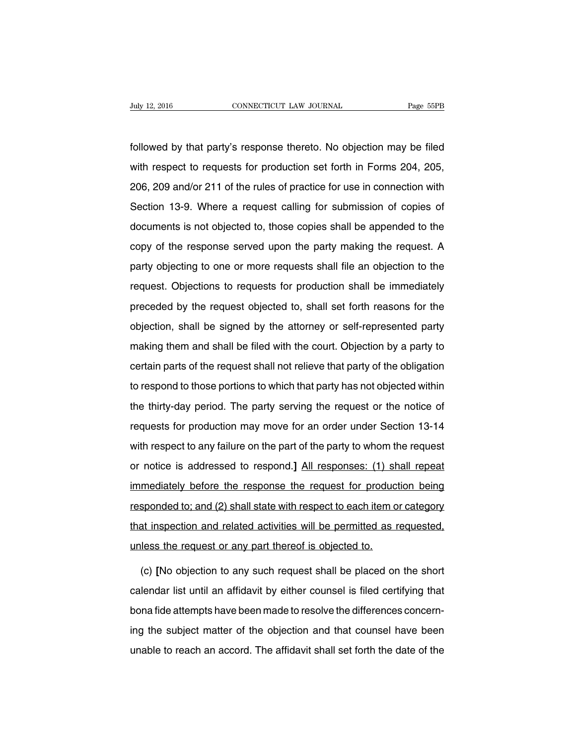followed by that party's response thereto. No objection may be filed with respect to requests for production set forth in Forms 204, 205, 206, 209 and/or 211 of the rules of practice for use in connection with Section 13-9. Where a request calling for submission of copies of documents is not objected to, those copies shall be appended to the copy of the response served upon the party making the request. A party objecting to one or more requests shall file an objection to the request. Objections to requests for production shall be immediately preceded by the request objected to, shall set forth reasons for the objection, shall be signed by the attorney or self-represented party making them and shall be filed with the court. Objection by a party to certain parts of the request shall not relieve that party of the obligation to respond to those portions to which that party has not objected within the thirty-day period. The party serving the request or the notice of requests for production may move for an order under Section 13-14 with respect to any failure on the part of the party to whom the request or notice is addressed to respond.**]** All responses: (1) shall repeat immediately before the response the request for production being responded to; and (2) shall state with respect to each item or category that inspection and related activities will be permitted as requested, unless the request or any part thereof is objected to.

(c) **[**No objection to any such request shall be placed on the short calendar list until an affidavit by either counsel is filed certifying that bona fide attempts have been made to resolve the differences concerning the subject matter of the objection and that counsel have been unable to reach an accord. The affidavit shall set forth the date of the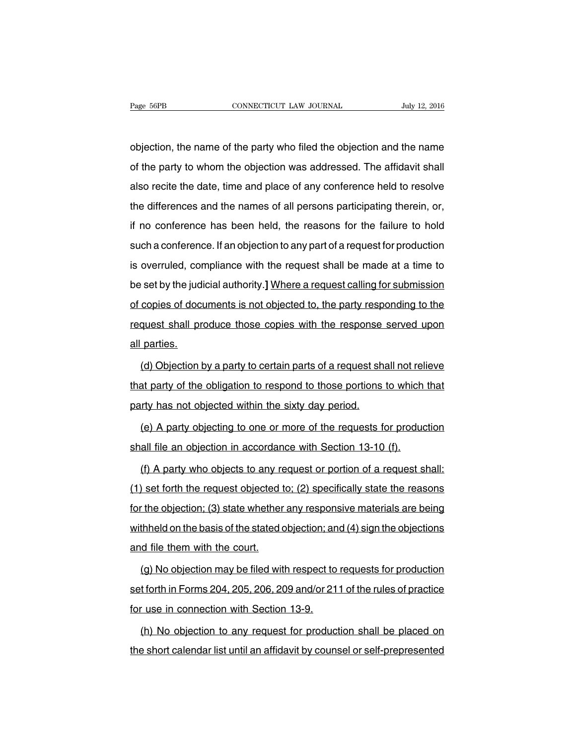objection, the name of the party who filed the objection and the name of the party to whom the objection was addressed. The affidavit shall also recite the date, time and place of any conference held to resolve the differences and the names of all persons participating therein, or, if no conference has been held, the reasons for the failure to hold such a conference. If an objection to any part of a request for production is overruled, compliance with the request shall be made at a time to be set by the judicial authority.**]** Where a request calling for submission of copies of documents is not objected to, the party responding to the request shall produce those copies with the response served upon all parties.

(d) Objection by a party to certain parts of a request shall not relieve that party of the obligation to respond to those portions to which that party has not objected within the sixty day period.

(e) A party objecting to one or more of the requests for production shall file an objection in accordance with Section 13-10 (f).

(f) A party who objects to any request or portion of a request shall: (1) set forth the request objected to; (2) specifically state the reasons for the objection; (3) state whether any responsive materials are being withheld on the basis of the stated objection; and (4) sign the objections and file them with the court.

(g) No objection may be filed with respect to requests for production set forth in Forms 204, 205, 206, 209 and/or 211 of the rules of practice for use in connection with Section 13-9.

(h) No objection to any request for production shall be placed on the short calendar list until an affidavit by counsel or self-prepresented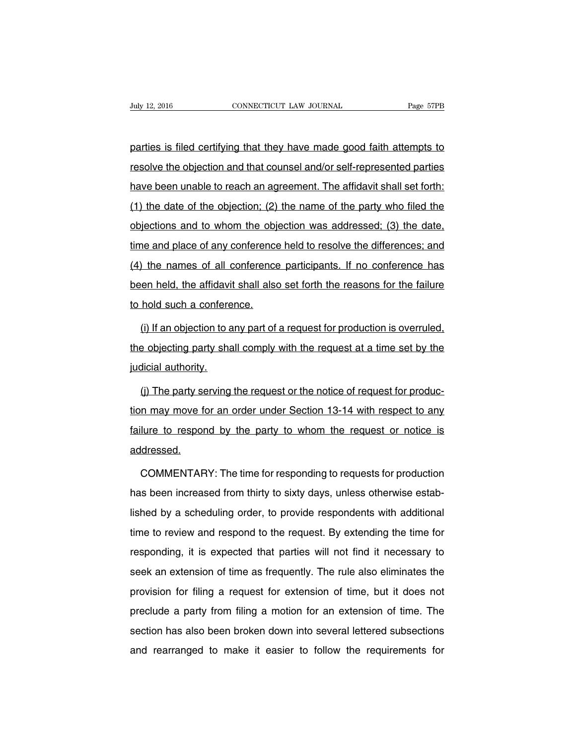parties is filed certifying that they have made good faith attempts to resolve the objection and that counsel and/or self-represented parties have been unable to reach an agreement. The affidavit shall set forth: (1) the date of the objection; (2) the name of the party who filed the objections and to whom the objection was addressed; (3) the date, time and place of any conference held to resolve the differences; and (4) the names of all conference participants. If no conference has been held, the affidavit shall also set forth the reasons for the failure to hold such a conference.

(i) If an objection to any part of a request for production is overruled, the objecting party shall comply with the request at a time set by the judicial authority.

(j) The party serving the request or the notice of request for production may move for an order under Section 13-14 with respect to any failure to respond by the party to whom the request or notice is addressed.

COMMENTARY: The time for responding to requests for production has been increased from thirty to sixty days, unless otherwise established by a scheduling order, to provide respondents with additional time to review and respond to the request. By extending the time for responding, it is expected that parties will not find it necessary to seek an extension of time as frequently. The rule also eliminates the provision for filing a request for extension of time, but it does not preclude a party from filing a motion for an extension of time. The section has also been broken down into several lettered subsections and rearranged to make it easier to follow the requirements for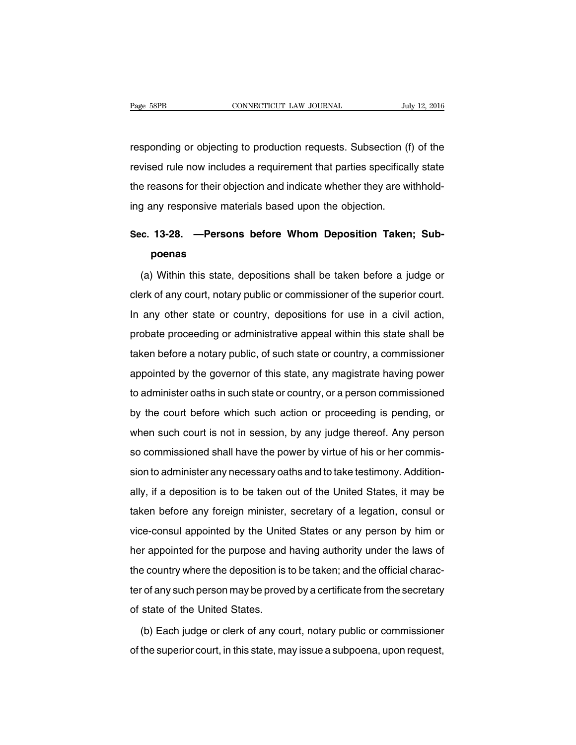responding or objecting to production requests. Subsection (f) of the revised rule now includes a requirement that parties specifically state the reasons for their objection and indicate whether they are withholding any responsive materials based upon the objection.

## **Sec. 13-28. —Persons before Whom Deposition Taken; Subpoenas**

(a) Within this state, depositions shall be taken before a judge or clerk of any court, notary public or commissioner of the superior court. In any other state or country, depositions for use in a civil action, probate proceeding or administrative appeal within this state shall be taken before a notary public, of such state or country, a commissioner appointed by the governor of this state, any magistrate having power to administer oaths in such state or country, or a person commissioned by the court before which such action or proceeding is pending, or when such court is not in session, by any judge thereof. Any person so commissioned shall have the power by virtue of his or her commission to administer any necessary oaths and to take testimony. Additionally, if a deposition is to be taken out of the United States, it may be taken before any foreign minister, secretary of a legation, consul or vice-consul appointed by the United States or any person by him or her appointed for the purpose and having authority under the laws of the country where the deposition is to be taken; and the official character of any such person may be proved by a certificate from the secretary of state of the United States.

(b) Each judge or clerk of any court, notary public or commissioner of the superior court, in this state, may issue a subpoena, upon request,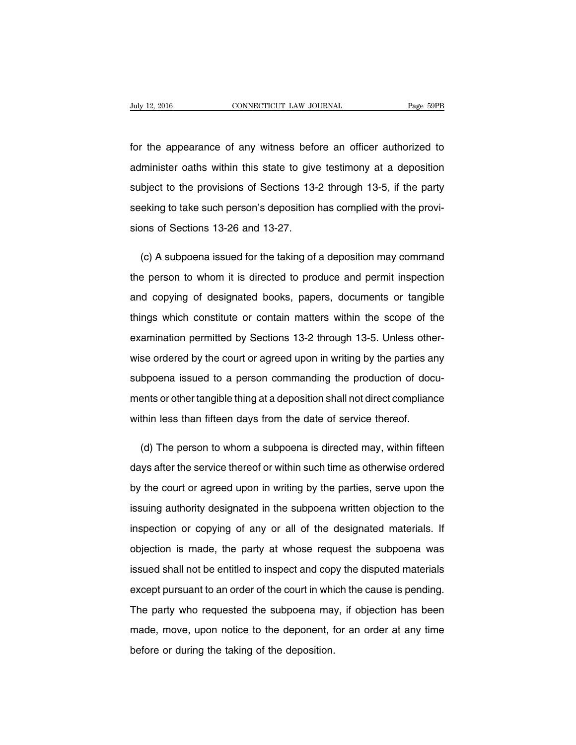for the appearance of any witness before an officer authorized to administer oaths within this state to give testimony at a deposition subject to the provisions of Sections 13-2 through 13-5, if the party seeking to take such person's deposition has complied with the provisions of Sections 13-26 and 13-27.

(c) A subpoena issued for the taking of a deposition may command the person to whom it is directed to produce and permit inspection and copying of designated books, papers, documents or tangible things which constitute or contain matters within the scope of the examination permitted by Sections 13-2 through 13-5. Unless otherwise ordered by the court or agreed upon in writing by the parties any subpoena issued to a person commanding the production of documents or other tangible thing at a deposition shall not direct compliance within less than fifteen days from the date of service thereof.

(d) The person to whom a subpoena is directed may, within fifteen days after the service thereof or within such time as otherwise ordered by the court or agreed upon in writing by the parties, serve upon the issuing authority designated in the subpoena written objection to the inspection or copying of any or all of the designated materials. If objection is made, the party at whose request the subpoena was issued shall not be entitled to inspect and copy the disputed materials except pursuant to an order of the court in which the cause is pending. The party who requested the subpoena may, if objection has been made, move, upon notice to the deponent, for an order at any time before or during the taking of the deposition.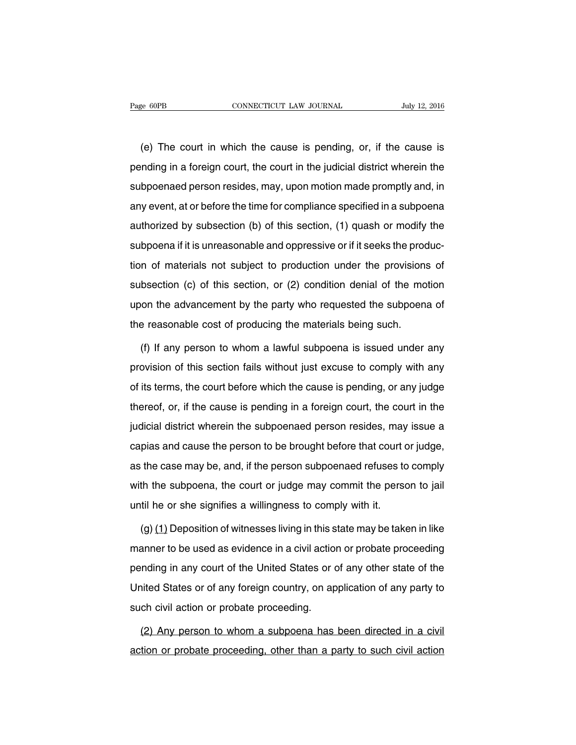(e) The court in which the cause is pending, or, if the cause is pending in a foreign court, the court in the judicial district wherein the subpoenaed person resides, may, upon motion made promptly and, in any event, at or before the time for compliance specified in a subpoena authorized by subsection (b) of this section, (1) quash or modify the subpoena if it is unreasonable and oppressive or if it seeks the production of materials not subject to production under the provisions of subsection (c) of this section, or (2) condition denial of the motion upon the advancement by the party who requested the subpoena of the reasonable cost of producing the materials being such.

(f) If any person to whom a lawful subpoena is issued under any provision of this section fails without just excuse to comply with any of its terms, the court before which the cause is pending, or any judge thereof, or, if the cause is pending in a foreign court, the court in the judicial district wherein the subpoenaed person resides, may issue a capias and cause the person to be brought before that court or judge, as the case may be, and, if the person subpoenaed refuses to comply with the subpoena, the court or judge may commit the person to jail until he or she signifies a willingness to comply with it.

(g) (1) Deposition of witnesses living in this state may be taken in like manner to be used as evidence in a civil action or probate proceeding pending in any court of the United States or of any other state of the United States or of any foreign country, on application of any party to such civil action or probate proceeding.

(2) Any person to whom a subpoena has been directed in a civil action or probate proceeding, other than a party to such civil action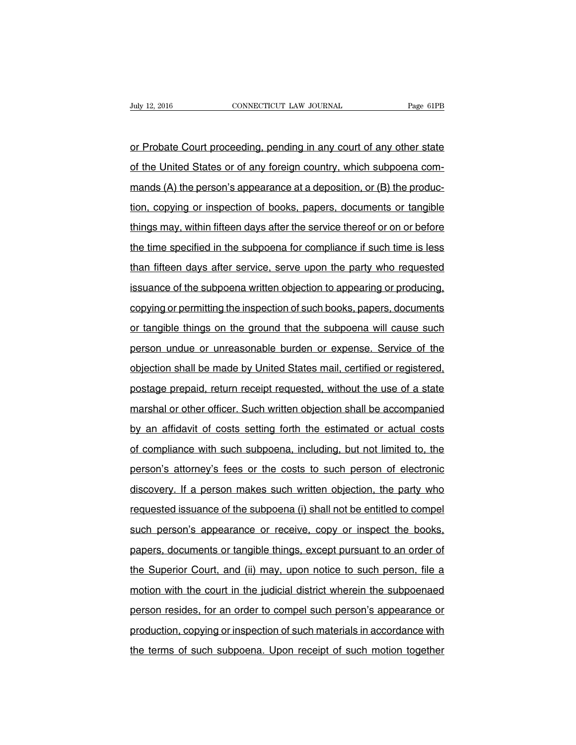or Probate Court proceeding, pending in any court of any other state of the United States or of any foreign country, which subpoena commands (A) the person's appearance at a deposition, or (B) the production, copying or inspection of books, papers, documents or tangible things may, within fifteen days after the service thereof or on or before the time specified in the subpoena for compliance if such time is less than fifteen days after service, serve upon the party who requested issuance of the subpoena written objection to appearing or producing, copying or permitting the inspection of such books, papers, documents or tangible things on the ground that the subpoena will cause such person undue or unreasonable burden or expense. Service of the objection shall be made by United States mail, certified or registered, postage prepaid, return receipt requested, without the use of a state marshal or other officer. Such written objection shall be accompanied by an affidavit of costs setting forth the estimated or actual costs of compliance with such subpoena, including, but not limited to, the person's attorney's fees or the costs to such person of electronic discovery. If a person makes such written objection, the party who requested issuance of the subpoena (i) shall not be entitled to compel such person's appearance or receive, copy or inspect the books, papers, documents or tangible things, except pursuant to an order of the Superior Court, and (ii) may, upon notice to such person, file a motion with the court in the judicial district wherein the subpoenaed person resides, for an order to compel such person's appearance or production, copying or inspection of such materials in accordance with the terms of such subpoena. Upon receipt of such motion together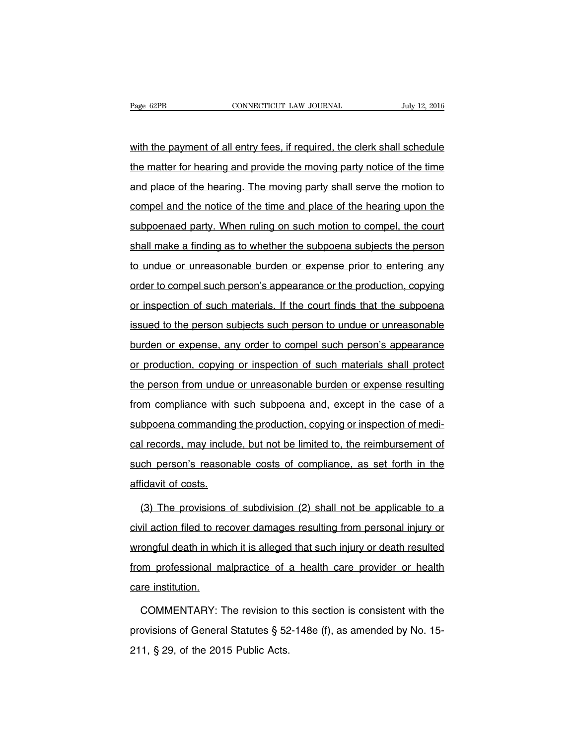with the payment of all entry fees, if required, the clerk shall schedule the matter for hearing and provide the moving party notice of the time and place of the hearing. The moving party shall serve the motion to compel and the notice of the time and place of the hearing upon the subpoenaed party. When ruling on such motion to compel, the court shall make a finding as to whether the subpoena subjects the person to undue or unreasonable burden or expense prior to entering any order to compel such person's appearance or the production, copying or inspection of such materials. If the court finds that the subpoena issued to the person subjects such person to undue or unreasonable burden or expense, any order to compel such person's appearance or production, copying or inspection of such materials shall protect the person from undue or unreasonable burden or expense resulting from compliance with such subpoena and, except in the case of a subpoena commanding the production, copying or inspection of medical records, may include, but not be limited to, the reimbursement of such person's reasonable costs of compliance, as set forth in the affidavit of costs.

(3) The provisions of subdivision (2) shall not be applicable to a civil action filed to recover damages resulting from personal injury or wrongful death in which it is alleged that such injury or death resulted from professional malpractice of a health care provider or health care institution.

COMMENTARY: The revision to this section is consistent with the provisions of General Statutes § 52-148e (f), as amended by No. 15- 211, § 29, of the 2015 Public Acts.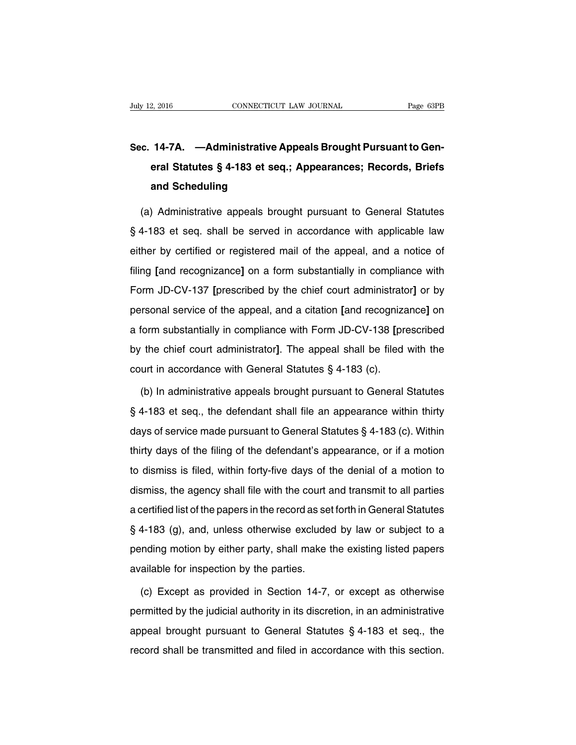# **Sec. 14-7A. —Administrative Appeals Brought Pursuant to General Statutes § 4-183 et seq.; Appearances; Records, Briefs and Scheduling**

(a) Administrative appeals brought pursuant to General Statutes § 4-183 et seq. shall be served in accordance with applicable law either by certified or registered mail of the appeal, and a notice of filing **[**and recognizance**]** on a form substantially in compliance with Form JD-CV-137 **[**prescribed by the chief court administrator**]** or by personal service of the appeal, and a citation **[**and recognizance**]** on a form substantially in compliance with Form JD-CV-138 **[**prescribed by the chief court administrator**]**. The appeal shall be filed with the court in accordance with General Statutes § 4-183 (c).

(b) In administrative appeals brought pursuant to General Statutes § 4-183 et seq., the defendant shall file an appearance within thirty days of service made pursuant to General Statutes § 4-183 (c). Within thirty days of the filing of the defendant's appearance, or if a motion to dismiss is filed, within forty-five days of the denial of a motion to dismiss, the agency shall file with the court and transmit to all parties a certified list of the papers in the record as set forth in General Statutes § 4-183 (g), and, unless otherwise excluded by law or subject to a pending motion by either party, shall make the existing listed papers available for inspection by the parties.

(c) Except as provided in Section 14-7, or except as otherwise permitted by the judicial authority in its discretion, in an administrative appeal brought pursuant to General Statutes § 4-183 et seq., the record shall be transmitted and filed in accordance with this section.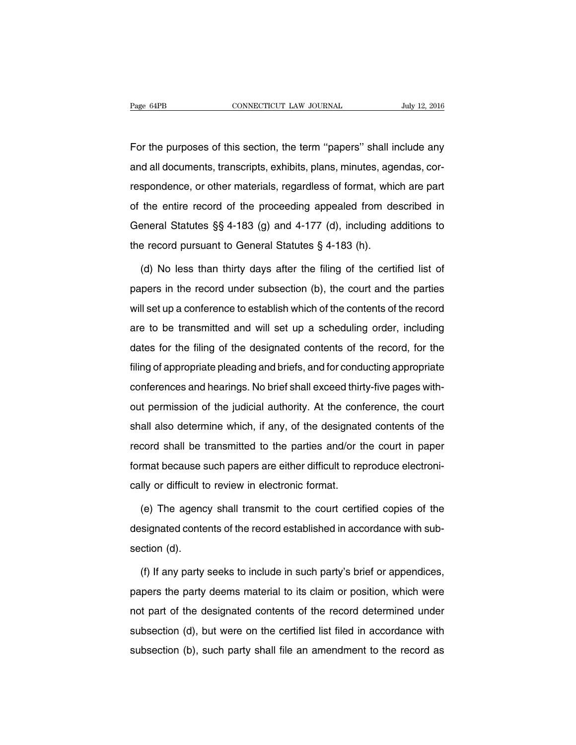For the purposes of this section, the term ''papers'' shall include any and all documents, transcripts, exhibits, plans, minutes, agendas, correspondence, or other materials, regardless of format, which are part of the entire record of the proceeding appealed from described in General Statutes §§ 4-183 (g) and 4-177 (d), including additions to the record pursuant to General Statutes § 4-183 (h).

(d) No less than thirty days after the filing of the certified list of papers in the record under subsection (b), the court and the parties will set up a conference to establish which of the contents of the record are to be transmitted and will set up a scheduling order, including dates for the filing of the designated contents of the record, for the filing of appropriate pleading and briefs, and for conducting appropriate conferences and hearings. No brief shall exceed thirty-five pages without permission of the judicial authority. At the conference, the court shall also determine which, if any, of the designated contents of the record shall be transmitted to the parties and/or the court in paper format because such papers are either difficult to reproduce electronically or difficult to review in electronic format.

(e) The agency shall transmit to the court certified copies of the designated contents of the record established in accordance with subsection (d).

(f) If any party seeks to include in such party's brief or appendices, papers the party deems material to its claim or position, which were not part of the designated contents of the record determined under subsection (d), but were on the certified list filed in accordance with subsection (b), such party shall file an amendment to the record as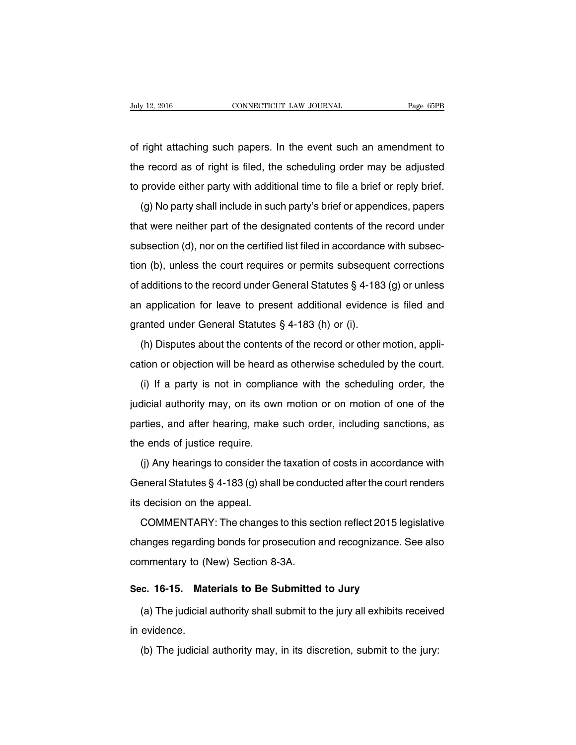of right attaching such papers. In the event such an amendment to the record as of right is filed, the scheduling order may be adjusted to provide either party with additional time to file a brief or reply brief.

(g) No party shall include in such party's brief or appendices, papers that were neither part of the designated contents of the record under subsection (d), nor on the certified list filed in accordance with subsection (b), unless the court requires or permits subsequent corrections of additions to the record under General Statutes § 4-183 (g) or unless an application for leave to present additional evidence is filed and granted under General Statutes § 4-183 (h) or (i).

(h) Disputes about the contents of the record or other motion, application or objection will be heard as otherwise scheduled by the court.

(i) If a party is not in compliance with the scheduling order, the judicial authority may, on its own motion or on motion of one of the parties, and after hearing, make such order, including sanctions, as the ends of justice require.

(j) Any hearings to consider the taxation of costs in accordance with General Statutes § 4-183 (g) shall be conducted after the court renders its decision on the appeal.

COMMENTARY: The changes to this section reflect 2015 legislative changes regarding bonds for prosecution and recognizance. See also commentary to (New) Section 8-3A.

#### **Sec. 16-15. Materials to Be Submitted to Jury**

(a) The judicial authority shall submit to the jury all exhibits received in evidence.

(b) The judicial authority may, in its discretion, submit to the jury: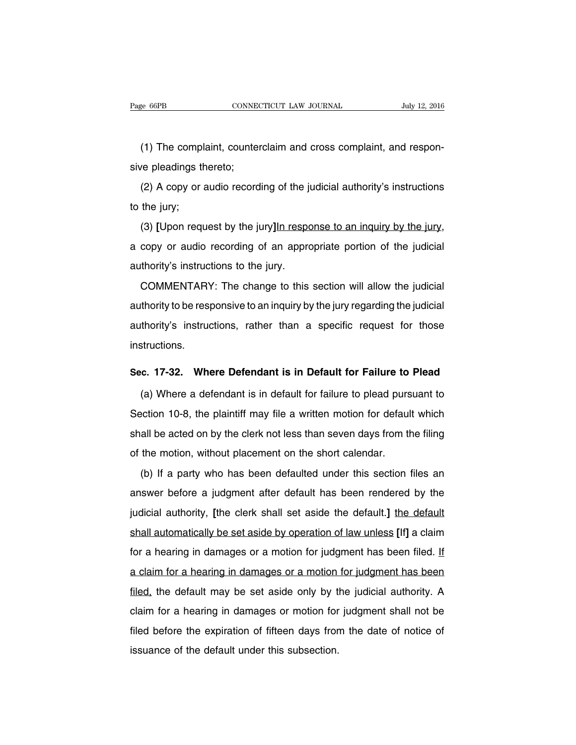(1) The complaint, counterclaim and cross complaint, and responsive pleadings thereto;

(2) A copy or audio recording of the judicial authority's instructions to the jury;

(3) **[**Upon request by the jury**]**In response to an inquiry by the jury, a copy or audio recording of an appropriate portion of the judicial authority's instructions to the jury.

COMMENTARY: The change to this section will allow the judicial authority to be responsive to an inquiry by the jury regarding the judicial authority's instructions, rather than a specific request for those instructions.

#### **Sec. 17-32. Where Defendant is in Default for Failure to Plead**

(a) Where a defendant is in default for failure to plead pursuant to Section 10-8, the plaintiff may file a written motion for default which shall be acted on by the clerk not less than seven days from the filing of the motion, without placement on the short calendar.

(b) If a party who has been defaulted under this section files an answer before a judgment after default has been rendered by the judicial authority, **[**the clerk shall set aside the default.**]** the default shall automatically be set aside by operation of law unless **[**If**]** a claim for a hearing in damages or a motion for judgment has been filed. If a claim for a hearing in damages or a motion for judgment has been filed, the default may be set aside only by the judicial authority. A claim for a hearing in damages or motion for judgment shall not be filed before the expiration of fifteen days from the date of notice of issuance of the default under this subsection.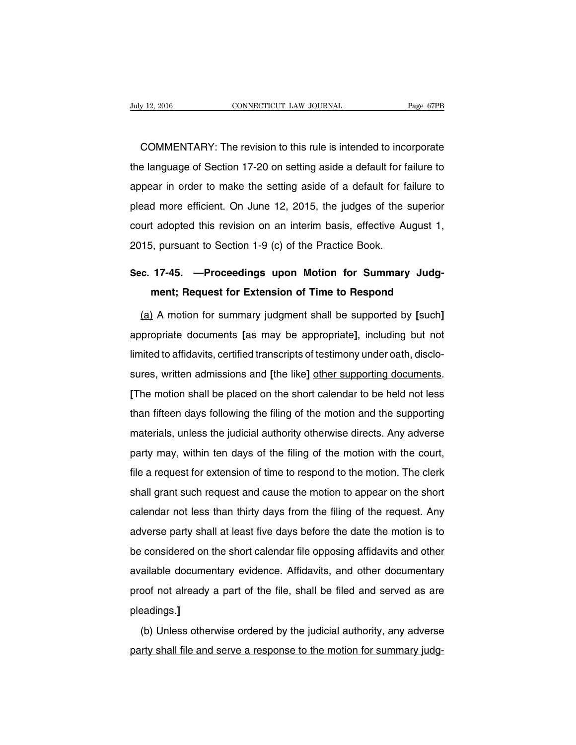COMMENTARY: The revision to this rule is intended to incorporate the language of Section 17-20 on setting aside a default for failure to appear in order to make the setting aside of a default for failure to plead more efficient. On June 12, 2015, the judges of the superior court adopted this revision on an interim basis, effective August 1, 2015, pursuant to Section 1-9 (c) of the Practice Book.

## **Sec. 17-45. —Proceedings upon Motion for Summary Judgment; Request for Extension of Time to Respond**

(a) A motion for summary judgment shall be supported by **[**such**]** appropriate documents **[**as may be appropriate**]**, including but not limited to affidavits, certified transcripts of testimony under oath, disclosures, written admissions and **[**the like**]** other supporting documents. **[**The motion shall be placed on the short calendar to be held not less than fifteen days following the filing of the motion and the supporting materials, unless the judicial authority otherwise directs. Any adverse party may, within ten days of the filing of the motion with the court, file a request for extension of time to respond to the motion. The clerk shall grant such request and cause the motion to appear on the short calendar not less than thirty days from the filing of the request. Any adverse party shall at least five days before the date the motion is to be considered on the short calendar file opposing affidavits and other available documentary evidence. Affidavits, and other documentary proof not already a part of the file, shall be filed and served as are pleadings.**]**

(b) Unless otherwise ordered by the judicial authority, any adverse party shall file and serve a response to the motion for summary judg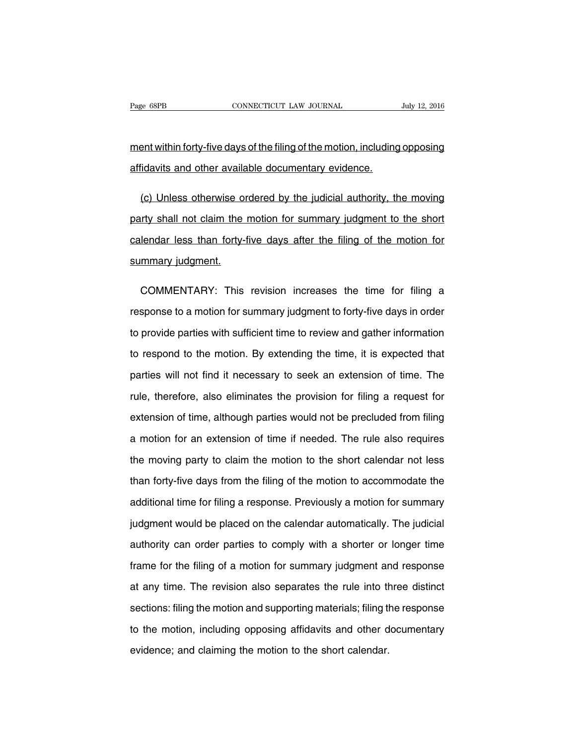ment within forty-five days of the filing of the motion, including opposing affidavits and other available documentary evidence.

(c) Unless otherwise ordered by the judicial authority, the moving party shall not claim the motion for summary judgment to the short calendar less than forty-five days after the filing of the motion for summary judgment.

COMMENTARY: This revision increases the time for filing a response to a motion for summary judgment to forty-five days in order to provide parties with sufficient time to review and gather information to respond to the motion. By extending the time, it is expected that parties will not find it necessary to seek an extension of time. The rule, therefore, also eliminates the provision for filing a request for extension of time, although parties would not be precluded from filing a motion for an extension of time if needed. The rule also requires the moving party to claim the motion to the short calendar not less than forty-five days from the filing of the motion to accommodate the additional time for filing a response. Previously a motion for summary judgment would be placed on the calendar automatically. The judicial authority can order parties to comply with a shorter or longer time frame for the filing of a motion for summary judgment and response at any time. The revision also separates the rule into three distinct sections: filing the motion and supporting materials; filing the response to the motion, including opposing affidavits and other documentary evidence; and claiming the motion to the short calendar.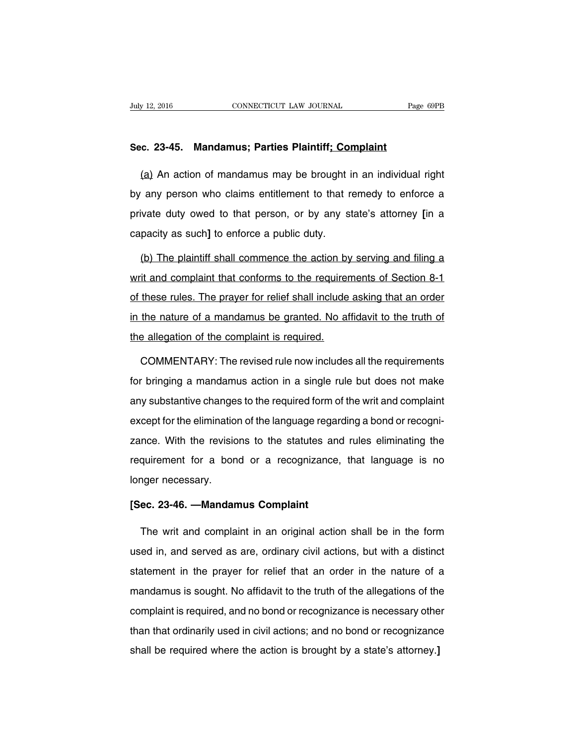#### **Sec. 23-45. Mandamus; Parties Plaintiff; Complaint**

(a) An action of mandamus may be brought in an individual right by any person who claims entitlement to that remedy to enforce a private duty owed to that person, or by any state's attorney **[**in a capacity as such**]** to enforce a public duty.

(b) The plaintiff shall commence the action by serving and filing a writ and complaint that conforms to the requirements of Section 8-1 of these rules. The prayer for relief shall include asking that an order in the nature of a mandamus be granted. No affidavit to the truth of the allegation of the complaint is required.

COMMENTARY: The revised rule now includes all the requirements for bringing a mandamus action in a single rule but does not make any substantive changes to the required form of the writ and complaint except for the elimination of the language regarding a bond or recognizance. With the revisions to the statutes and rules eliminating the requirement for a bond or a recognizance, that language is no longer necessary.

#### **[Sec. 23-46. —Mandamus Complaint**

The writ and complaint in an original action shall be in the form used in, and served as are, ordinary civil actions, but with a distinct statement in the prayer for relief that an order in the nature of a mandamus is sought. No affidavit to the truth of the allegations of the complaint is required, and no bond or recognizance is necessary other than that ordinarily used in civil actions; and no bond or recognizance shall be required where the action is brought by a state's attorney.**]**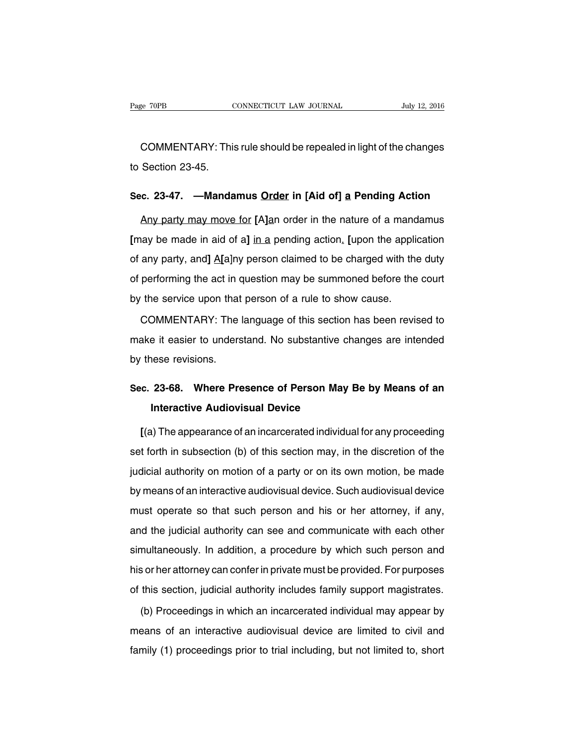COMMENTARY: This rule should be repealed in light of the changes to Section 23-45.

#### **Sec. 23-47. —Mandamus Order in [Aid of] a Pending Action**

Any party may move for **[**A**]**an order in the nature of a mandamus **[**may be made in aid of a**]** in a pending action. **[**upon the application of any party, and**]** A**[**a]ny person claimed to be charged with the duty of performing the act in question may be summoned before the court by the service upon that person of a rule to show cause.

COMMENTARY: The language of this section has been revised to make it easier to understand. No substantive changes are intended by these revisions.

### **Sec. 23-68. Where Presence of Person May Be by Means of an Interactive Audiovisual Device**

**[**(a) The appearance of an incarcerated individual for any proceeding set forth in subsection (b) of this section may, in the discretion of the judicial authority on motion of a party or on its own motion, be made by means of an interactive audiovisual device. Such audiovisual device must operate so that such person and his or her attorney, if any, and the judicial authority can see and communicate with each other simultaneously. In addition, a procedure by which such person and his or her attorney can confer in private must be provided. For purposes of this section, judicial authority includes family support magistrates.

(b) Proceedings in which an incarcerated individual may appear by means of an interactive audiovisual device are limited to civil and family (1) proceedings prior to trial including, but not limited to, short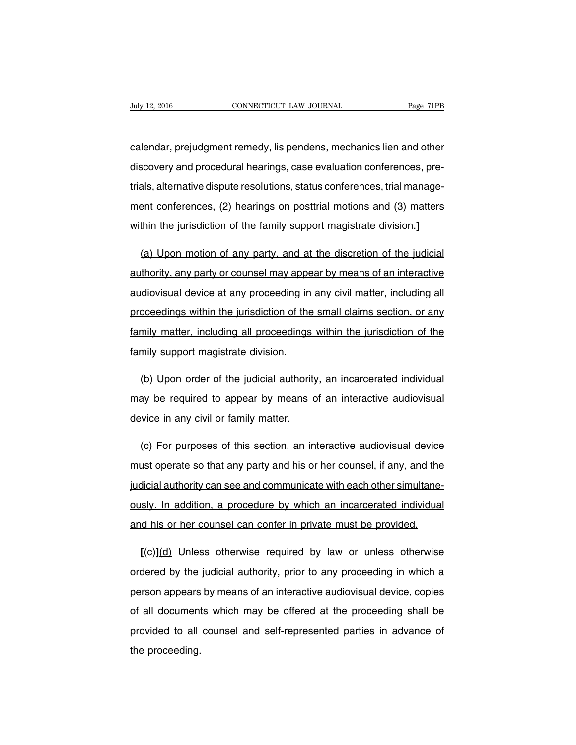calendar, prejudgment remedy, lis pendens, mechanics lien and other discovery and procedural hearings, case evaluation conferences, pretrials, alternative dispute resolutions, status conferences, trial management conferences, (2) hearings on posttrial motions and (3) matters within the jurisdiction of the family support magistrate division.**]**

(a) Upon motion of any party, and at the discretion of the judicial authority, any party or counsel may appear by means of an interactive audiovisual device at any proceeding in any civil matter, including all proceedings within the jurisdiction of the small claims section, or any family matter, including all proceedings within the jurisdiction of the family support magistrate division.

(b) Upon order of the judicial authority, an incarcerated individual may be required to appear by means of an interactive audiovisual device in any civil or family matter.

(c) For purposes of this section, an interactive audiovisual device must operate so that any party and his or her counsel, if any, and the judicial authority can see and communicate with each other simultaneously. In addition, a procedure by which an incarcerated individual and his or her counsel can confer in private must be provided.

**[**(c)**]**(d) Unless otherwise required by law or unless otherwise ordered by the judicial authority, prior to any proceeding in which a person appears by means of an interactive audiovisual device, copies of all documents which may be offered at the proceeding shall be provided to all counsel and self-represented parties in advance of the proceeding.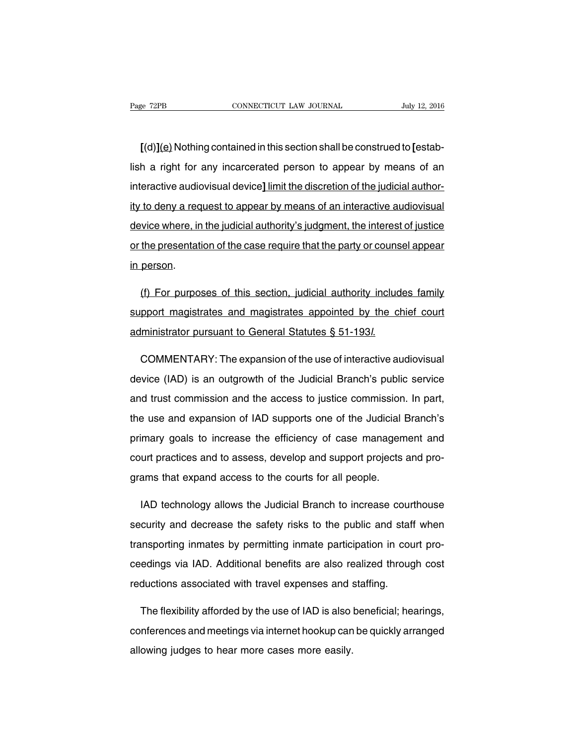**[**(d)**]**(e) Nothing contained in this section shall be construed to **[**establish a right for any incarcerated person to appear by means of an interactive audiovisual device**]** limit the discretion of the judicial authority to deny a request to appear by means of an interactive audiovisual device where, in the judicial authority's judgment, the interest of justice or the presentation of the case require that the party or counsel appear in person.

(f) For purposes of this section, judicial authority includes family support magistrates and magistrates appointed by the chief court administrator pursuant to General Statutes § 51-193l.

COMMENTARY: The expansion of the use of interactive audiovisual device (IAD) is an outgrowth of the Judicial Branch's public service and trust commission and the access to justice commission. In part, the use and expansion of IAD supports one of the Judicial Branch's primary goals to increase the efficiency of case management and court practices and to assess, develop and support projects and programs that expand access to the courts for all people.

IAD technology allows the Judicial Branch to increase courthouse security and decrease the safety risks to the public and staff when transporting inmates by permitting inmate participation in court proceedings via IAD. Additional benefits are also realized through cost reductions associated with travel expenses and staffing.

The flexibility afforded by the use of IAD is also beneficial; hearings, conferences and meetings via internet hookup can be quickly arranged allowing judges to hear more cases more easily.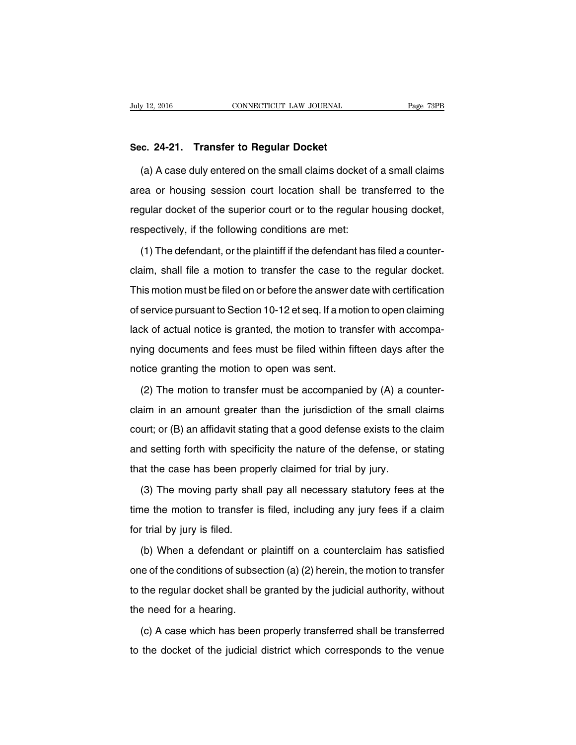### **Sec. 24-21. Transfer to Regular Docket**

(a) A case duly entered on the small claims docket of a small claims area or housing session court location shall be transferred to the regular docket of the superior court or to the regular housing docket, respectively, if the following conditions are met:

(1) The defendant, or the plaintiff if the defendant has filed a counterclaim, shall file a motion to transfer the case to the regular docket. This motion must be filed on or before the answer date with certification of service pursuant to Section 10-12 et seq. If a motion to open claiming lack of actual notice is granted, the motion to transfer with accompanying documents and fees must be filed within fifteen days after the notice granting the motion to open was sent.

(2) The motion to transfer must be accompanied by (A) a counterclaim in an amount greater than the jurisdiction of the small claims court; or (B) an affidavit stating that a good defense exists to the claim and setting forth with specificity the nature of the defense, or stating that the case has been properly claimed for trial by jury.

(3) The moving party shall pay all necessary statutory fees at the time the motion to transfer is filed, including any jury fees if a claim for trial by jury is filed.

(b) When a defendant or plaintiff on a counterclaim has satisfied one of the conditions of subsection (a) (2) herein, the motion to transfer to the regular docket shall be granted by the judicial authority, without the need for a hearing.

(c) A case which has been properly transferred shall be transferred to the docket of the judicial district which corresponds to the venue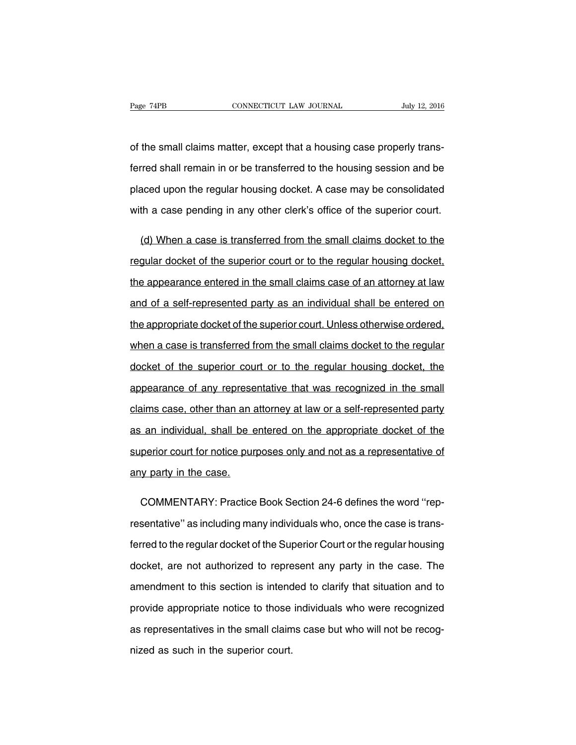of the small claims matter, except that a housing case properly transferred shall remain in or be transferred to the housing session and be placed upon the regular housing docket. A case may be consolidated with a case pending in any other clerk's office of the superior court.

(d) When a case is transferred from the small claims docket to the regular docket of the superior court or to the regular housing docket, the appearance entered in the small claims case of an attorney at law and of a self-represented party as an individual shall be entered on the appropriate docket of the superior court. Unless otherwise ordered, when a case is transferred from the small claims docket to the regular docket of the superior court or to the regular housing docket, the appearance of any representative that was recognized in the small claims case, other than an attorney at law or a self-represented party as an individual, shall be entered on the appropriate docket of the superior court for notice purposes only and not as a representative of any party in the case.

COMMENTARY: Practice Book Section 24-6 defines the word ''representative'' as including many individuals who, once the case is transferred to the regular docket of the Superior Court or the regular housing docket, are not authorized to represent any party in the case. The amendment to this section is intended to clarify that situation and to provide appropriate notice to those individuals who were recognized as representatives in the small claims case but who will not be recognized as such in the superior court.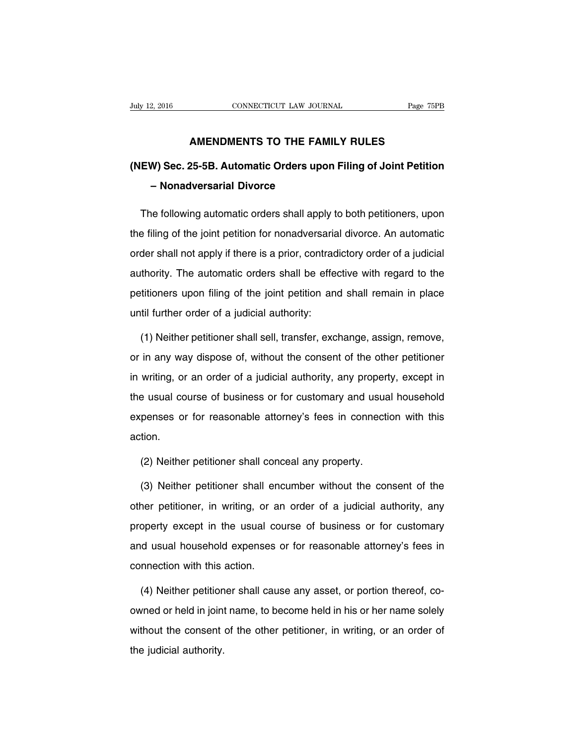### **AMENDMENTS TO THE FAMILY RULES**

## **(NEW) Sec. 25-5B. Automatic Orders upon Filing of Joint Petition – Nonadversarial Divorce**

The following automatic orders shall apply to both petitioners, upon the filing of the joint petition for nonadversarial divorce. An automatic order shall not apply if there is a prior, contradictory order of a judicial authority. The automatic orders shall be effective with regard to the petitioners upon filing of the joint petition and shall remain in place until further order of a judicial authority:

(1) Neither petitioner shall sell, transfer, exchange, assign, remove, or in any way dispose of, without the consent of the other petitioner in writing, or an order of a judicial authority, any property, except in the usual course of business or for customary and usual household expenses or for reasonable attorney's fees in connection with this action.

(2) Neither petitioner shall conceal any property.

(3) Neither petitioner shall encumber without the consent of the other petitioner, in writing, or an order of a judicial authority, any property except in the usual course of business or for customary and usual household expenses or for reasonable attorney's fees in connection with this action.

(4) Neither petitioner shall cause any asset, or portion thereof, coowned or held in joint name, to become held in his or her name solely without the consent of the other petitioner, in writing, or an order of the judicial authority.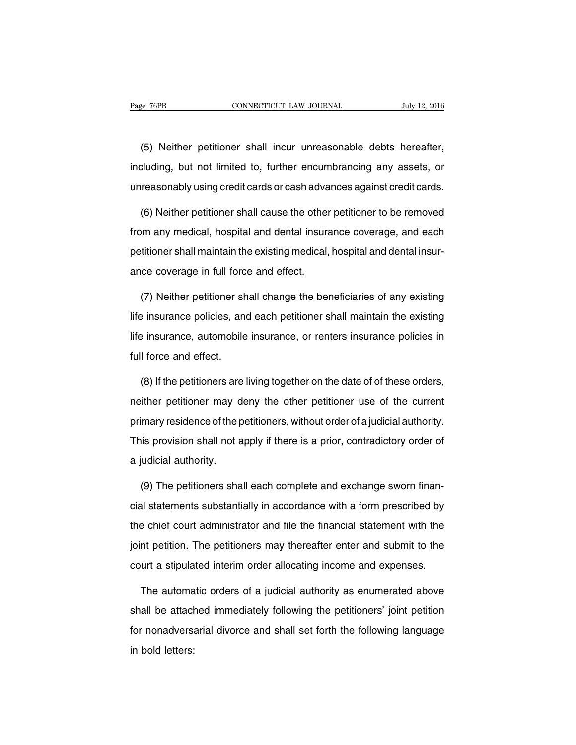(5) Neither petitioner shall incur unreasonable debts hereafter, including, but not limited to, further encumbrancing any assets, or unreasonably using credit cards or cash advances against credit cards.

(6) Neither petitioner shall cause the other petitioner to be removed from any medical, hospital and dental insurance coverage, and each petitioner shall maintain the existing medical, hospital and dental insurance coverage in full force and effect.

(7) Neither petitioner shall change the beneficiaries of any existing life insurance policies, and each petitioner shall maintain the existing life insurance, automobile insurance, or renters insurance policies in full force and effect.

(8) If the petitioners are living together on the date of of these orders, neither petitioner may deny the other petitioner use of the current primary residence of the petitioners, without order of a judicial authority. This provision shall not apply if there is a prior, contradictory order of a judicial authority.

(9) The petitioners shall each complete and exchange sworn financial statements substantially in accordance with a form prescribed by the chief court administrator and file the financial statement with the joint petition. The petitioners may thereafter enter and submit to the court a stipulated interim order allocating income and expenses.

The automatic orders of a judicial authority as enumerated above shall be attached immediately following the petitioners' joint petition for nonadversarial divorce and shall set forth the following language in bold letters: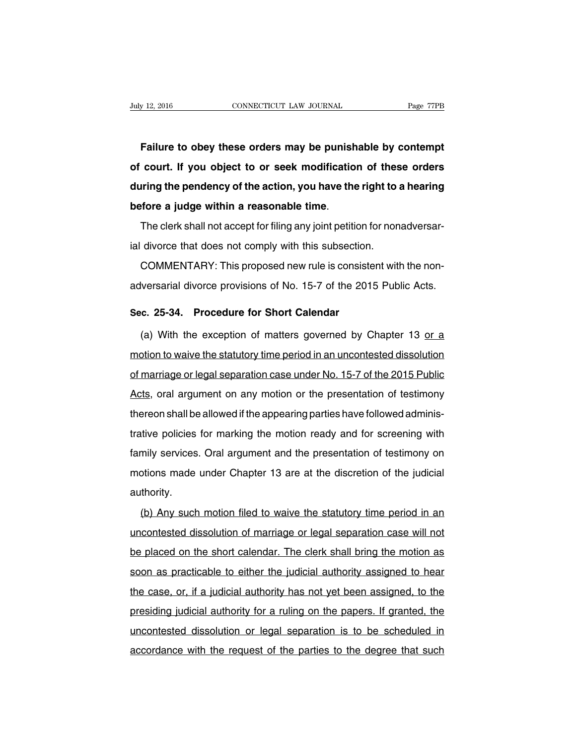**Failure to obey these orders may be punishable by contempt of court. If you object to or seek modification of these orders during the pendency of the action, you have the right to a hearing before a judge within a reasonable time**.

The clerk shall not accept for filing any joint petition for nonadversarial divorce that does not comply with this subsection.

COMMENTARY: This proposed new rule is consistent with the nonadversarial divorce provisions of No. 15-7 of the 2015 Public Acts.

### **Sec. 25-34. Procedure for Short Calendar**

(a) With the exception of matters governed by Chapter 13 or a motion to waive the statutory time period in an uncontested dissolution of marriage or legal separation case under No. 15-7 of the 2015 Public Acts, oral argument on any motion or the presentation of testimony thereon shall be allowed if the appearing parties have followed administrative policies for marking the motion ready and for screening with family services. Oral argument and the presentation of testimony on motions made under Chapter 13 are at the discretion of the judicial authority.

(b) Any such motion filed to waive the statutory time period in an uncontested dissolution of marriage or legal separation case will not be placed on the short calendar. The clerk shall bring the motion as soon as practicable to either the judicial authority assigned to hear the case, or, if a judicial authority has not yet been assigned, to the presiding judicial authority for a ruling on the papers. If granted, the uncontested dissolution or legal separation is to be scheduled in accordance with the request of the parties to the degree that such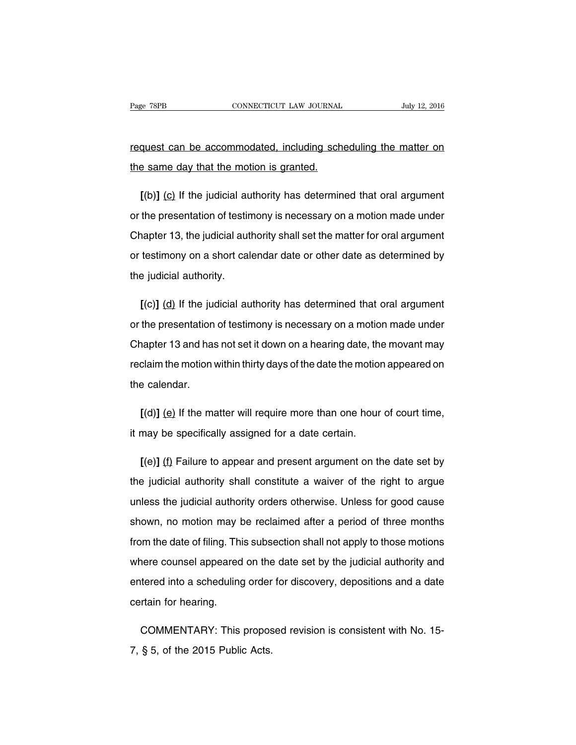## request can be accommodated, including scheduling the matter on the same day that the motion is granted.

**[**(b)**]** (c) If the judicial authority has determined that oral argument or the presentation of testimony is necessary on a motion made under Chapter 13, the judicial authority shall set the matter for oral argument or testimony on a short calendar date or other date as determined by the judicial authority.

**[**(c)**]** (d) If the judicial authority has determined that oral argument or the presentation of testimony is necessary on a motion made under Chapter 13 and has not set it down on a hearing date, the movant may reclaim the motion within thirty days of the date the motion appeared on the calendar.

**[**(d)**]** (e) If the matter will require more than one hour of court time, it may be specifically assigned for a date certain.

**[**(e)**]** (f) Failure to appear and present argument on the date set by the judicial authority shall constitute a waiver of the right to argue unless the judicial authority orders otherwise. Unless for good cause shown, no motion may be reclaimed after a period of three months from the date of filing. This subsection shall not apply to those motions where counsel appeared on the date set by the judicial authority and entered into a scheduling order for discovery, depositions and a date certain for hearing.

COMMENTARY: This proposed revision is consistent with No. 15- 7, § 5, of the 2015 Public Acts.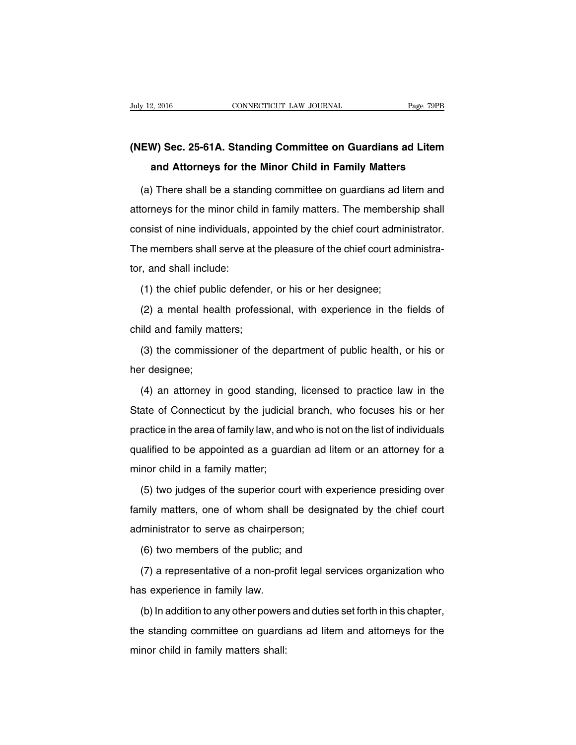## **(NEW) Sec. 25-61A. Standing Committee on Guardians ad Litem and Attorneys for the Minor Child in Family Matters**

(a) There shall be a standing committee on guardians ad litem and attorneys for the minor child in family matters. The membership shall consist of nine individuals, appointed by the chief court administrator. The members shall serve at the pleasure of the chief court administrator, and shall include:

(1) the chief public defender, or his or her designee;

(2) a mental health professional, with experience in the fields of child and family matters;

(3) the commissioner of the department of public health, or his or her designee;

(4) an attorney in good standing, licensed to practice law in the State of Connecticut by the judicial branch, who focuses his or her practice in the area of family law, and who is not on the list of individuals qualified to be appointed as a guardian ad litem or an attorney for a minor child in a family matter;

(5) two judges of the superior court with experience presiding over family matters, one of whom shall be designated by the chief court administrator to serve as chairperson;

(6) two members of the public; and

(7) a representative of a non-profit legal services organization who has experience in family law.

(b) In addition to any other powers and duties set forth in this chapter, the standing committee on guardians ad litem and attorneys for the minor child in family matters shall: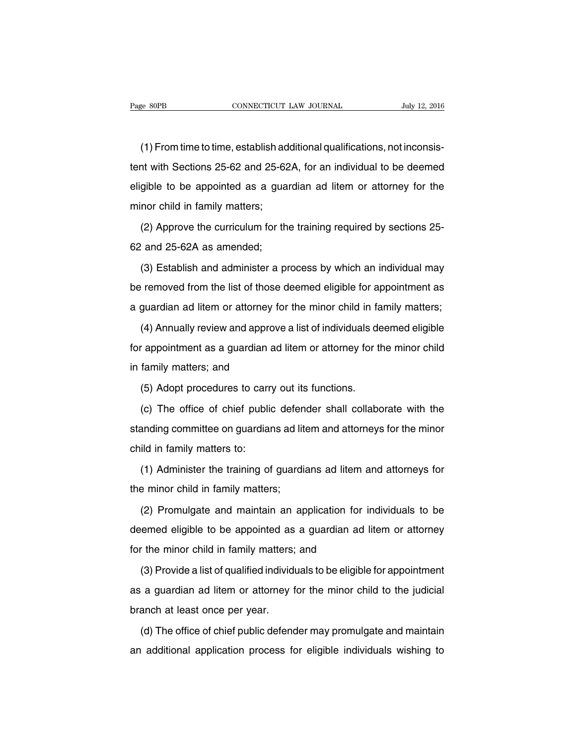(1) From time to time, establish additional qualifications, not inconsistent with Sections 25-62 and 25-62A, for an individual to be deemed eligible to be appointed as a guardian ad litem or attorney for the minor child in family matters;

(2) Approve the curriculum for the training required by sections 25- 62 and 25-62A as amended;

(3) Establish and administer a process by which an individual may be removed from the list of those deemed eligible for appointment as a guardian ad litem or attorney for the minor child in family matters;

(4) Annually review and approve a list of individuals deemed eligible for appointment as a guardian ad litem or attorney for the minor child in family matters; and

(5) Adopt procedures to carry out its functions.

(c) The office of chief public defender shall collaborate with the standing committee on guardians ad litem and attorneys for the minor child in family matters to:

(1) Administer the training of guardians ad litem and attorneys for the minor child in family matters;

(2) Promulgate and maintain an application for individuals to be deemed eligible to be appointed as a guardian ad litem or attorney for the minor child in family matters; and

(3) Provide a list of qualified individuals to be eligible for appointment as a guardian ad litem or attorney for the minor child to the judicial branch at least once per year.

(d) The office of chief public defender may promulgate and maintain an additional application process for eligible individuals wishing to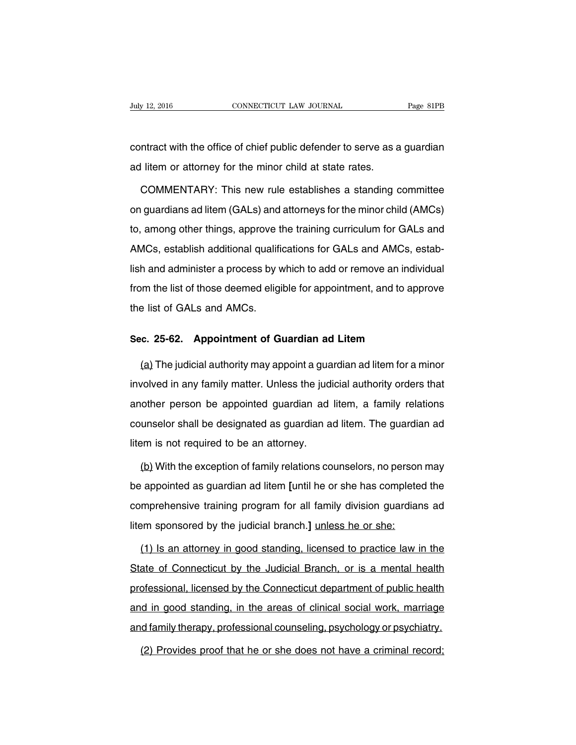contract with the office of chief public defender to serve as a guardian ad litem or attorney for the minor child at state rates.

COMMENTARY: This new rule establishes a standing committee on guardians ad litem (GALs) and attorneys for the minor child (AMCs) to, among other things, approve the training curriculum for GALs and AMCs, establish additional qualifications for GALs and AMCs, establish and administer a process by which to add or remove an individual from the list of those deemed eligible for appointment, and to approve the list of GALs and AMCs.

### **Sec. 25-62. Appointment of Guardian ad Litem**

(a) The judicial authority may appoint a guardian ad litem for a minor involved in any family matter. Unless the judicial authority orders that another person be appointed guardian ad litem, a family relations counselor shall be designated as guardian ad litem. The guardian ad litem is not required to be an attorney.

(b) With the exception of family relations counselors, no person may be appointed as guardian ad litem **[**until he or she has completed the comprehensive training program for all family division guardians ad litem sponsored by the judicial branch.**]** unless he or she:

(1) Is an attorney in good standing, licensed to practice law in the State of Connecticut by the Judicial Branch, or is a mental health professional, licensed by the Connecticut department of public health and in good standing, in the areas of clinical social work, marriage and family therapy, professional counseling, psychology or psychiatry.

(2) Provides proof that he or she does not have a criminal record;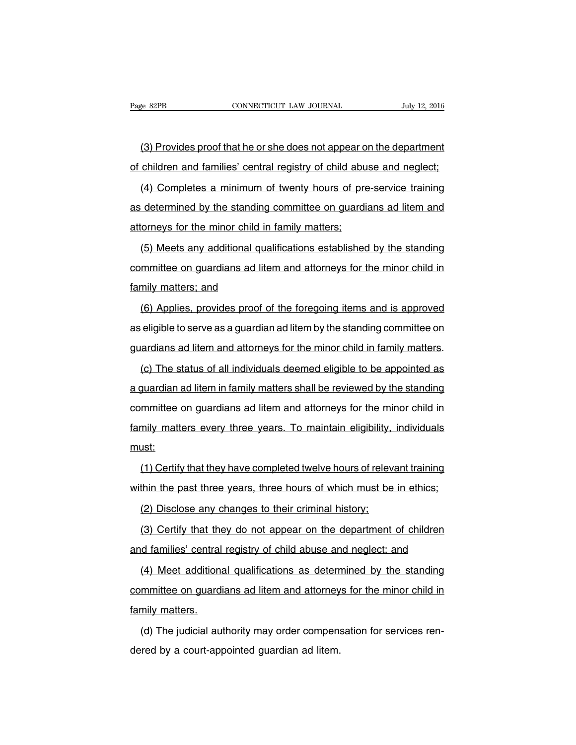(3) Provides proof that he or she does not appear on the department of children and families' central registry of child abuse and neglect;

(4) Completes a minimum of twenty hours of pre-service training as determined by the standing committee on guardians ad litem and attorneys for the minor child in family matters;

(5) Meets any additional qualifications established by the standing committee on guardians ad litem and attorneys for the minor child in family matters; and

(6) Applies, provides proof of the foregoing items and is approved as eligible to serve as a guardian ad litem by the standing committee on guardians ad litem and attorneys for the minor child in family matters.

(c) The status of all individuals deemed eligible to be appointed as a guardian ad litem in family matters shall be reviewed by the standing committee on guardians ad litem and attorneys for the minor child in family matters every three years. To maintain eligibility, individuals must:

(1) Certify that they have completed twelve hours of relevant training within the past three years, three hours of which must be in ethics;

(2) Disclose any changes to their criminal history;

(3) Certify that they do not appear on the department of children and families' central registry of child abuse and neglect; and

(4) Meet additional qualifications as determined by the standing committee on guardians ad litem and attorneys for the minor child in family matters.

(d) The judicial authority may order compensation for services rendered by a court-appointed guardian ad litem.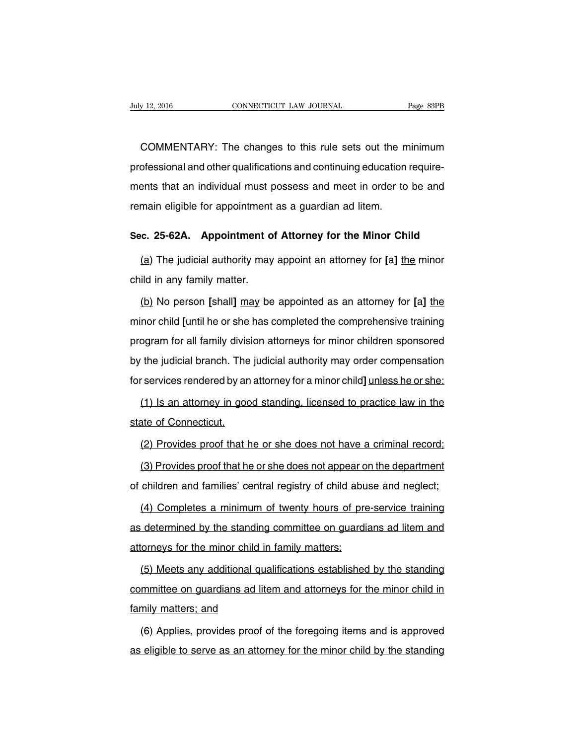COMMENTARY: The changes to this rule sets out the minimum professional and other qualifications and continuing education requirements that an individual must possess and meet in order to be and remain eligible for appointment as a guardian ad litem.

### **Sec. 25-62A. Appointment of Attorney for the Minor Child**

(a) The judicial authority may appoint an attorney for **[**a**]** the minor child in any family matter.

(b) No person **[**shall**]** may be appointed as an attorney for **[**a**]** the minor child **[**until he or she has completed the comprehensive training program for all family division attorneys for minor children sponsored by the judicial branch. The judicial authority may order compensation for services rendered by an attorney for a minor child**]** unless he or she:

(1) Is an attorney in good standing, licensed to practice law in the state of Connecticut.

(2) Provides proof that he or she does not have a criminal record;

(3) Provides proof that he or she does not appear on the department of children and families' central registry of child abuse and neglect;

(4) Completes a minimum of twenty hours of pre-service training as determined by the standing committee on guardians ad litem and attorneys for the minor child in family matters;

(5) Meets any additional qualifications established by the standing committee on guardians ad litem and attorneys for the minor child in family matters; and

(6) Applies, provides proof of the foregoing items and is approved as eligible to serve as an attorney for the minor child by the standing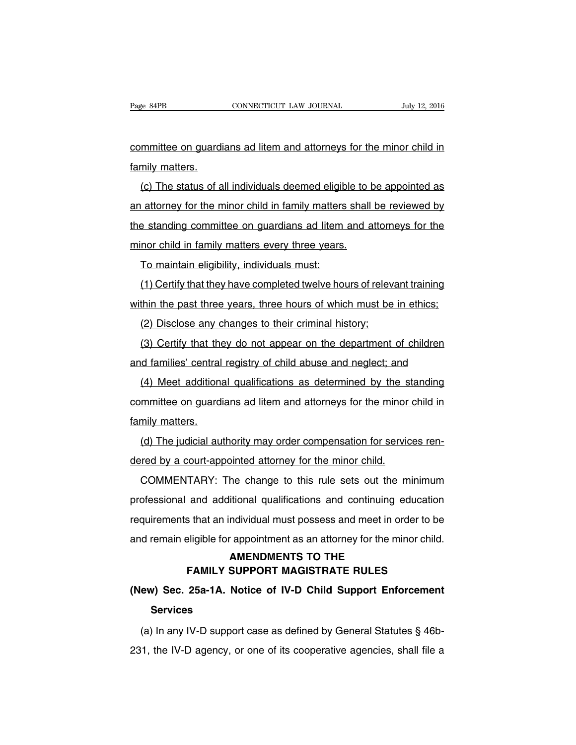committee on guardians ad litem and attorneys for the minor child in family matters.

(c) The status of all individuals deemed eligible to be appointed as an attorney for the minor child in family matters shall be reviewed by the standing committee on guardians ad litem and attorneys for the minor child in family matters every three years.

To maintain eligibility, individuals must:

(1) Certify that they have completed twelve hours of relevant training within the past three years, three hours of which must be in ethics;

(2) Disclose any changes to their criminal history;

(3) Certify that they do not appear on the department of children and families' central registry of child abuse and neglect; and

(4) Meet additional qualifications as determined by the standing committee on guardians ad litem and attorneys for the minor child in family matters.

(d) The judicial authority may order compensation for services rendered by a court-appointed attorney for the minor child.

COMMENTARY: The change to this rule sets out the minimum professional and additional qualifications and continuing education requirements that an individual must possess and meet in order to be and remain eligible for appointment as an attorney for the minor child.

### **AMENDMENTS TO THE FAMILY SUPPORT MAGISTRATE RULES**

## **(New) Sec. 25a-1A. Notice of IV-D Child Support Enforcement Services**

(a) In any IV-D support case as defined by General Statutes § 46b-231, the IV-D agency, or one of its cooperative agencies, shall file a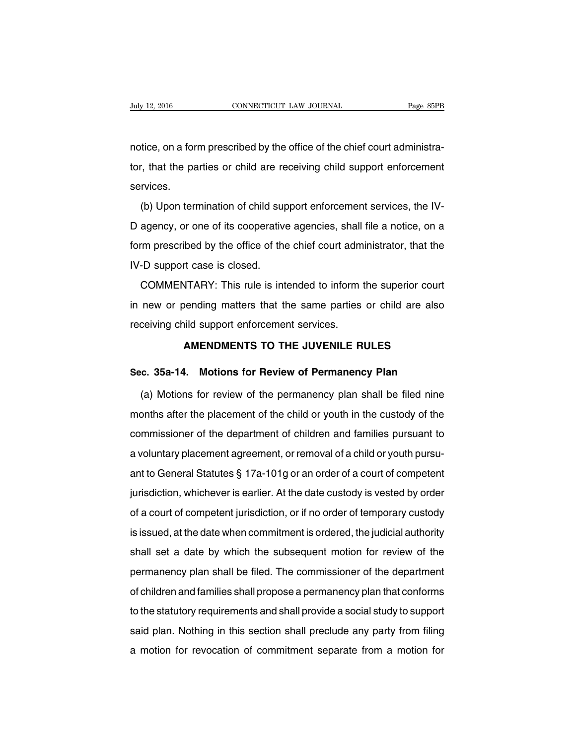notice, on a form prescribed by the office of the chief court administrator, that the parties or child are receiving child support enforcement services.

(b) Upon termination of child support enforcement services, the IV-D agency, or one of its cooperative agencies, shall file a notice, on a form prescribed by the office of the chief court administrator, that the IV-D support case is closed.

COMMENTARY: This rule is intended to inform the superior court in new or pending matters that the same parties or child are also receiving child support enforcement services.

### **AMENDMENTS TO THE JUVENILE RULES**

### **Sec. 35a-14. Motions for Review of Permanency Plan**

(a) Motions for review of the permanency plan shall be filed nine months after the placement of the child or youth in the custody of the commissioner of the department of children and families pursuant to a voluntary placement agreement, or removal of a child or youth pursuant to General Statutes § 17a-101g or an order of a court of competent jurisdiction, whichever is earlier. At the date custody is vested by order of a court of competent jurisdiction, or if no order of temporary custody is issued, at the date when commitment is ordered, the judicial authority shall set a date by which the subsequent motion for review of the permanency plan shall be filed. The commissioner of the department of children and families shall propose a permanency plan that conforms to the statutory requirements and shall provide a social study to support said plan. Nothing in this section shall preclude any party from filing a motion for revocation of commitment separate from a motion for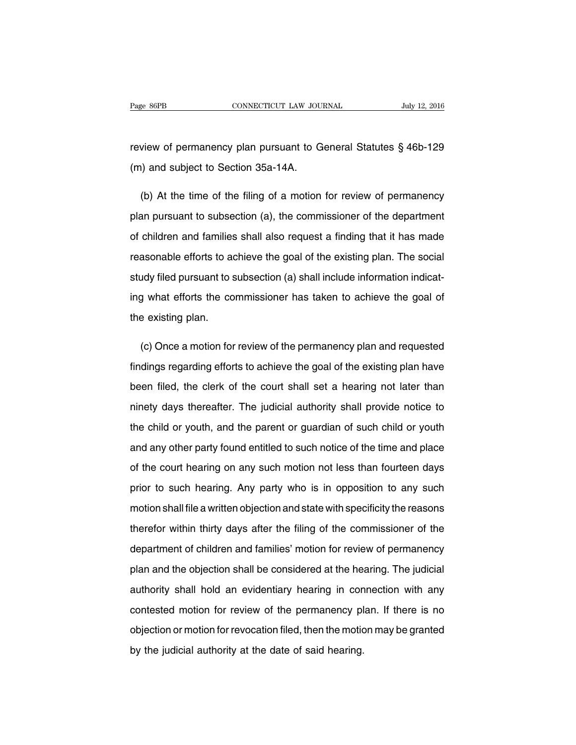review of permanency plan pursuant to General Statutes § 46b-129 (m) and subject to Section 35a-14A.

(b) At the time of the filing of a motion for review of permanency plan pursuant to subsection (a), the commissioner of the department of children and families shall also request a finding that it has made reasonable efforts to achieve the goal of the existing plan. The social study filed pursuant to subsection (a) shall include information indicating what efforts the commissioner has taken to achieve the goal of the existing plan.

(c) Once a motion for review of the permanency plan and requested findings regarding efforts to achieve the goal of the existing plan have been filed, the clerk of the court shall set a hearing not later than ninety days thereafter. The judicial authority shall provide notice to the child or youth, and the parent or guardian of such child or youth and any other party found entitled to such notice of the time and place of the court hearing on any such motion not less than fourteen days prior to such hearing. Any party who is in opposition to any such motion shall file a written objection and state with specificity the reasons therefor within thirty days after the filing of the commissioner of the department of children and families' motion for review of permanency plan and the objection shall be considered at the hearing. The judicial authority shall hold an evidentiary hearing in connection with any contested motion for review of the permanency plan. If there is no objection or motion for revocation filed, then the motion may be granted by the judicial authority at the date of said hearing.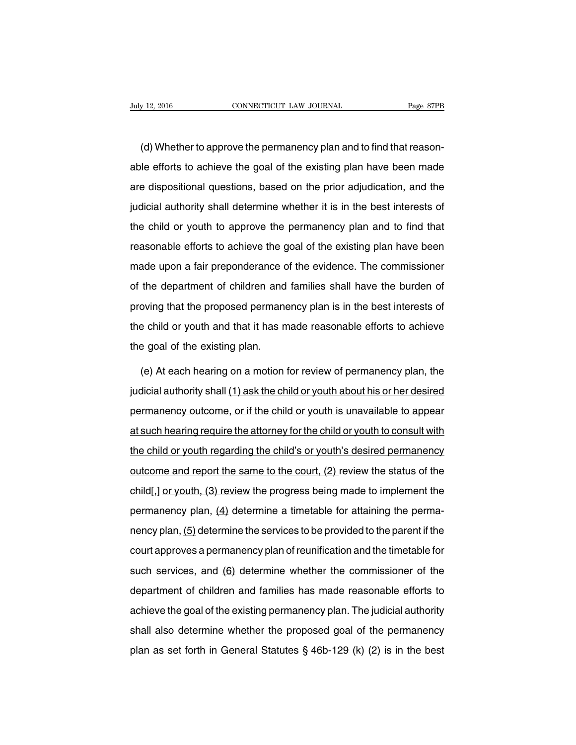(d) Whether to approve the permanency plan and to find that reasonable efforts to achieve the goal of the existing plan have been made are dispositional questions, based on the prior adjudication, and the judicial authority shall determine whether it is in the best interests of the child or youth to approve the permanency plan and to find that reasonable efforts to achieve the goal of the existing plan have been made upon a fair preponderance of the evidence. The commissioner of the department of children and families shall have the burden of proving that the proposed permanency plan is in the best interests of the child or youth and that it has made reasonable efforts to achieve the goal of the existing plan.

(e) At each hearing on a motion for review of permanency plan, the judicial authority shall (1) ask the child or youth about his or her desired permanency outcome, or if the child or youth is unavailable to appear at such hearing require the attorney for the child or youth to consult with the child or youth regarding the child's or youth's desired permanency outcome and report the same to the court, (2) review the status of the child[,] or youth, (3) review the progress being made to implement the permanency plan, (4) determine a timetable for attaining the permanency plan, (5) determine the services to be provided to the parent if the court approves a permanency plan of reunification and the timetable for such services, and (6) determine whether the commissioner of the department of children and families has made reasonable efforts to achieve the goal of the existing permanency plan. The judicial authority shall also determine whether the proposed goal of the permanency plan as set forth in General Statutes § 46b-129 (k) (2) is in the best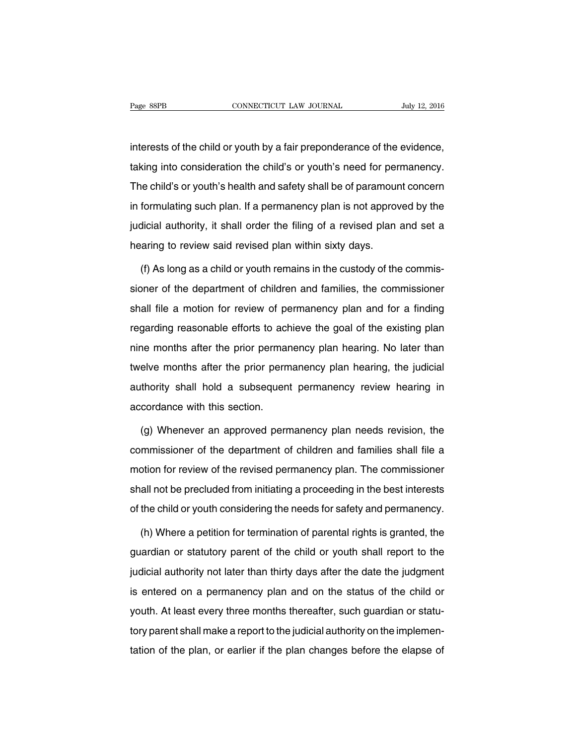interests of the child or youth by a fair preponderance of the evidence, taking into consideration the child's or youth's need for permanency. The child's or youth's health and safety shall be of paramount concern in formulating such plan. If a permanency plan is not approved by the judicial authority, it shall order the filing of a revised plan and set a hearing to review said revised plan within sixty days.

(f) As long as a child or youth remains in the custody of the commissioner of the department of children and families, the commissioner shall file a motion for review of permanency plan and for a finding regarding reasonable efforts to achieve the goal of the existing plan nine months after the prior permanency plan hearing. No later than twelve months after the prior permanency plan hearing, the judicial authority shall hold a subsequent permanency review hearing in accordance with this section.

(g) Whenever an approved permanency plan needs revision, the commissioner of the department of children and families shall file a motion for review of the revised permanency plan. The commissioner shall not be precluded from initiating a proceeding in the best interests of the child or youth considering the needs for safety and permanency.

(h) Where a petition for termination of parental rights is granted, the guardian or statutory parent of the child or youth shall report to the judicial authority not later than thirty days after the date the judgment is entered on a permanency plan and on the status of the child or youth. At least every three months thereafter, such guardian or statutory parent shall make a report to the judicial authority on the implementation of the plan, or earlier if the plan changes before the elapse of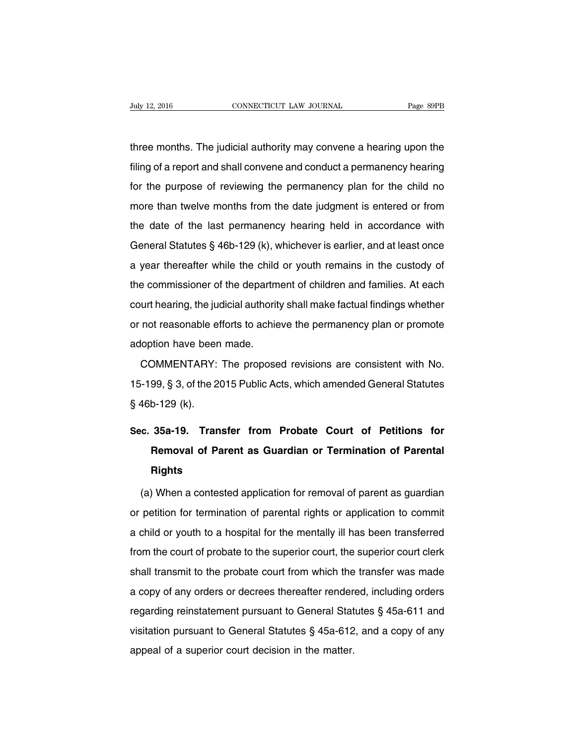three months. The judicial authority may convene a hearing upon the filing of a report and shall convene and conduct a permanency hearing for the purpose of reviewing the permanency plan for the child no more than twelve months from the date judgment is entered or from the date of the last permanency hearing held in accordance with General Statutes § 46b-129 (k), whichever is earlier, and at least once a year thereafter while the child or youth remains in the custody of the commissioner of the department of children and families. At each court hearing, the judicial authority shall make factual findings whether or not reasonable efforts to achieve the permanency plan or promote adoption have been made.

COMMENTARY: The proposed revisions are consistent with No. 15-199, § 3, of the 2015 Public Acts, which amended General Statutes § 46b-129 (k).

# **Sec. 35a-19. Transfer from Probate Court of Petitions for Removal of Parent as Guardian or Termination of Parental Rights**

(a) When a contested application for removal of parent as guardian or petition for termination of parental rights or application to commit a child or youth to a hospital for the mentally ill has been transferred from the court of probate to the superior court, the superior court clerk shall transmit to the probate court from which the transfer was made a copy of any orders or decrees thereafter rendered, including orders regarding reinstatement pursuant to General Statutes § 45a-611 and visitation pursuant to General Statutes § 45a-612, and a copy of any appeal of a superior court decision in the matter.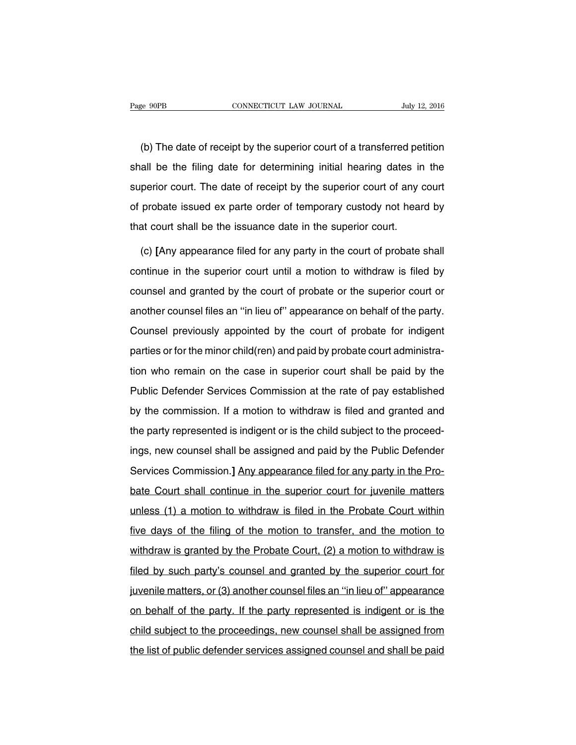(b) The date of receipt by the superior court of a transferred petition shall be the filing date for determining initial hearing dates in the superior court. The date of receipt by the superior court of any court of probate issued ex parte order of temporary custody not heard by that court shall be the issuance date in the superior court.

(c) **[**Any appearance filed for any party in the court of probate shall continue in the superior court until a motion to withdraw is filed by counsel and granted by the court of probate or the superior court or another counsel files an ''in lieu of'' appearance on behalf of the party. Counsel previously appointed by the court of probate for indigent parties or for the minor child(ren) and paid by probate court administration who remain on the case in superior court shall be paid by the Public Defender Services Commission at the rate of pay established by the commission. If a motion to withdraw is filed and granted and the party represented is indigent or is the child subject to the proceedings, new counsel shall be assigned and paid by the Public Defender Services Commission.**]** Any appearance filed for any party in the Probate Court shall continue in the superior court for juvenile matters unless (1) a motion to withdraw is filed in the Probate Court within five days of the filing of the motion to transfer, and the motion to withdraw is granted by the Probate Court, (2) a motion to withdraw is filed by such party's counsel and granted by the superior court for juvenile matters, or (3) another counsel files an ''in lieu of'' appearance on behalf of the party. If the party represented is indigent or is the child subject to the proceedings, new counsel shall be assigned from the list of public defender services assigned counsel and shall be paid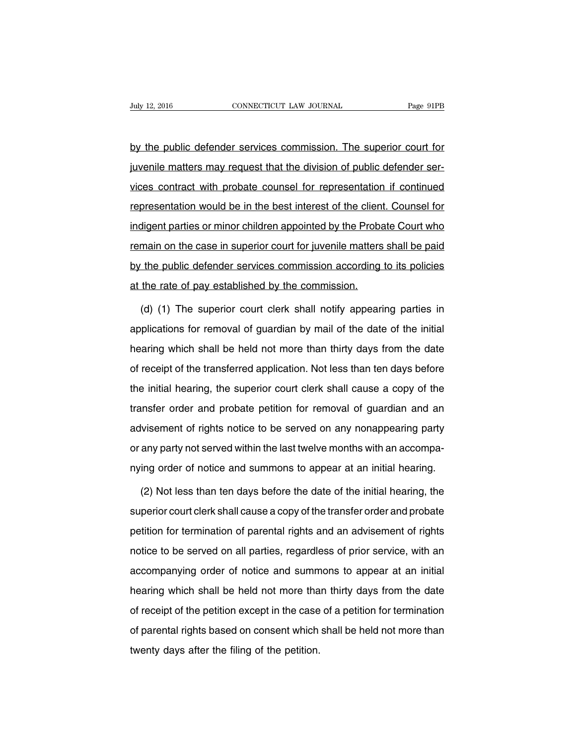by the public defender services commission. The superior court for juvenile matters may request that the division of public defender services contract with probate counsel for representation if continued representation would be in the best interest of the client. Counsel for indigent parties or minor children appointed by the Probate Court who remain on the case in superior court for juvenile matters shall be paid by the public defender services commission according to its policies at the rate of pay established by the commission.

(d) (1) The superior court clerk shall notify appearing parties in applications for removal of guardian by mail of the date of the initial hearing which shall be held not more than thirty days from the date of receipt of the transferred application. Not less than ten days before the initial hearing, the superior court clerk shall cause a copy of the transfer order and probate petition for removal of guardian and an advisement of rights notice to be served on any nonappearing party or any party not served within the last twelve months with an accompanying order of notice and summons to appear at an initial hearing.

(2) Not less than ten days before the date of the initial hearing, the superior court clerk shall cause a copy of the transfer order and probate petition for termination of parental rights and an advisement of rights notice to be served on all parties, regardless of prior service, with an accompanying order of notice and summons to appear at an initial hearing which shall be held not more than thirty days from the date of receipt of the petition except in the case of a petition for termination of parental rights based on consent which shall be held not more than twenty days after the filing of the petition.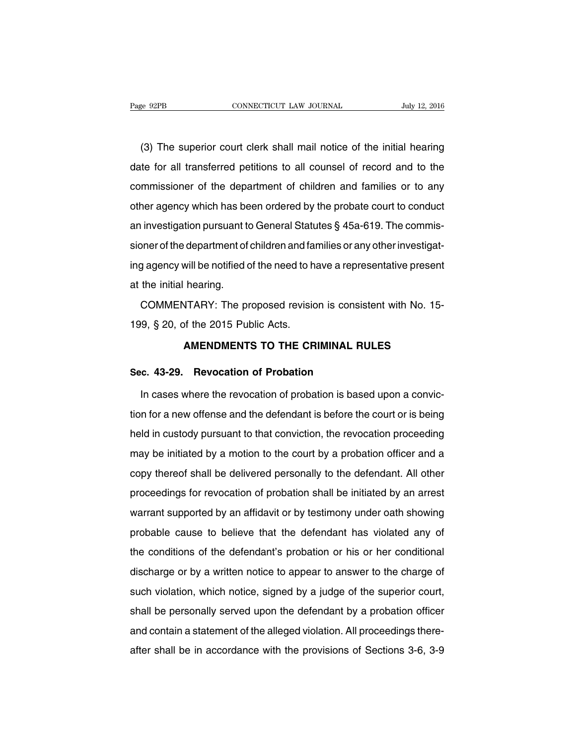(3) The superior court clerk shall mail notice of the initial hearing date for all transferred petitions to all counsel of record and to the commissioner of the department of children and families or to any other agency which has been ordered by the probate court to conduct an investigation pursuant to General Statutes § 45a-619. The commissioner of the department of children and families or any other investigating agency will be notified of the need to have a representative present at the initial hearing.

COMMENTARY: The proposed revision is consistent with No. 15- 199, § 20, of the 2015 Public Acts.

### **AMENDMENTS TO THE CRIMINAL RULES**

### **Sec. 43-29. Revocation of Probation**

In cases where the revocation of probation is based upon a conviction for a new offense and the defendant is before the court or is being held in custody pursuant to that conviction, the revocation proceeding may be initiated by a motion to the court by a probation officer and a copy thereof shall be delivered personally to the defendant. All other proceedings for revocation of probation shall be initiated by an arrest warrant supported by an affidavit or by testimony under oath showing probable cause to believe that the defendant has violated any of the conditions of the defendant's probation or his or her conditional discharge or by a written notice to appear to answer to the charge of such violation, which notice, signed by a judge of the superior court, shall be personally served upon the defendant by a probation officer and contain a statement of the alleged violation. All proceedings thereafter shall be in accordance with the provisions of Sections 3-6, 3-9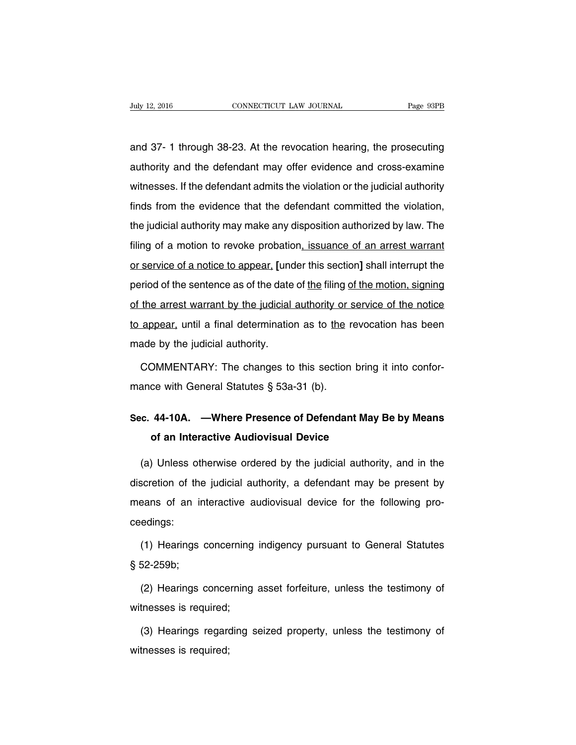and 37- 1 through 38-23. At the revocation hearing, the prosecuting authority and the defendant may offer evidence and cross-examine witnesses. If the defendant admits the violation or the judicial authority finds from the evidence that the defendant committed the violation, the judicial authority may make any disposition authorized by law. The filing of a motion to revoke probation, issuance of an arrest warrant or service of a notice to appear, **[**under this section**]** shall interrupt the period of the sentence as of the date of the filing of the motion, signing of the arrest warrant by the judicial authority or service of the notice to appear, until a final determination as to the revocation has been made by the judicial authority.

COMMENTARY: The changes to this section bring it into conformance with General Statutes § 53a-31 (b).

## **Sec. 44-10A. —Where Presence of Defendant May Be by Means of an Interactive Audiovisual Device**

(a) Unless otherwise ordered by the judicial authority, and in the discretion of the judicial authority, a defendant may be present by means of an interactive audiovisual device for the following proceedings:

(1) Hearings concerning indigency pursuant to General Statutes § 52-259b;

(2) Hearings concerning asset forfeiture, unless the testimony of witnesses is required;

(3) Hearings regarding seized property, unless the testimony of witnesses is required;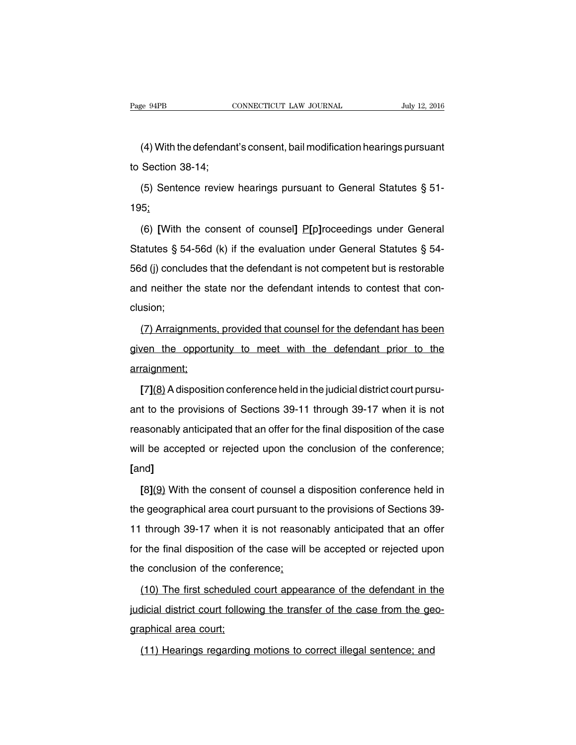(4) With the defendant's consent, bail modification hearings pursuant to Section 38-14;

(5) Sentence review hearings pursuant to General Statutes § 51- 195;

(6) **[**With the consent of counsel**]** P**[**p**]**roceedings under General Statutes § 54-56d (k) if the evaluation under General Statutes § 54- 56d (j) concludes that the defendant is not competent but is restorable and neither the state nor the defendant intends to contest that conclusion;

(7) Arraignments, provided that counsel for the defendant has been given the opportunity to meet with the defendant prior to the arraignment;

**[**7**]**(8) Adisposition conference held in the judicial district court pursuant to the provisions of Sections 39-11 through 39-17 when it is not reasonably anticipated that an offer for the final disposition of the case will be accepted or rejected upon the conclusion of the conference; **[**and**]**

**[**8**]**(9) With the consent of counsel a disposition conference held in the geographical area court pursuant to the provisions of Sections 39- 11 through 39-17 when it is not reasonably anticipated that an offer for the final disposition of the case will be accepted or rejected upon the conclusion of the conference;

(10) The first scheduled court appearance of the defendant in the judicial district court following the transfer of the case from the geographical area court;

(11) Hearings regarding motions to correct illegal sentence; and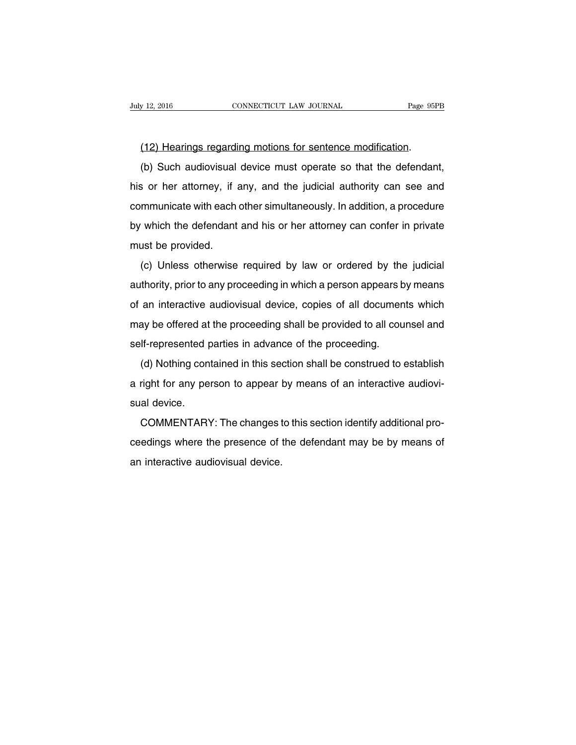(12) Hearings regarding motions for sentence modification.

(b) Such audiovisual device must operate so that the defendant, his or her attorney, if any, and the judicial authority can see and communicate with each other simultaneously. In addition, a procedure by which the defendant and his or her attorney can confer in private must be provided.

(c) Unless otherwise required by law or ordered by the judicial authority, prior to any proceeding in which a person appears by means of an interactive audiovisual device, copies of all documents which may be offered at the proceeding shall be provided to all counsel and self-represented parties in advance of the proceeding.

(d) Nothing contained in this section shall be construed to establish a right for any person to appear by means of an interactive audiovisual device.

COMMENTARY: The changes to this section identify additional proceedings where the presence of the defendant may be by means of an interactive audiovisual device.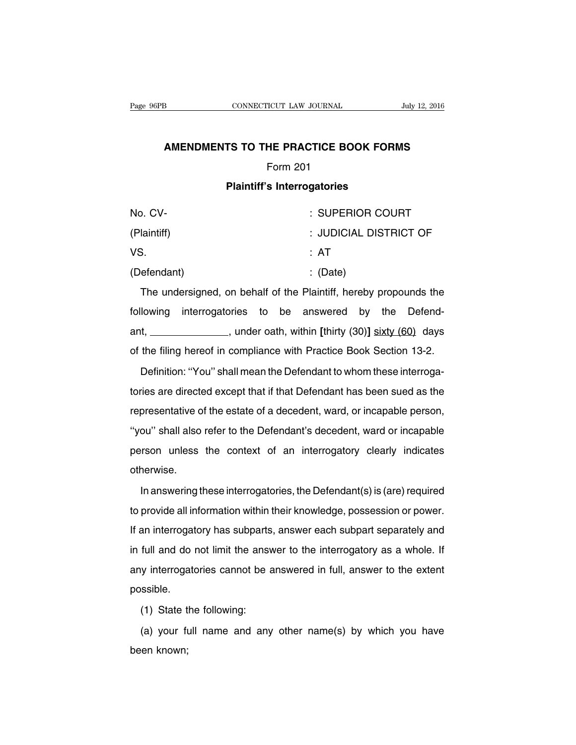### **AMENDMENTS TO THE PRACTICE BOOK FORMS**

### Form 201

### **Plaintiff's Interrogatories**

| No. CV-     | : SUPERIOR COURT       |
|-------------|------------------------|
| (Plaintiff) | : JUDICIAL DISTRICT OF |
| VS.         | : AT                   |
| (Defendant) | $\therefore$ (Date)    |

The undersigned, on behalf of the Plaintiff, hereby propounds the following interrogatories to be answered by the Defendant, \_\_\_\_\_\_\_\_\_\_\_\_\_\_\_\_, under oath, within [thirty (30)] sixty (60) days of the filing hereof in compliance with Practice Book Section 13-2.

Definition: ''You'' shall mean the Defendant to whom these interrogatories are directed except that if that Defendant has been sued as the representative of the estate of a decedent, ward, or incapable person, ''you'' shall also refer to the Defendant's decedent, ward or incapable person unless the context of an interrogatory clearly indicates otherwise.

In answering these interrogatories, the Defendant(s) is (are) required to provide all information within their knowledge, possession or power. If an interrogatory has subparts, answer each subpart separately and in full and do not limit the answer to the interrogatory as a whole. If any interrogatories cannot be answered in full, answer to the extent possible.

(1) State the following:

(a) your full name and any other name(s) by which you have been known;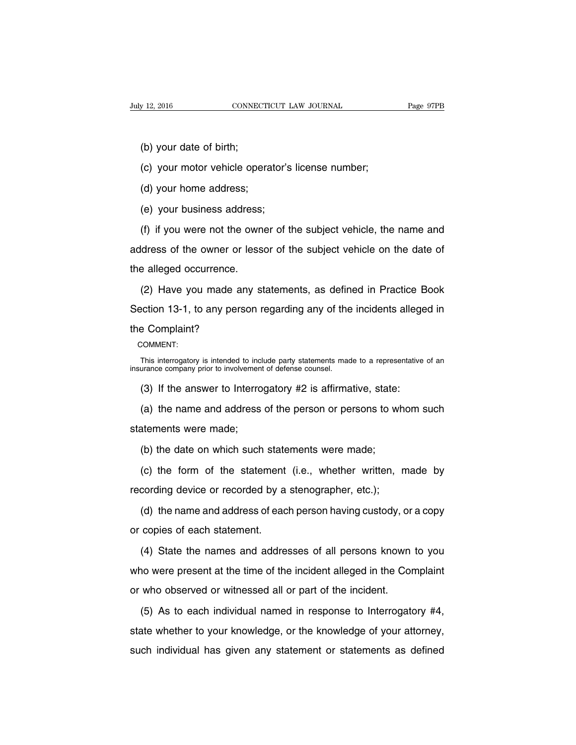(b) your date of birth;

(c) your motor vehicle operator's license number;

(d) your home address;

(e) your business address;

(f) if you were not the owner of the subject vehicle, the name and address of the owner or lessor of the subject vehicle on the date of the alleged occurrence.

(2) Have you made any statements, as defined in Practice Book Section 13-1, to any person regarding any of the incidents alleged in the Complaint?

COMMENT:

This interrogatory is intended to include party statements made to a representative of an insurance company prior to involvement of defense counsel.

(3) If the answer to Interrogatory #2 is affirmative, state:

(a) the name and address of the person or persons to whom such statements were made;

(b) the date on which such statements were made;

(c) the form of the statement (i.e., whether written, made by recording device or recorded by a stenographer, etc.);

(d) the name and address of each person having custody, or a copy or copies of each statement.

(4) State the names and addresses of all persons known to you who were present at the time of the incident alleged in the Complaint or who observed or witnessed all or part of the incident.

(5) As to each individual named in response to Interrogatory #4, state whether to your knowledge, or the knowledge of your attorney, such individual has given any statement or statements as defined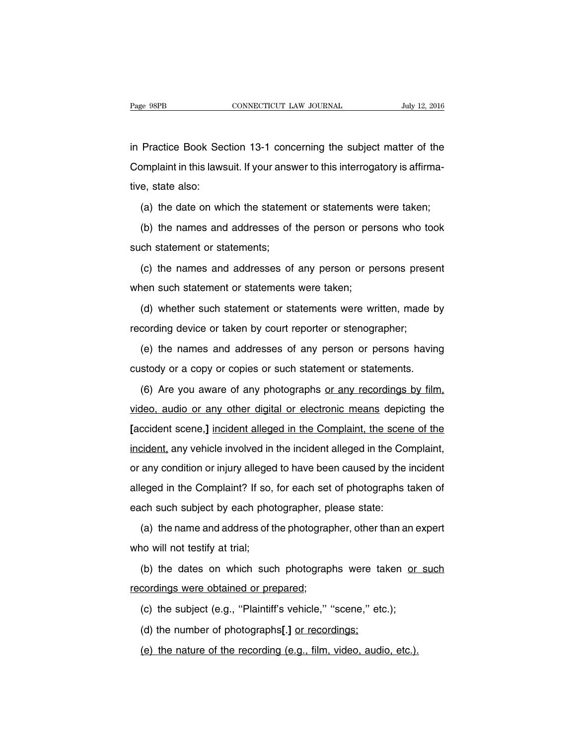in Practice Book Section 13-1 concerning the subject matter of the Complaint in this lawsuit. If your answer to this interrogatory is affirmative, state also:

(a) the date on which the statement or statements were taken;

(b) the names and addresses of the person or persons who took such statement or statements;

(c) the names and addresses of any person or persons present when such statement or statements were taken;

(d) whether such statement or statements were written, made by recording device or taken by court reporter or stenographer;

(e) the names and addresses of any person or persons having custody or a copy or copies or such statement or statements.

(6) Are you aware of any photographs or any recordings by film, video, audio or any other digital or electronic means depicting the **[**accident scene,**]** incident alleged in the Complaint, the scene of the incident, any vehicle involved in the incident alleged in the Complaint, or any condition or injury alleged to have been caused by the incident alleged in the Complaint? If so, for each set of photographs taken of each such subject by each photographer, please state:

(a) the name and address of the photographer, other than an expert who will not testify at trial;

(b) the dates on which such photographs were taken or such recordings were obtained or prepared;

(c) the subject (e.g., ''Plaintiff's vehicle,'' ''scene,'' etc.);

(d) the number of photographs**[**.**]** or recordings;

(e) the nature of the recording (e.g., film, video, audio, etc.).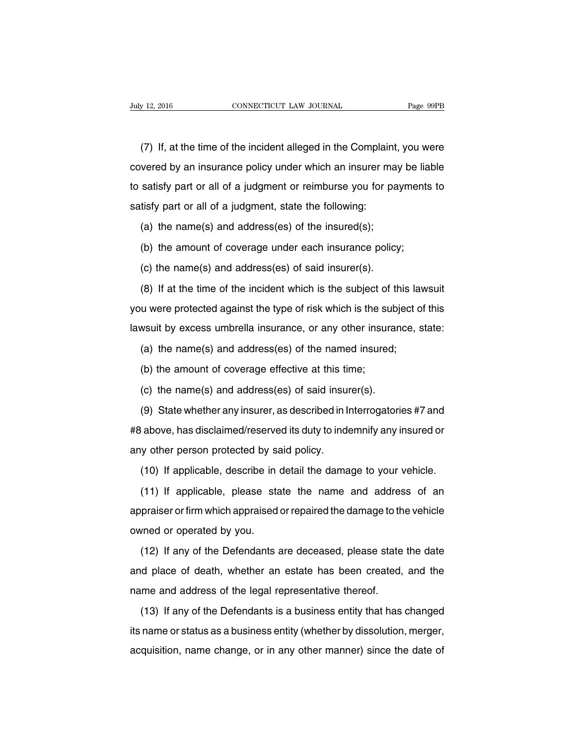(7) If, at the time of the incident alleged in the Complaint, you were covered by an insurance policy under which an insurer may be liable to satisfy part or all of a judgment or reimburse you for payments to satisfy part or all of a judgment, state the following:

(a) the name(s) and address(es) of the insured(s);

(b) the amount of coverage under each insurance policy;

(c) the name(s) and address(es) of said insurer(s).

(8) If at the time of the incident which is the subject of this lawsuit you were protected against the type of risk which is the subject of this lawsuit by excess umbrella insurance, or any other insurance, state:

(a) the name(s) and address(es) of the named insured;

(b) the amount of coverage effective at this time;

(c) the name(s) and address(es) of said insurer(s).

(9) State whether any insurer, as described in Interrogatories #7 and #8 above, has disclaimed/reserved its duty to indemnify any insured or any other person protected by said policy.

(10) If applicable, describe in detail the damage to your vehicle.

(11) If applicable, please state the name and address of an appraiser or firm which appraised or repaired the damage to the vehicle owned or operated by you.

(12) If any of the Defendants are deceased, please state the date and place of death, whether an estate has been created, and the name and address of the legal representative thereof.

(13) If any of the Defendants is a business entity that has changed its name or status as a business entity (whether by dissolution, merger, acquisition, name change, or in any other manner) since the date of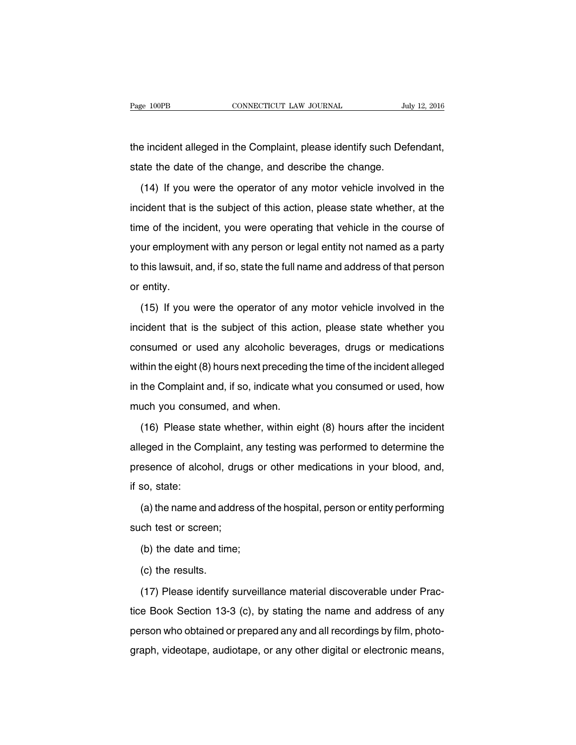the incident alleged in the Complaint, please identify such Defendant, state the date of the change, and describe the change.

(14) If you were the operator of any motor vehicle involved in the incident that is the subject of this action, please state whether, at the time of the incident, you were operating that vehicle in the course of your employment with any person or legal entity not named as a party to this lawsuit, and, if so, state the full name and address of that person or entity.

(15) If you were the operator of any motor vehicle involved in the incident that is the subject of this action, please state whether you consumed or used any alcoholic beverages, drugs or medications within the eight (8) hours next preceding the time of the incident alleged in the Complaint and, if so, indicate what you consumed or used, how much you consumed, and when.

(16) Please state whether, within eight (8) hours after the incident alleged in the Complaint, any testing was performed to determine the presence of alcohol, drugs or other medications in your blood, and, if so, state:

(a) the name and address of the hospital, person or entity performing such test or screen;

(b) the date and time;

(c) the results.

(17) Please identify surveillance material discoverable under Practice Book Section 13-3 (c), by stating the name and address of any person who obtained or prepared any and all recordings by film, photograph, videotape, audiotape, or any other digital or electronic means,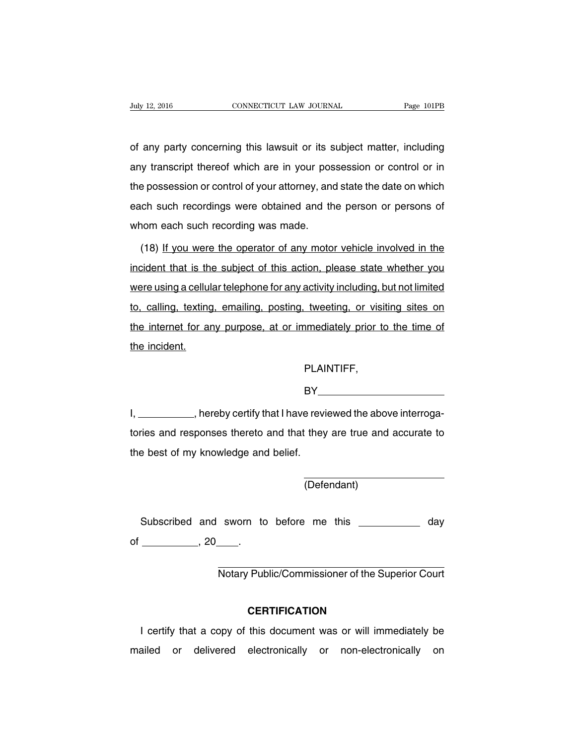of any party concerning this lawsuit or its subject matter, including any transcript thereof which are in your possession or control or in the possession or control of your attorney, and state the date on which each such recordings were obtained and the person or persons of whom each such recording was made.

(18) If you were the operator of any motor vehicle involved in the incident that is the subject of this action, please state whether you were using a cellular telephone for any activity including, but not limited to, calling, texting, emailing, posting, tweeting, or visiting sites on the internet for any purpose, at or immediately prior to the time of the incident.

PLAINTIFF,

BY

I, \_\_\_\_\_\_\_\_\_\_, hereby certify that I have reviewed the above interrogatories and responses thereto and that they are true and accurate to the best of my knowledge and belief.

(Defendant)

Subscribed and sworn to before me this \_\_\_\_\_\_\_\_\_\_\_ day of  $\frac{1}{20}$ , 20  $\frac{1}{20}$ .

Notary Public/Commissioner of the Superior Court

### **CERTIFICATION**

I certify that a copy of this document was or will immediately be mailed or delivered electronically or non-electronically on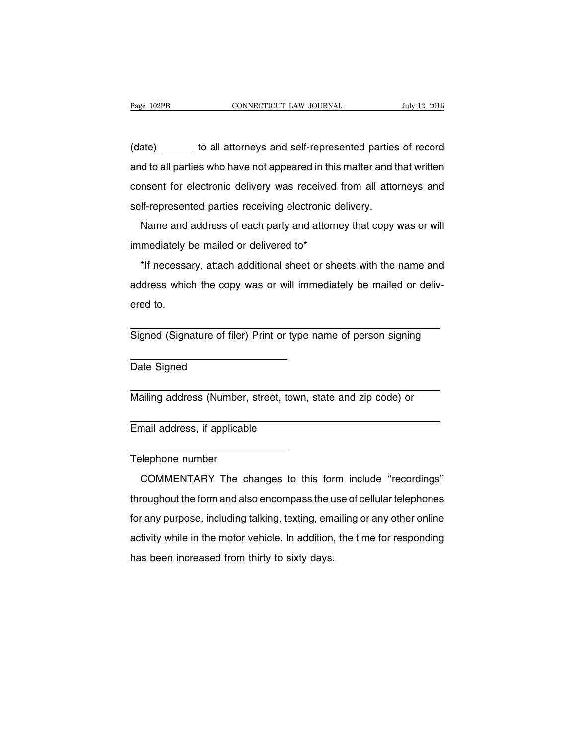(date) \_\_\_\_\_\_\_ to all attorneys and self-represented parties of record and to all parties who have not appeared in this matter and that written consent for electronic delivery was received from all attorneys and self-represented parties receiving electronic delivery.

Name and address of each party and attorney that copy was or will immediately be mailed or delivered to\*

\*If necessary, attach additional sheet or sheets with the name and address which the copy was or will immediately be mailed or delivered to.

Signed (Signature of filer) Print or type name of person signing

Date Signed

Mailing address (Number, street, town, state and zip code) or

Email address, if applicable

Telephone number

COMMENTARY The changes to this form include ''recordings'' throughout the form and also encompass the use of cellular telephones for any purpose, including talking, texting, emailing or any other online activity while in the motor vehicle. In addition, the time for responding has been increased from thirty to sixty days.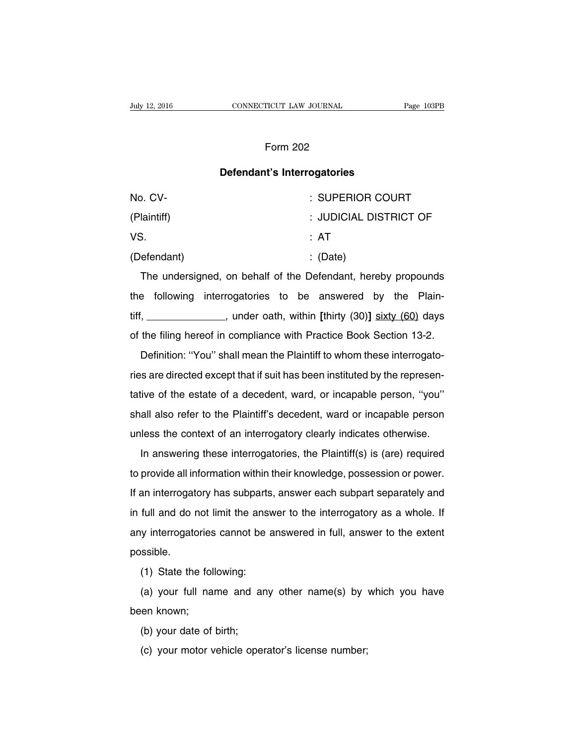### Form 202

### **Defendant's Interrogatories**

| No. CV-     | : SUPERIOR COURT       |
|-------------|------------------------|
| (Plaintiff) | : JUDICIAL DISTRICT OF |
| VS.         | : AT                   |
| (Defendant) | $\therefore$ (Date)    |

The undersigned, on behalf of the Defendant, hereby propounds the following interrogatories to be answered by the Plaintiff, , under oath, within **[**thirty (30)**]** sixty (60) days of the filing hereof in compliance with Practice Book Section 13-2.

Definition: ''You'' shall mean the Plaintiff to whom these interrogatories are directed except that if suit has been instituted by the representative of the estate of a decedent, ward, or incapable person, ''you'' shall also refer to the Plaintiff's decedent, ward or incapable person unless the context of an interrogatory clearly indicates otherwise.

In answering these interrogatories, the Plaintiff(s) is (are) required to provide all information within their knowledge, possession or power. If an interrogatory has subparts, answer each subpart separately and in full and do not limit the answer to the interrogatory as a whole. If any interrogatories cannot be answered in full, answer to the extent possible.

(1) State the following:

(a) your full name and any other name(s) by which you have been known;

- (b) your date of birth;
- (c) your motor vehicle operator's license number;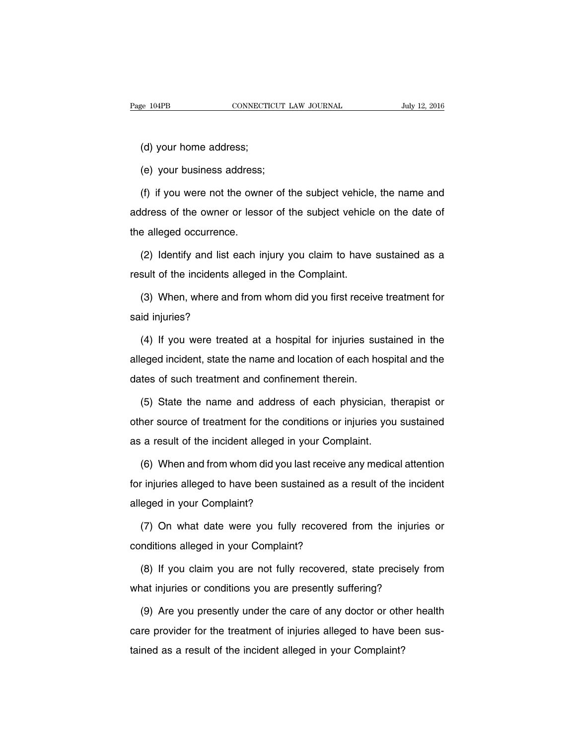(d) your home address;

(e) your business address;

(f) if you were not the owner of the subject vehicle, the name and address of the owner or lessor of the subject vehicle on the date of the alleged occurrence.

(2) Identify and list each injury you claim to have sustained as a result of the incidents alleged in the Complaint.

(3) When, where and from whom did you first receive treatment for said injuries?

(4) If you were treated at a hospital for injuries sustained in the alleged incident, state the name and location of each hospital and the dates of such treatment and confinement therein.

(5) State the name and address of each physician, therapist or other source of treatment for the conditions or injuries you sustained as a result of the incident alleged in your Complaint.

(6) When and from whom did you last receive any medical attention for injuries alleged to have been sustained as a result of the incident alleged in your Complaint?

(7) On what date were you fully recovered from the injuries or conditions alleged in your Complaint?

(8) If you claim you are not fully recovered, state precisely from what injuries or conditions you are presently suffering?

(9) Are you presently under the care of any doctor or other health care provider for the treatment of injuries alleged to have been sustained as a result of the incident alleged in your Complaint?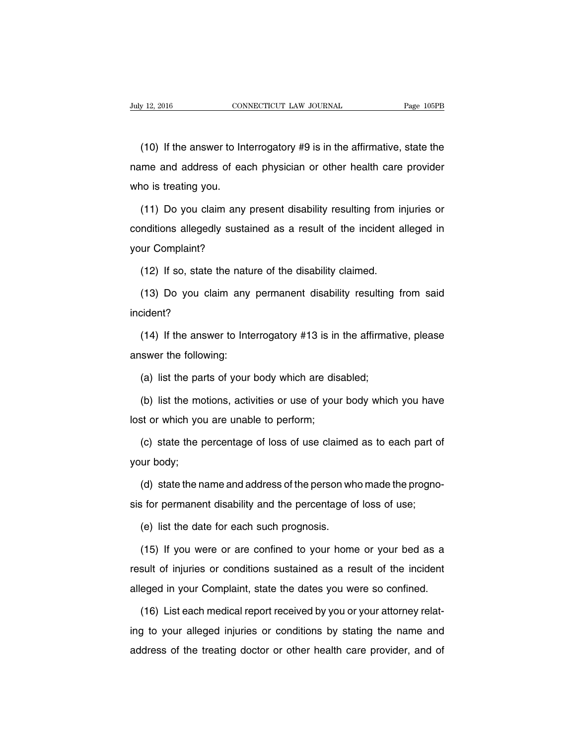(10) If the answer to Interrogatory #9 is in the affirmative, state the name and address of each physician or other health care provider who is treating you.

(11) Do you claim any present disability resulting from injuries or conditions allegedly sustained as a result of the incident alleged in your Complaint?

(12) If so, state the nature of the disability claimed.

(13) Do you claim any permanent disability resulting from said incident?

(14) If the answer to Interrogatory #13 is in the affirmative, please answer the following:

(a) list the parts of your body which are disabled;

(b) list the motions, activities or use of your body which you have lost or which you are unable to perform;

(c) state the percentage of loss of use claimed as to each part of your body;

(d) state the name and address of the person who made the prognosis for permanent disability and the percentage of loss of use;

(e) list the date for each such prognosis.

(15) If you were or are confined to your home or your bed as a result of injuries or conditions sustained as a result of the incident alleged in your Complaint, state the dates you were so confined.

(16) List each medical report received by you or your attorney relating to your alleged injuries or conditions by stating the name and address of the treating doctor or other health care provider, and of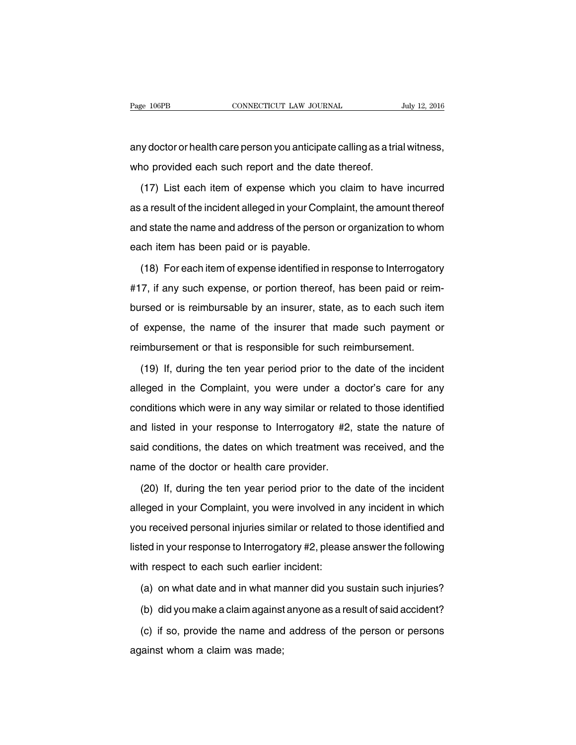any doctor or health care person you anticipate calling as a trial witness, who provided each such report and the date thereof.

(17) List each item of expense which you claim to have incurred as a result of the incident alleged in your Complaint, the amount thereof and state the name and address of the person or organization to whom each item has been paid or is payable.

(18) For each item of expense identified in response to Interrogatory #17, if any such expense, or portion thereof, has been paid or reimbursed or is reimbursable by an insurer, state, as to each such item of expense, the name of the insurer that made such payment or reimbursement or that is responsible for such reimbursement.

(19) If, during the ten year period prior to the date of the incident alleged in the Complaint, you were under a doctor's care for any conditions which were in any way similar or related to those identified and listed in your response to Interrogatory #2, state the nature of said conditions, the dates on which treatment was received, and the name of the doctor or health care provider.

(20) If, during the ten year period prior to the date of the incident alleged in your Complaint, you were involved in any incident in which you received personal injuries similar or related to those identified and listed in your response to Interrogatory #2, please answer the following with respect to each such earlier incident:

(a) on what date and in what manner did you sustain such injuries?

(b) did you make a claim against anyone as a result of said accident?

(c) if so, provide the name and address of the person or persons against whom a claim was made;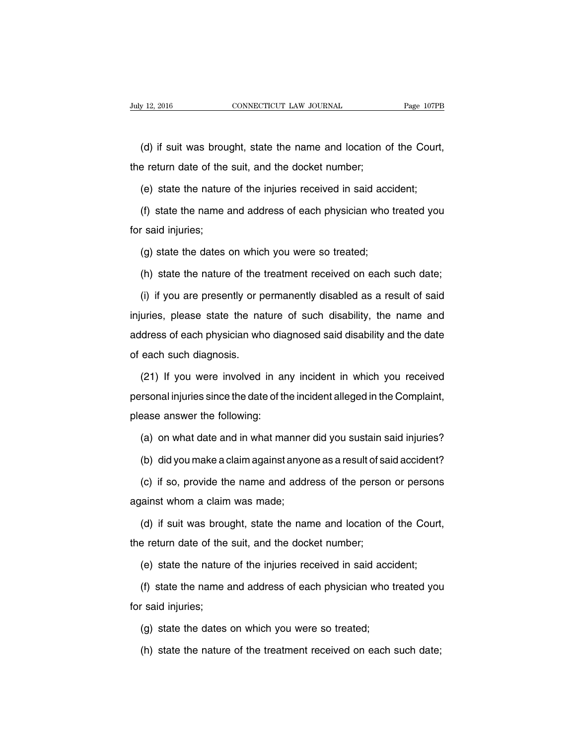(d) if suit was brought, state the name and location of the Court, the return date of the suit, and the docket number;

(e) state the nature of the injuries received in said accident;

(f) state the name and address of each physician who treated you for said injuries;

(g) state the dates on which you were so treated;

(h) state the nature of the treatment received on each such date;

(i) if you are presently or permanently disabled as a result of said injuries, please state the nature of such disability, the name and address of each physician who diagnosed said disability and the date of each such diagnosis.

(21) If you were involved in any incident in which you received personal injuries since the date of the incident alleged in the Complaint, please answer the following:

(a) on what date and in what manner did you sustain said injuries?

(b) did you make a claim against anyone as a result of said accident?

(c) if so, provide the name and address of the person or persons against whom a claim was made;

(d) if suit was brought, state the name and location of the Court, the return date of the suit, and the docket number;

(e) state the nature of the injuries received in said accident;

(f) state the name and address of each physician who treated you for said injuries;

(g) state the dates on which you were so treated;

(h) state the nature of the treatment received on each such date;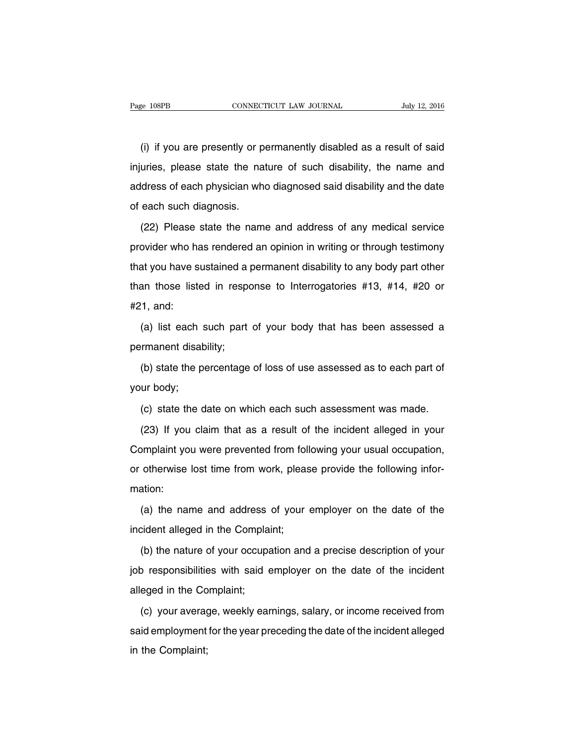(i) if you are presently or permanently disabled as a result of said injuries, please state the nature of such disability, the name and address of each physician who diagnosed said disability and the date of each such diagnosis.

(22) Please state the name and address of any medical service provider who has rendered an opinion in writing or through testimony that you have sustained a permanent disability to any body part other than those listed in response to Interrogatories #13, #14, #20 or #21, and:

(a) list each such part of your body that has been assessed a permanent disability;

(b) state the percentage of loss of use assessed as to each part of your body;

(c) state the date on which each such assessment was made.

(23) If you claim that as a result of the incident alleged in your Complaint you were prevented from following your usual occupation, or otherwise lost time from work, please provide the following information:

(a) the name and address of your employer on the date of the incident alleged in the Complaint;

(b) the nature of your occupation and a precise description of your job responsibilities with said employer on the date of the incident alleged in the Complaint;

(c) your average, weekly earnings, salary, or income received from said employment for the year preceding the date of the incident alleged in the Complaint;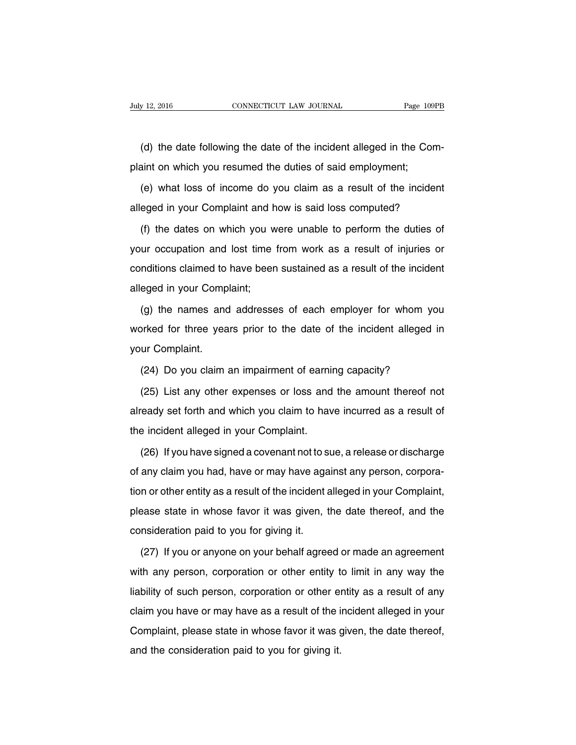(d) the date following the date of the incident alleged in the Complaint on which you resumed the duties of said employment;

(e) what loss of income do you claim as a result of the incident alleged in your Complaint and how is said loss computed?

(f) the dates on which you were unable to perform the duties of your occupation and lost time from work as a result of injuries or conditions claimed to have been sustained as a result of the incident alleged in your Complaint;

(g) the names and addresses of each employer for whom you worked for three years prior to the date of the incident alleged in your Complaint.

(24) Do you claim an impairment of earning capacity?

(25) List any other expenses or loss and the amount thereof not already set forth and which you claim to have incurred as a result of the incident alleged in your Complaint.

(26) If you have signed a covenant not to sue, a release or discharge of any claim you had, have or may have against any person, corporation or other entity as a result of the incident alleged in your Complaint, please state in whose favor it was given, the date thereof, and the consideration paid to you for giving it.

(27) If you or anyone on your behalf agreed or made an agreement with any person, corporation or other entity to limit in any way the liability of such person, corporation or other entity as a result of any claim you have or may have as a result of the incident alleged in your Complaint, please state in whose favor it was given, the date thereof, and the consideration paid to you for giving it.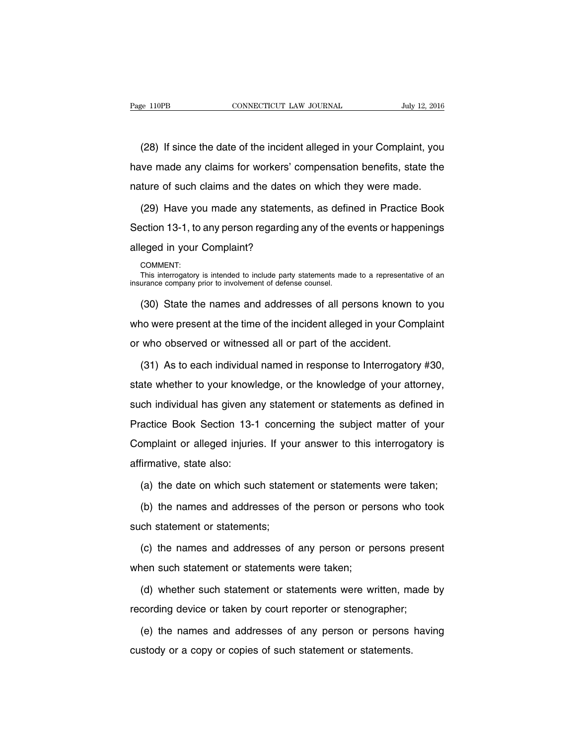(28) If since the date of the incident alleged in your Complaint, you have made any claims for workers' compensation benefits, state the nature of such claims and the dates on which they were made.

(29) Have you made any statements, as defined in Practice Book Section 13-1, to any person regarding any of the events or happenings alleged in your Complaint?

COMMENT:

This interrogatory is intended to include party statements made to a representative of an insurance company prior to involvement of defense counsel.

(30) State the names and addresses of all persons known to you who were present at the time of the incident alleged in your Complaint or who observed or witnessed all or part of the accident.

(31) As to each individual named in response to Interrogatory #30, state whether to your knowledge, or the knowledge of your attorney, such individual has given any statement or statements as defined in Practice Book Section 13-1 concerning the subject matter of your Complaint or alleged injuries. If your answer to this interrogatory is affirmative, state also:

(a) the date on which such statement or statements were taken;

(b) the names and addresses of the person or persons who took such statement or statements;

(c) the names and addresses of any person or persons present when such statement or statements were taken;

(d) whether such statement or statements were written, made by recording device or taken by court reporter or stenographer;

(e) the names and addresses of any person or persons having custody or a copy or copies of such statement or statements.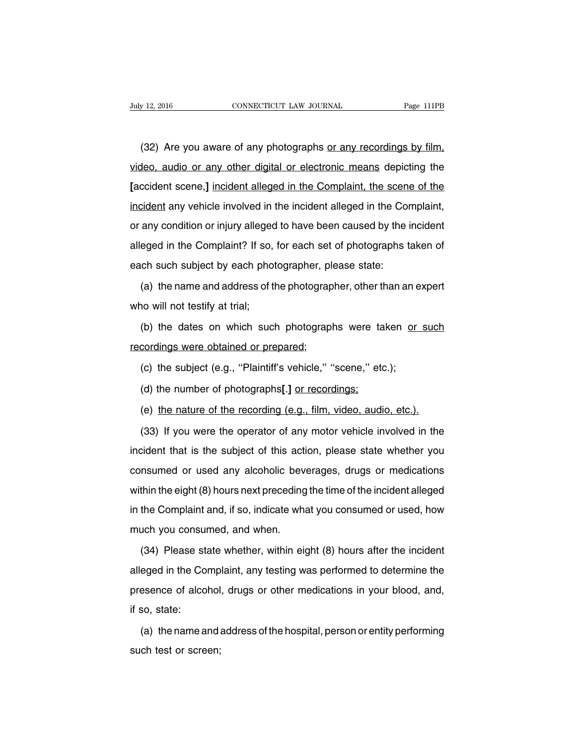(32) Are you aware of any photographs or any recordings by film, video, audio or any other digital or electronic means depicting the **[**accident scene,**]** incident alleged in the Complaint, the scene of the incident any vehicle involved in the incident alleged in the Complaint, or any condition or injury alleged to have been caused by the incident alleged in the Complaint? If so, for each set of photographs taken of each such subject by each photographer, please state:

(a) the name and address of the photographer, other than an expert who will not testify at trial;

(b) the dates on which such photographs were taken or such recordings were obtained or prepared;

(c) the subject (e.g., ''Plaintiff's vehicle,'' ''scene,'' etc.);

(d) the number of photographs**[**.**]** or recordings;

(e) the nature of the recording (e.g., film, video, audio, etc.).

(33) If you were the operator of any motor vehicle involved in the incident that is the subject of this action, please state whether you consumed or used any alcoholic beverages, drugs or medications within the eight (8) hours next preceding the time of the incident alleged in the Complaint and, if so, indicate what you consumed or used, how much you consumed, and when.

(34) Please state whether, within eight (8) hours after the incident alleged in the Complaint, any testing was performed to determine the presence of alcohol, drugs or other medications in your blood, and, if so, state:

(a) the name and address of the hospital, person or entity performing such test or screen;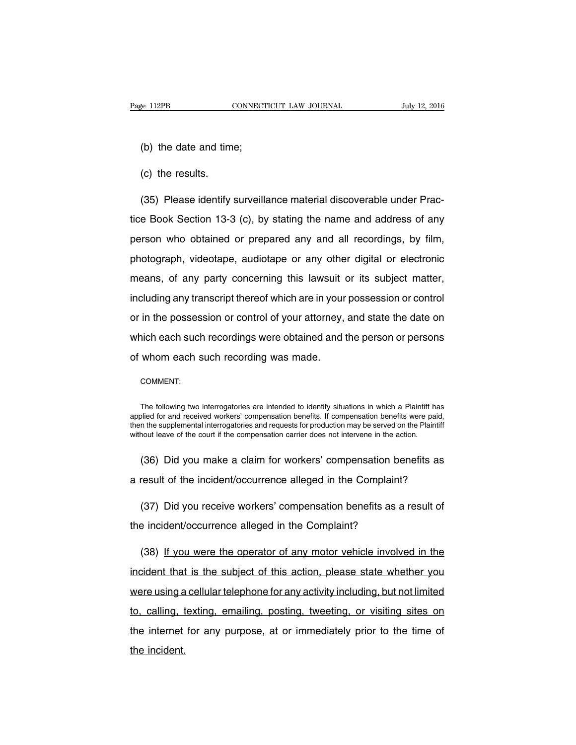(b) the date and time;

(c) the results.

(35) Please identify surveillance material discoverable under Practice Book Section 13-3 (c), by stating the name and address of any person who obtained or prepared any and all recordings, by film, photograph, videotape, audiotape or any other digital or electronic means, of any party concerning this lawsuit or its subject matter, including any transcript thereof which are in your possession or control or in the possession or control of your attorney, and state the date on which each such recordings were obtained and the person or persons of whom each such recording was made.

COMMENT:

The following two interrogatories are intended to identify situations in which a Plaintiff has applied for and received workers' compensation benefits. If compensation benefits were paid, then the supplemental interrogatories and requests for production may be served on the Plaintiff without leave of the court if the compensation carrier does not intervene in the action.

(36) Did you make a claim for workers' compensation benefits as a result of the incident/occurrence alleged in the Complaint?

(37) Did you receive workers' compensation benefits as a result of the incident/occurrence alleged in the Complaint?

(38) If you were the operator of any motor vehicle involved in the incident that is the subject of this action, please state whether you were using a cellular telephone for any activity including, but not limited to, calling, texting, emailing, posting, tweeting, or visiting sites on the internet for any purpose, at or immediately prior to the time of the incident.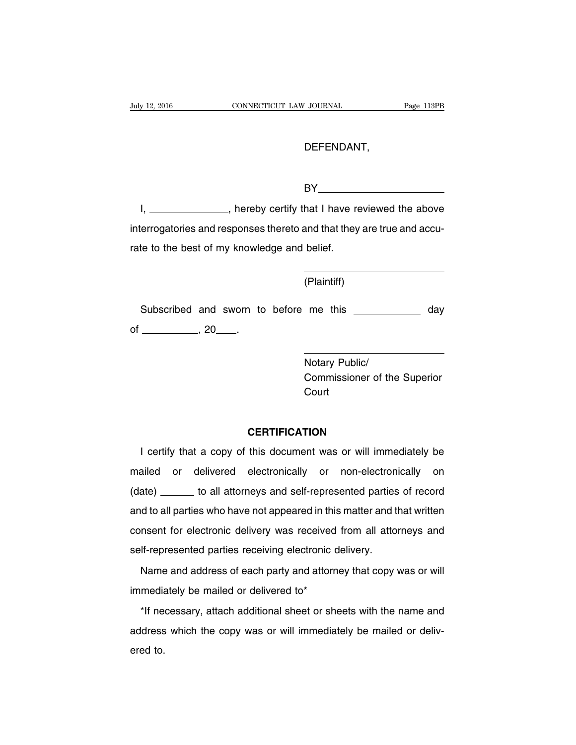#### DEFENDANT,

BY **BY** 

I, \_\_\_\_\_\_\_\_\_\_\_\_\_\_\_, hereby certify that I have reviewed the above interrogatories and responses thereto and that they are true and accurate to the best of my knowledge and belief.

(Plaintiff)

Subscribed and sworn to before me this \_\_\_\_\_\_\_\_\_\_\_\_\_ day of , 20 .

> Notary Public/ Commissioner of the Superior Court

#### **CERTIFICATION**

I certify that a copy of this document was or will immediately be mailed or delivered electronically or non-electronically on (date) to all attorneys and self-represented parties of record and to all parties who have not appeared in this matter and that written consent for electronic delivery was received from all attorneys and self-represented parties receiving electronic delivery.

Name and address of each party and attorney that copy was or will immediately be mailed or delivered to\*

\*If necessary, attach additional sheet or sheets with the name and address which the copy was or will immediately be mailed or delivered to.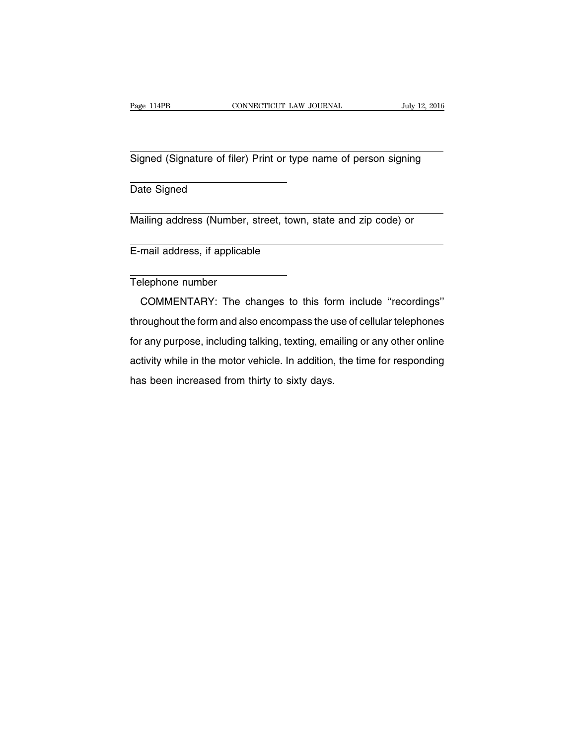Signed (Signature of filer) Print or type name of person signing

Date Signed

Mailing address (Number, street, town, state and zip code) or

E-mail address, if applicable

Telephone number

COMMENTARY: The changes to this form include ''recordings'' throughout the form and also encompass the use of cellular telephones for any purpose, including talking, texting, emailing or any other online activity while in the motor vehicle. In addition, the time for responding has been increased from thirty to sixty days.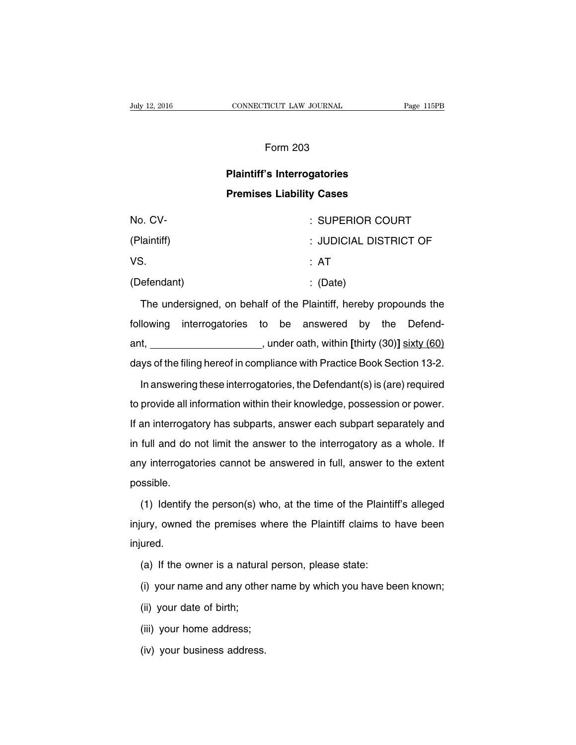#### Form 203

## **Plaintiff's Interrogatories Premises Liability Cases**

| No. CV-     | : SUPERIOR COURT       |
|-------------|------------------------|
| (Plaintiff) | : JUDICIAL DISTRICT OF |
| VS.         | : AT                   |
| (Defendant) | $\therefore$ (Date)    |

The undersigned, on behalf of the Plaintiff, hereby propounds the following interrogatories to be answered by the Defendant, **and ant**, **notationally** and and a single part of the state of the state (80) and  $\frac{1}{2}$  sixty (60) days of the filing hereof in compliance with Practice Book Section 13-2.

In answering these interrogatories, the Defendant(s) is (are) required to provide all information within their knowledge, possession or power. If an interrogatory has subparts, answer each subpart separately and in full and do not limit the answer to the interrogatory as a whole. If any interrogatories cannot be answered in full, answer to the extent possible.

(1) Identify the person(s) who, at the time of the Plaintiff's alleged injury, owned the premises where the Plaintiff claims to have been injured.

- (a) If the owner is a natural person, please state:
- (i) your name and any other name by which you have been known;
- (ii) your date of birth;
- (iii) your home address;
- (iv) your business address.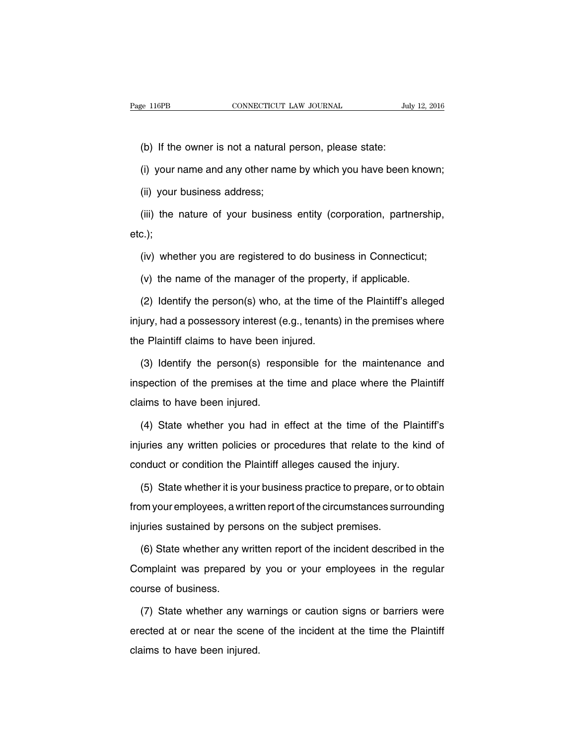(b) If the owner is not a natural person, please state:

(i) your name and any other name by which you have been known;

(ii) your business address;

(iii) the nature of your business entity (corporation, partnership, etc.);

(iv) whether you are registered to do business in Connecticut;

(v) the name of the manager of the property, if applicable.

(2) Identify the person(s) who, at the time of the Plaintiff's alleged injury, had a possessory interest (e.g., tenants) in the premises where the Plaintiff claims to have been injured.

(3) Identify the person(s) responsible for the maintenance and inspection of the premises at the time and place where the Plaintiff claims to have been injured.

(4) State whether you had in effect at the time of the Plaintiff's injuries any written policies or procedures that relate to the kind of conduct or condition the Plaintiff alleges caused the injury.

(5) State whether it is your business practice to prepare, or to obtain from your employees, a written report of the circumstances surrounding injuries sustained by persons on the subject premises.

(6) State whether any written report of the incident described in the Complaint was prepared by you or your employees in the regular course of business.

(7) State whether any warnings or caution signs or barriers were erected at or near the scene of the incident at the time the Plaintiff claims to have been injured.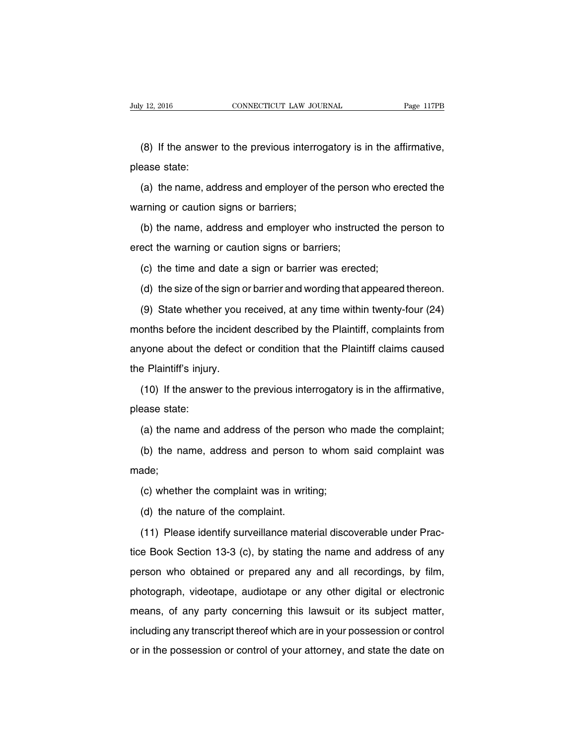(8) If the answer to the previous interrogatory is in the affirmative, please state:

(a) the name, address and employer of the person who erected the warning or caution signs or barriers;

(b) the name, address and employer who instructed the person to erect the warning or caution signs or barriers;

(c) the time and date a sign or barrier was erected;

(d) the size of the sign or barrier and wording that appeared thereon.

(9) State whether you received, at any time within twenty-four (24) months before the incident described by the Plaintiff, complaints from anyone about the defect or condition that the Plaintiff claims caused the Plaintiff's injury.

(10) If the answer to the previous interrogatory is in the affirmative, please state:

(a) the name and address of the person who made the complaint;

(b) the name, address and person to whom said complaint was made;

(c) whether the complaint was in writing;

(d) the nature of the complaint.

(11) Please identify surveillance material discoverable under Practice Book Section 13-3 (c), by stating the name and address of any person who obtained or prepared any and all recordings, by film, photograph, videotape, audiotape or any other digital or electronic means, of any party concerning this lawsuit or its subject matter, including any transcript thereof which are in your possession or control or in the possession or control of your attorney, and state the date on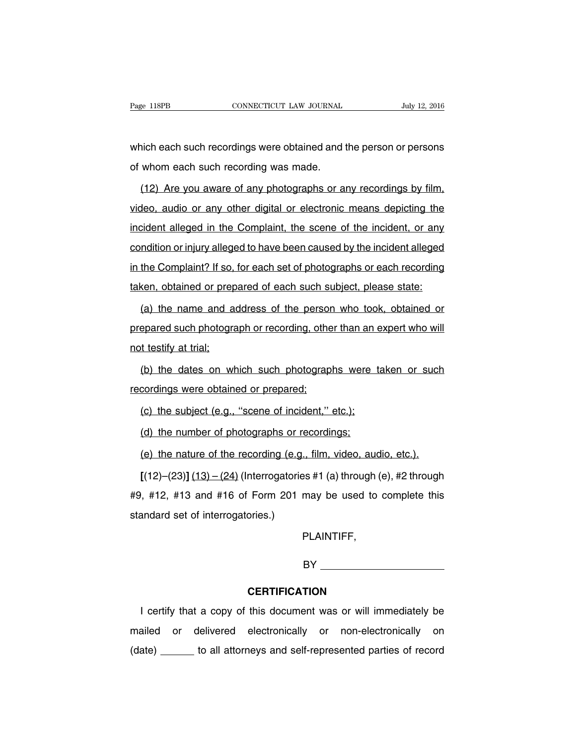which each such recordings were obtained and the person or persons of whom each such recording was made.

(12) Are you aware of any photographs or any recordings by film, video, audio or any other digital or electronic means depicting the incident alleged in the Complaint, the scene of the incident, or any condition or injury alleged to have been caused by the incident alleged in the Complaint? If so, for each set of photographs or each recording taken, obtained or prepared of each such subject, please state:

(a) the name and address of the person who took, obtained or prepared such photograph or recording, other than an expert who will not testify at trial;

(b) the dates on which such photographs were taken or such recordings were obtained or prepared;

(c) the subject (e.g., ''scene of incident,'' etc.);

(d) the number of photographs or recordings;

(e) the nature of the recording (e.g., film, video, audio, etc.).

**[**(12)–(23)**]** (13) – (24) (Interrogatories #1 (a) through (e), #2 through #9, #12, #13 and #16 of Form 201 may be used to complete this standard set of interrogatories.)

PLAINTIFF,

BY

#### **CERTIFICATION**

I certify that a copy of this document was or will immediately be mailed or delivered electronically or non-electronically on (date) \_\_\_\_\_\_ to all attorneys and self-represented parties of record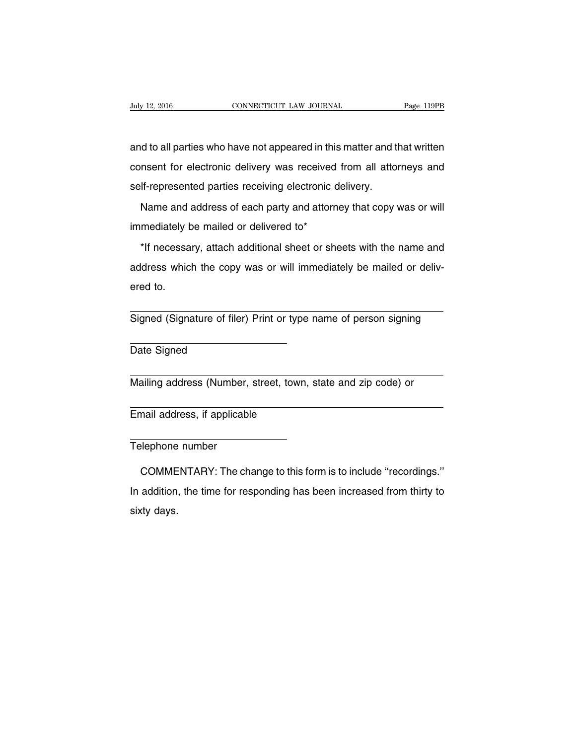and to all parties who have not appeared in this matter and that written consent for electronic delivery was received from all attorneys and self-represented parties receiving electronic delivery.

Name and address of each party and attorney that copy was or will immediately be mailed or delivered to\*

\*If necessary, attach additional sheet or sheets with the name and address which the copy was or will immediately be mailed or delivered to.

Signed (Signature of filer) Print or type name of person signing

Date Signed

Mailing address (Number, street, town, state and zip code) or

Email address, if applicable

Telephone number

COMMENTARY: The change to this form is to include ''recordings.'' In addition, the time for responding has been increased from thirty to sixty days.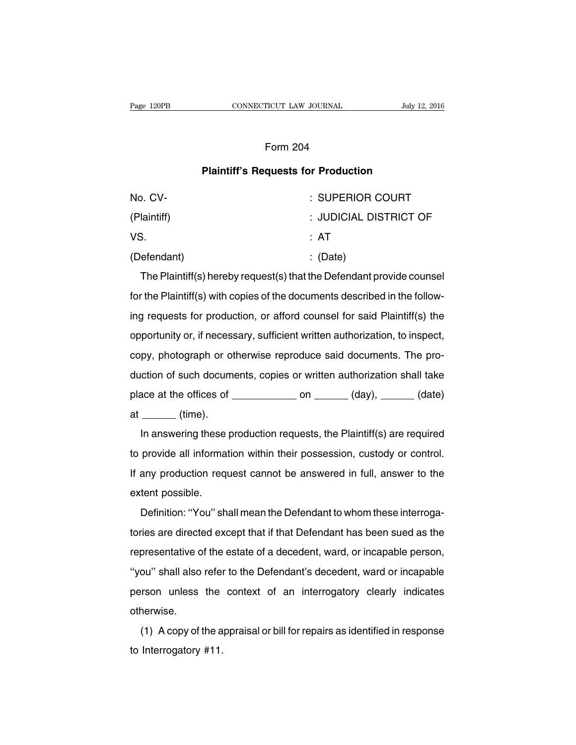#### Form 204

#### **Plaintiff's Requests for Production**

| No. CV-     | : SUPERIOR COURT       |
|-------------|------------------------|
| (Plaintiff) | : JUDICIAL DISTRICT OF |
| VS.         | : AT                   |
| (Defendant) | $\therefore$ (Date)    |

The Plaintiff(s) hereby request(s) that the Defendant provide counsel for the Plaintiff(s) with copies of the documents described in the following requests for production, or afford counsel for said Plaintiff(s) the opportunity or, if necessary, sufficient written authorization, to inspect, copy, photograph or otherwise reproduce said documents. The production of such documents, copies or written authorization shall take place at the offices of  $\_\_\_\_\_$  on  $\_\_\_\_$  (day),  $\_\_\_\_$  (date) at (time).

In answering these production requests, the Plaintiff(s) are required to provide all information within their possession, custody or control. If any production request cannot be answered in full, answer to the extent possible.

Definition: ''You'' shall mean the Defendant to whom these interrogatories are directed except that if that Defendant has been sued as the representative of the estate of a decedent, ward, or incapable person, "you" shall also refer to the Defendant's decedent, ward or incapable person unless the context of an interrogatory clearly indicates otherwise.

(1) A copy of the appraisal or bill for repairs as identified in response to Interrogatory #11.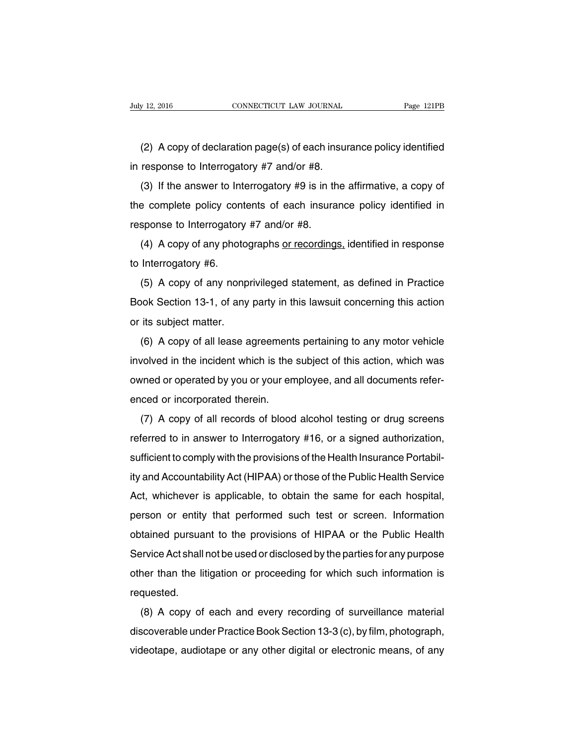(2) A copy of declaration page(s) of each insurance policy identified in response to Interrogatory #7 and/or #8.

(3) If the answer to Interrogatory #9 is in the affirmative, a copy of the complete policy contents of each insurance policy identified in response to Interrogatory #7 and/or #8.

(4) A copy of any photographs or recordings, identified in response to Interrogatory #6.

(5) A copy of any nonprivileged statement, as defined in Practice Book Section 13-1, of any party in this lawsuit concerning this action or its subject matter.

(6) A copy of all lease agreements pertaining to any motor vehicle involved in the incident which is the subject of this action, which was owned or operated by you or your employee, and all documents referenced or incorporated therein.

(7) A copy of all records of blood alcohol testing or drug screens referred to in answer to Interrogatory #16, or a signed authorization, sufficient to comply with the provisions of the Health Insurance Portability and Accountability Act (HIPAA) or those of the Public Health Service Act, whichever is applicable, to obtain the same for each hospital, person or entity that performed such test or screen. Information obtained pursuant to the provisions of HIPAA or the Public Health Service Act shall not be used or disclosed by the parties for any purpose other than the litigation or proceeding for which such information is requested.

(8) A copy of each and every recording of surveillance material discoverable under Practice Book Section 13-3 (c), by film, photograph, videotape, audiotape or any other digital or electronic means, of any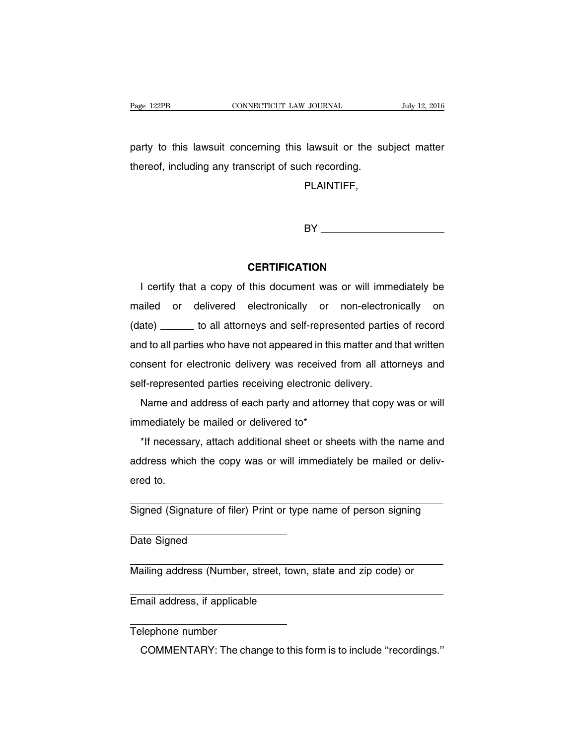party to this lawsuit concerning this lawsuit or the subject matter thereof, including any transcript of such recording.

PLAINTIFF,

BY **Example 20** 

#### **CERTIFICATION**

I certify that a copy of this document was or will immediately be mailed or delivered electronically or non-electronically on (date) \_\_\_\_\_\_ to all attorneys and self-represented parties of record and to all parties who have not appeared in this matter and that written consent for electronic delivery was received from all attorneys and self-represented parties receiving electronic delivery.

Name and address of each party and attorney that copy was or will immediately be mailed or delivered to\*

\*If necessary, attach additional sheet or sheets with the name and address which the copy was or will immediately be mailed or delivered to.

Signed (Signature of filer) Print or type name of person signing

Date Signed

Mailing address (Number, street, town, state and zip code) or

Email address, if applicable

Telephone number

COMMENTARY: The change to this form is to include ''recordings.''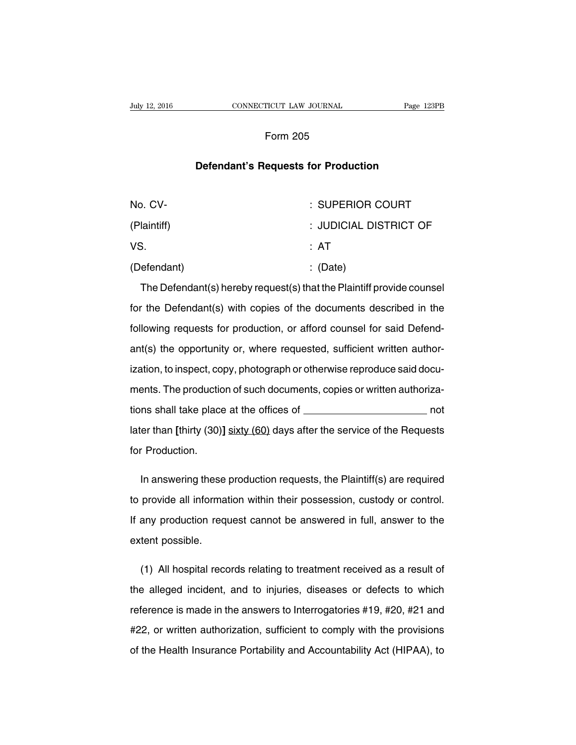### Form 205

#### **Defendant's Requests for Production**

| No. CV-     | : SUPERIOR COURT       |
|-------------|------------------------|
| (Plaintiff) | : JUDICIAL DISTRICT OF |
| VS.         | : AT                   |
| (Defendant) | $\therefore$ (Date)    |

The Defendant(s) hereby request(s) that the Plaintiff provide counsel for the Defendant(s) with copies of the documents described in the following requests for production, or afford counsel for said Defendant(s) the opportunity or, where requested, sufficient written authorization, to inspect, copy, photograph or otherwise reproduce said documents. The production of such documents, copies or written authorizations shall take place at the offices of not later than **[**thirty (30)**]** sixty (60) days after the service of the Requests for Production.

In answering these production requests, the Plaintiff(s) are required to provide all information within their possession, custody or control. If any production request cannot be answered in full, answer to the extent possible.

(1) All hospital records relating to treatment received as a result of the alleged incident, and to injuries, diseases or defects to which reference is made in the answers to Interrogatories #19, #20, #21 and #22, or written authorization, sufficient to comply with the provisions of the Health Insurance Portability and Accountability Act (HIPAA), to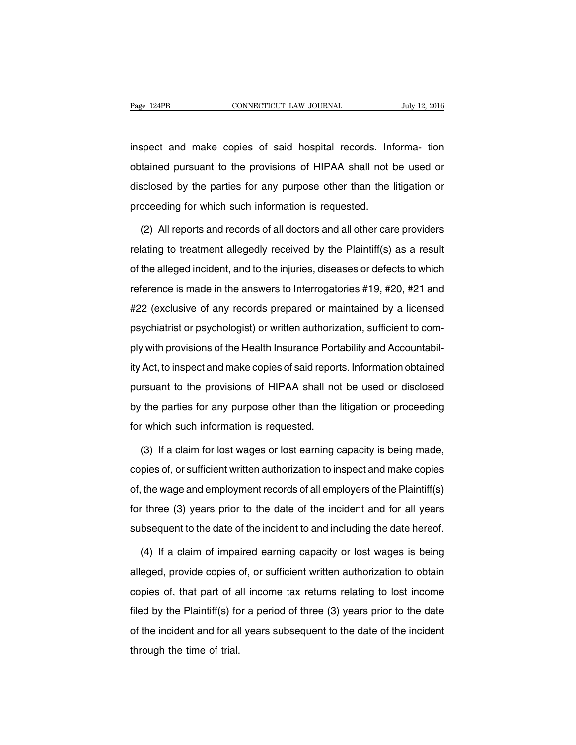inspect and make copies of said hospital records. Informa- tion obtained pursuant to the provisions of HIPAA shall not be used or disclosed by the parties for any purpose other than the litigation or proceeding for which such information is requested.

(2) All reports and records of all doctors and all other care providers relating to treatment allegedly received by the Plaintiff(s) as a result of the alleged incident, and to the injuries, diseases or defects to which reference is made in the answers to Interrogatories #19, #20, #21 and #22 (exclusive of any records prepared or maintained by a licensed psychiatrist or psychologist) or written authorization, sufficient to comply with provisions of the Health Insurance Portability and Accountability Act, to inspect and make copies of said reports. Information obtained pursuant to the provisions of HIPAA shall not be used or disclosed by the parties for any purpose other than the litigation or proceeding for which such information is requested.

(3) If a claim for lost wages or lost earning capacity is being made, copies of, or sufficient written authorization to inspect and make copies of, the wage and employment records of all employers of the Plaintiff(s) for three (3) years prior to the date of the incident and for all years subsequent to the date of the incident to and including the date hereof.

(4) If a claim of impaired earning capacity or lost wages is being alleged, provide copies of, or sufficient written authorization to obtain copies of, that part of all income tax returns relating to lost income filed by the Plaintiff(s) for a period of three (3) years prior to the date of the incident and for all years subsequent to the date of the incident through the time of trial.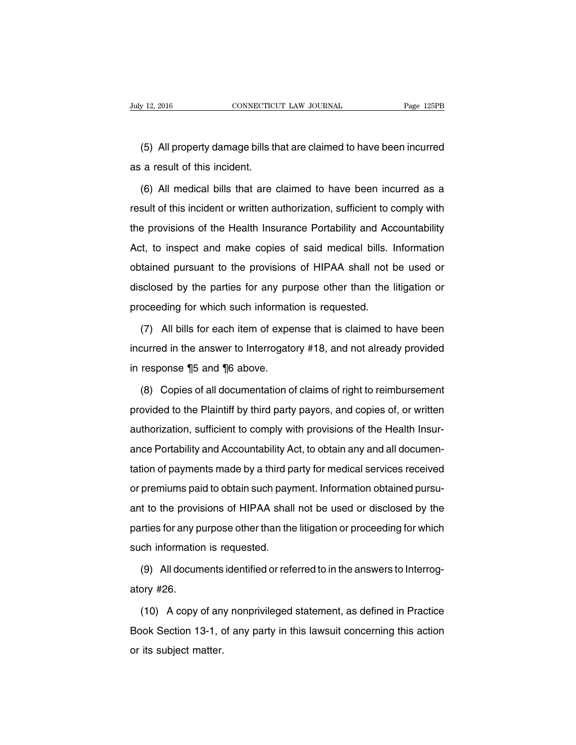(5) All property damage bills that are claimed to have been incurred as a result of this incident.

(6) All medical bills that are claimed to have been incurred as a result of this incident or written authorization, sufficient to comply with the provisions of the Health Insurance Portability and Accountability Act, to inspect and make copies of said medical bills. Information obtained pursuant to the provisions of HIPAA shall not be used or disclosed by the parties for any purpose other than the litigation or proceeding for which such information is requested.

(7) All bills for each item of expense that is claimed to have been incurred in the answer to Interrogatory #18, and not already provided in response ¶5 and ¶6 above.

(8) Copies of all documentation of claims of right to reimbursement provided to the Plaintiff by third party payors, and copies of, or written authorization, sufficient to comply with provisions of the Health Insurance Portability and Accountability Act, to obtain any and all documentation of payments made by a third party for medical services received or premiums paid to obtain such payment. Information obtained pursuant to the provisions of HIPAA shall not be used or disclosed by the parties for any purpose other than the litigation or proceeding for which such information is requested.

(9) All documents identified or referred to in the answers to Interrogatory #26.

(10) A copy of any nonprivileged statement, as defined in Practice Book Section 13-1, of any party in this lawsuit concerning this action or its subject matter.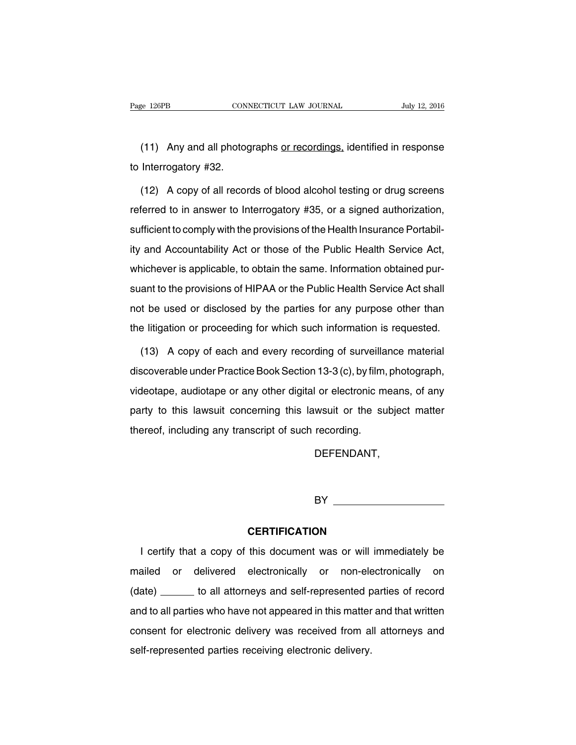(11) Any and all photographs or recordings, identified in response to Interrogatory #32.

(12) A copy of all records of blood alcohol testing or drug screens referred to in answer to Interrogatory #35, or a signed authorization, sufficient to comply with the provisions of the Health Insurance Portability and Accountability Act or those of the Public Health Service Act, whichever is applicable, to obtain the same. Information obtained pursuant to the provisions of HIPAA or the Public Health Service Act shall not be used or disclosed by the parties for any purpose other than the litigation or proceeding for which such information is requested.

(13) A copy of each and every recording of surveillance material discoverable under Practice Book Section 13-3 (c), by film, photograph, videotape, audiotape or any other digital or electronic means, of any party to this lawsuit concerning this lawsuit or the subject matter thereof, including any transcript of such recording.

DEFENDANT,

BY **BY** 

#### **CERTIFICATION**

I certify that a copy of this document was or will immediately be mailed or delivered electronically or non-electronically on (date) \_\_\_\_\_\_ to all attorneys and self-represented parties of record and to all parties who have not appeared in this matter and that written consent for electronic delivery was received from all attorneys and self-represented parties receiving electronic delivery.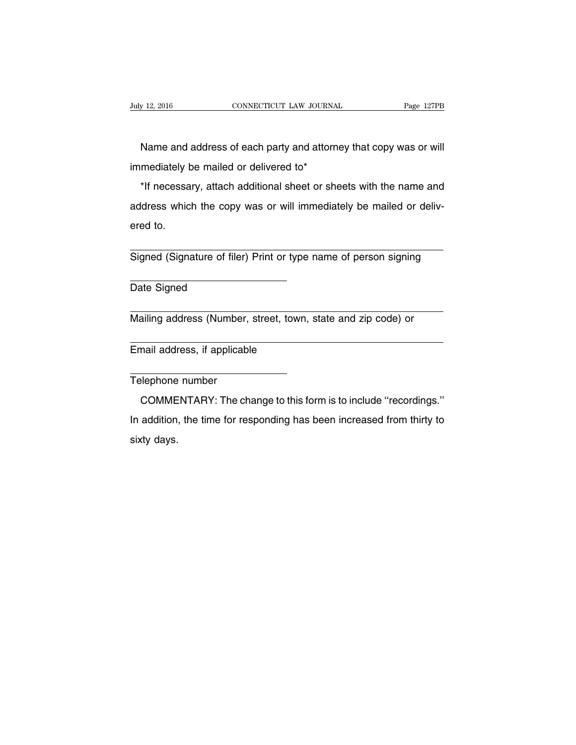Name and address of each party and attorney that copy was or will immediately be mailed or delivered to\*

\*If necessary, attach additional sheet or sheets with the name and address which the copy was or will immediately be mailed or delivered to.

Signed (Signature of filer) Print or type name of person signing

Date Signed

Mailing address (Number, street, town, state and zip code) or

Email address, if applicable

Telephone number

COMMENTARY: The change to this form is to include ''recordings.'' In addition, the time for responding has been increased from thirty to sixty days.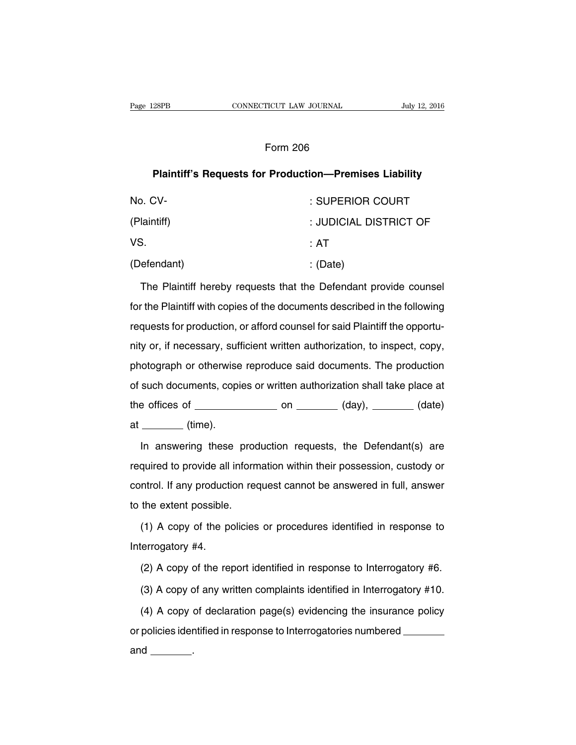#### Form 206

## **Plaintiff's Requests for Production—Premises Liability**

| No. CV-     | : SUPERIOR COURT       |
|-------------|------------------------|
| (Plaintiff) | : JUDICIAL DISTRICT OF |
| VS.         | ∶ AT                   |
| (Defendant) | : (Date)               |

The Plaintiff hereby requests that the Defendant provide counsel for the Plaintiff with copies of the documents described in the following requests for production, or afford counsel for said Plaintiff the opportunity or, if necessary, sufficient written authorization, to inspect, copy, photograph or otherwise reproduce said documents. The production of such documents, copies or written authorization shall take place at the offices of  $\_\_\_\_\_$  on  $\_\_\_\_\_$  (day),  $\_\_\_\_\_$  (date)  $at$  (time).

In answering these production requests, the Defendant(s) are required to provide all information within their possession, custody or control. If any production request cannot be answered in full, answer to the extent possible.

(1) A copy of the policies or procedures identified in response to Interrogatory #4.

(2) A copy of the report identified in response to Interrogatory #6.

(3) A copy of any written complaints identified in Interrogatory #10.

(4) A copy of declaration page(s) evidencing the insurance policy or policies identified in response to Interrogatories numbered

and  $\qquad \qquad$ .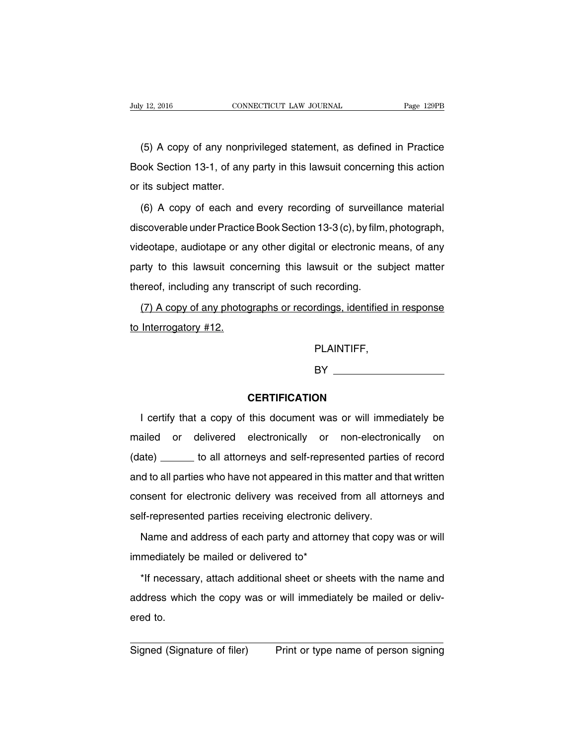(5) A copy of any nonprivileged statement, as defined in Practice Book Section 13-1, of any party in this lawsuit concerning this action or its subject matter.

(6) A copy of each and every recording of surveillance material discoverable under Practice Book Section 13-3 (c), by film, photograph, videotape, audiotape or any other digital or electronic means, of any party to this lawsuit concerning this lawsuit or the subject matter thereof, including any transcript of such recording.

(7) A copy of any photographs or recordings, identified in response to Interrogatory #12.

PLAINTIFF,

**BY** 

#### **CERTIFICATION**

I certify that a copy of this document was or will immediately be mailed or delivered electronically or non-electronically on (date) \_\_\_\_\_\_ to all attorneys and self-represented parties of record and to all parties who have not appeared in this matter and that written consent for electronic delivery was received from all attorneys and self-represented parties receiving electronic delivery.

Name and address of each party and attorney that copy was or will immediately be mailed or delivered to\*

\*If necessary, attach additional sheet or sheets with the name and address which the copy was or will immediately be mailed or delivered to.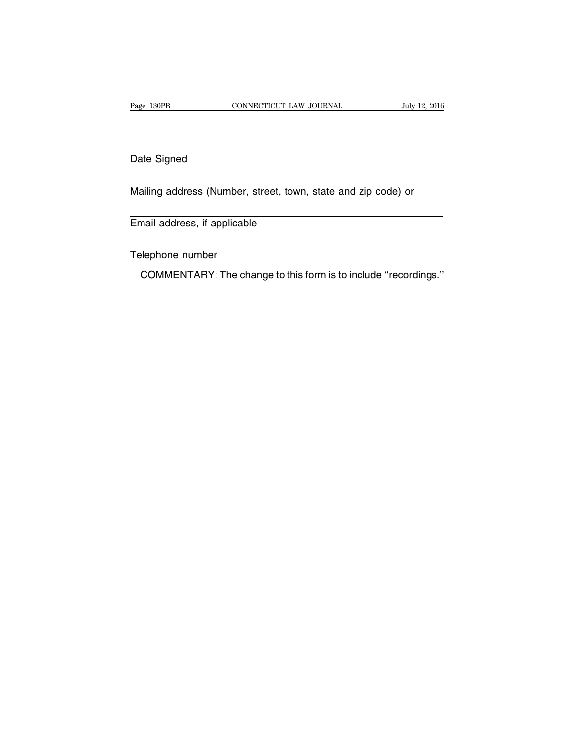Date Signed

Mailing address (Number, street, town, state and zip code) or

Email address, if applicable

Telephone number

COMMENTARY: The change to this form is to include ''recordings.''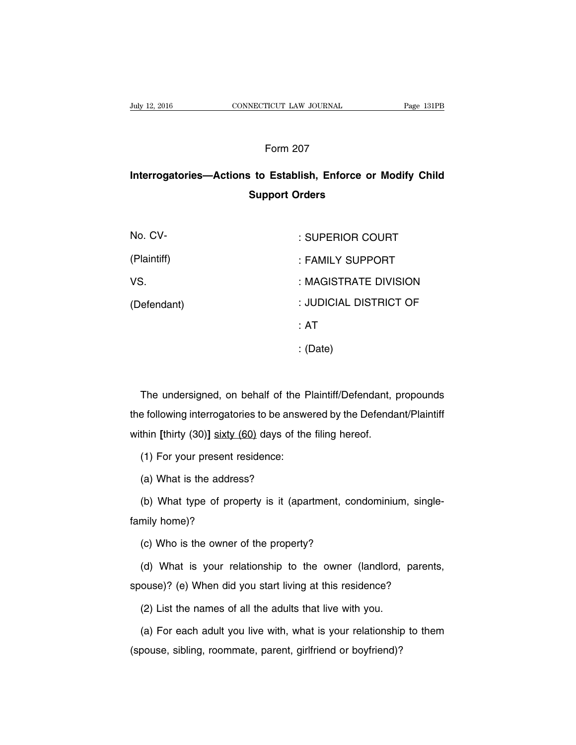## Form 207

# **Interrogatories—Actions to Establish, Enforce or Modify Child Support Orders**

| No. CV-     | : SUPERIOR COURT       |
|-------------|------------------------|
| (Plaintiff) | : FAMILY SUPPORT       |
| VS.         | : MAGISTRATE DIVISION  |
| (Defendant) | : JUDICIAL DISTRICT OF |
|             | ∴ AT                   |
|             | : (Date)               |

The undersigned, on behalf of the Plaintiff/Defendant, propounds the following interrogatories to be answered by the Defendant/Plaintiff within **[**thirty (30)**]** sixty (60) days of the filing hereof.

(1) For your present residence:

(a) What is the address?

(b) What type of property is it (apartment, condominium, singlefamily home)?

(c) Who is the owner of the property?

(d) What is your relationship to the owner (landlord, parents, spouse)? (e) When did you start living at this residence?

(2) List the names of all the adults that live with you.

(a) For each adult you live with, what is your relationship to them (spouse, sibling, roommate, parent, girlfriend or boyfriend)?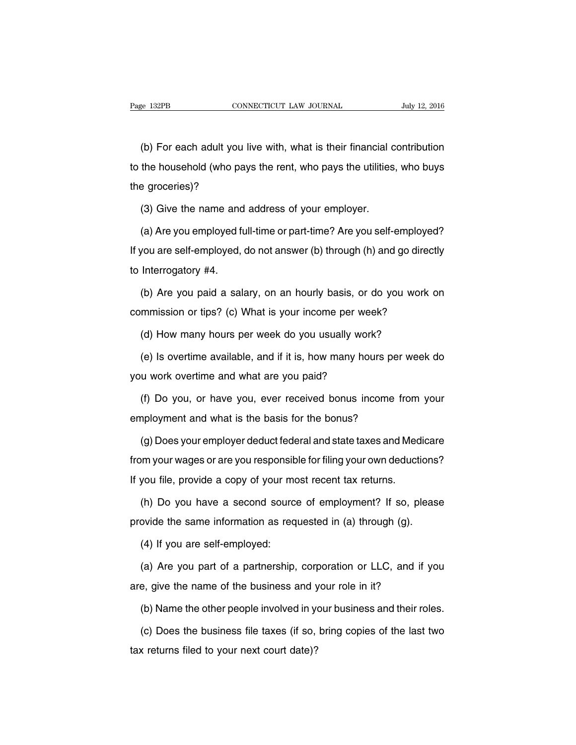(b) For each adult you live with, what is their financial contribution to the household (who pays the rent, who pays the utilities, who buys the groceries)?

(3) Give the name and address of your employer.

(a) Are you employed full-time or part-time? Are you self-employed? If you are self-employed, do not answer (b) through (h) and go directly to Interrogatory #4.

(b) Are you paid a salary, on an hourly basis, or do you work on commission or tips? (c) What is your income per week?

(d) How many hours per week do you usually work?

(e) Is overtime available, and if it is, how many hours per week do you work overtime and what are you paid?

(f) Do you, or have you, ever received bonus income from your employment and what is the basis for the bonus?

(g) Does your employer deduct federal and state taxes and Medicare from your wages or are you responsible for filing your own deductions? If you file, provide a copy of your most recent tax returns.

(h) Do you have a second source of employment? If so, please provide the same information as requested in (a) through (g).

(4) If you are self-employed:

(a) Are you part of a partnership, corporation or LLC, and if you are, give the name of the business and your role in it?

(b) Name the other people involved in your business and their roles.

(c) Does the business file taxes (if so, bring copies of the last two tax returns filed to your next court date)?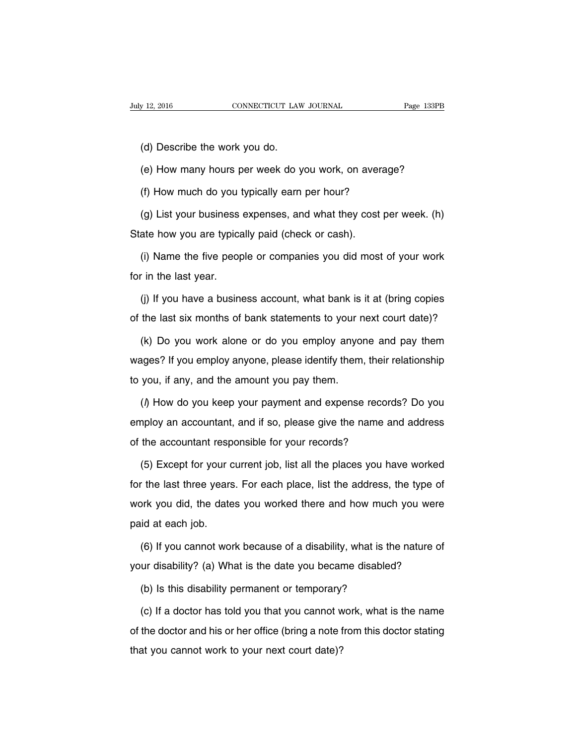(d) Describe the work you do.

(e) How many hours per week do you work, on average?

(f) How much do you typically earn per hour?

(g) List your business expenses, and what they cost per week. (h) State how you are typically paid (check or cash).

(i) Name the five people or companies you did most of your work for in the last year.

(j) If you have a business account, what bank is it at (bring copies of the last six months of bank statements to your next court date)?

(k) Do you work alone or do you employ anyone and pay them wages? If you employ anyone, please identify them, their relationship to you, if any, and the amount you pay them.

 $($ ) How do you keep your payment and expense records? Do you employ an accountant, and if so, please give the name and address of the accountant responsible for your records?

(5) Except for your current job, list all the places you have worked for the last three years. For each place, list the address, the type of work you did, the dates you worked there and how much you were paid at each job.

(6) If you cannot work because of a disability, what is the nature of your disability? (a) What is the date you became disabled?

(b) Is this disability permanent or temporary?

(c) If a doctor has told you that you cannot work, what is the name of the doctor and his or her office (bring a note from this doctor stating that you cannot work to your next court date)?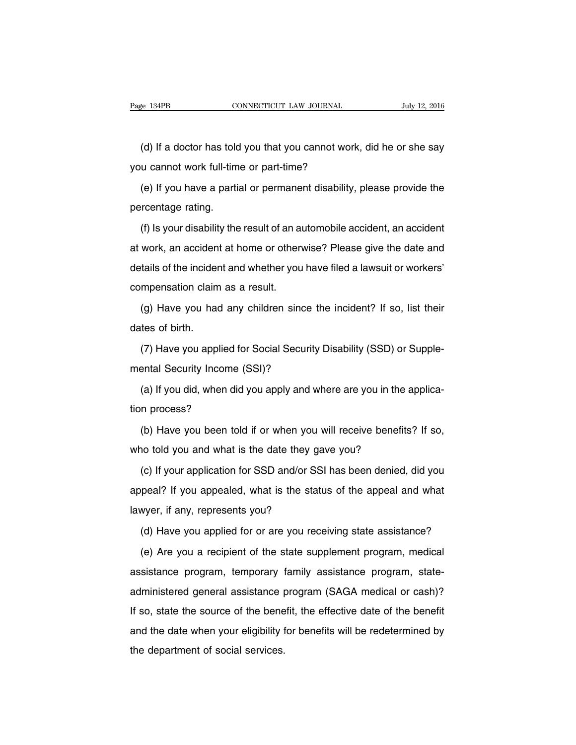(d) If a doctor has told you that you cannot work, did he or she say you cannot work full-time or part-time?

(e) If you have a partial or permanent disability, please provide the percentage rating.

(f) Is your disability the result of an automobile accident, an accident at work, an accident at home or otherwise? Please give the date and details of the incident and whether you have filed a lawsuit or workers' compensation claim as a result.

(g) Have you had any children since the incident? If so, list their dates of birth.

(7) Have you applied for Social Security Disability (SSD) or Supplemental Security Income (SSI)?

(a) If you did, when did you apply and where are you in the application process?

(b) Have you been told if or when you will receive benefits? If so, who told you and what is the date they gave you?

(c) If your application for SSD and/or SSI has been denied, did you appeal? If you appealed, what is the status of the appeal and what lawyer, if any, represents you?

(d) Have you applied for or are you receiving state assistance?

(e) Are you a recipient of the state supplement program, medical assistance program, temporary family assistance program, stateadministered general assistance program (SAGA medical or cash)? If so, state the source of the benefit, the effective date of the benefit and the date when your eligibility for benefits will be redetermined by the department of social services.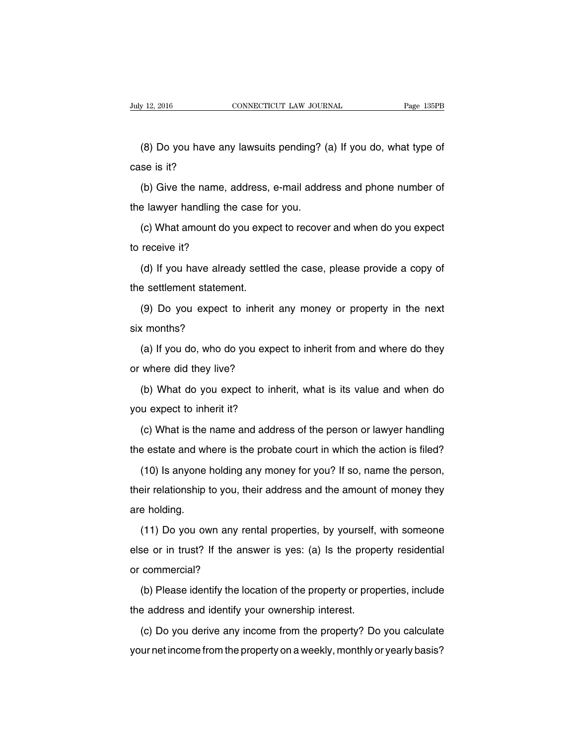(8) Do you have any lawsuits pending? (a) If you do, what type of case is it?

(b) Give the name, address, e-mail address and phone number of the lawyer handling the case for you.

(c) What amount do you expect to recover and when do you expect to receive it?

(d) If you have already settled the case, please provide a copy of the settlement statement.

(9) Do you expect to inherit any money or property in the next six months?

(a) If you do, who do you expect to inherit from and where do they or where did they live?

(b) What do you expect to inherit, what is its value and when do you expect to inherit it?

(c) What is the name and address of the person or lawyer handling the estate and where is the probate court in which the action is filed?

(10) Is anyone holding any money for you? If so, name the person, their relationship to you, their address and the amount of money they are holding.

(11) Do you own any rental properties, by yourself, with someone else or in trust? If the answer is yes: (a) Is the property residential or commercial?

(b) Please identify the location of the property or properties, include the address and identify your ownership interest.

(c) Do you derive any income from the property? Do you calculate your net income from the property on a weekly, monthly or yearly basis?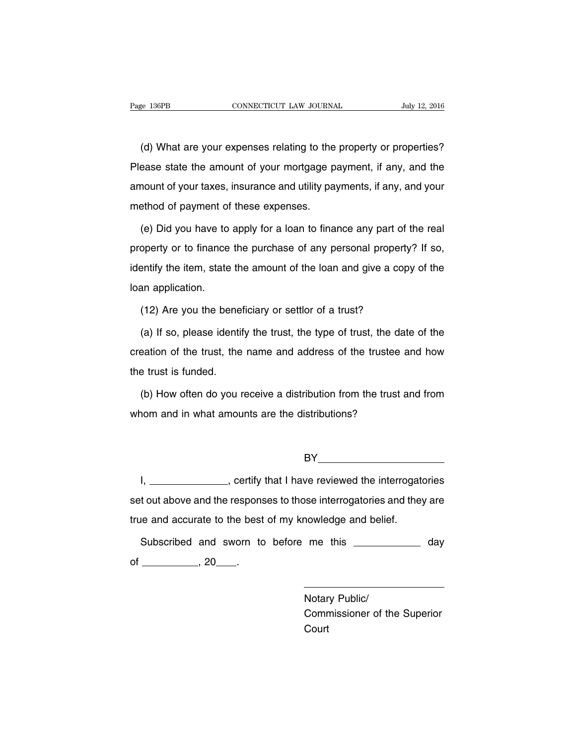(d) What are your expenses relating to the property or properties? Please state the amount of your mortgage payment, if any, and the amount of your taxes, insurance and utility payments, if any, and your method of payment of these expenses.

(e) Did you have to apply for a loan to finance any part of the real property or to finance the purchase of any personal property? If so, identify the item, state the amount of the loan and give a copy of the loan application.

(12) Are you the beneficiary or settlor of a trust?

(a) If so, please identify the trust, the type of trust, the date of the creation of the trust, the name and address of the trustee and how the trust is funded.

(b) How often do you receive a distribution from the trust and from whom and in what amounts are the distributions?

BY **Example 2008** 

I, \_\_\_\_\_\_\_\_\_\_\_\_\_\_\_, certify that I have reviewed the interrogatories set out above and the responses to those interrogatories and they are true and accurate to the best of my knowledge and belief.

Subscribed and sworn to before me this \_\_\_\_\_\_\_\_\_\_\_\_\_ day of  $\_\_\_\_\_\$ , 20  $\_\_\_\_\$ .

> Notary Public/ Commissioner of the Superior **Court**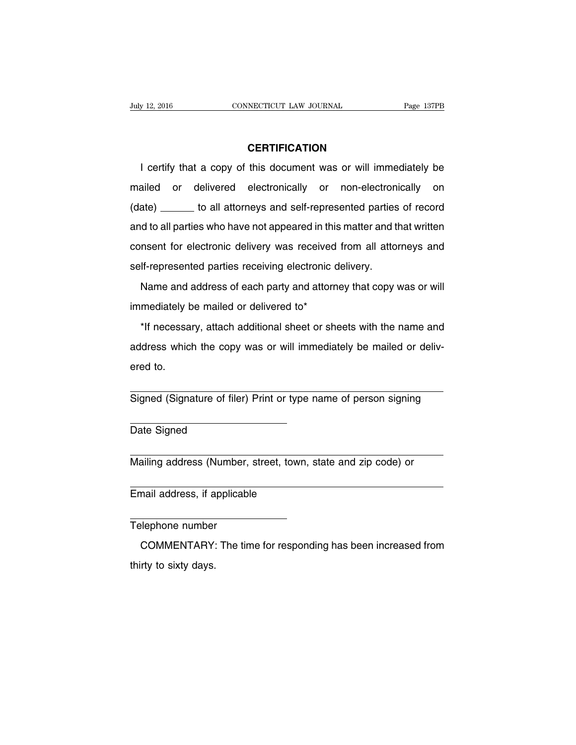#### **CERTIFICATION**

I certify that a copy of this document was or will immediately be mailed or delivered electronically or non-electronically on (date) \_\_\_\_\_\_ to all attorneys and self-represented parties of record and to all parties who have not appeared in this matter and that written consent for electronic delivery was received from all attorneys and self-represented parties receiving electronic delivery.

Name and address of each party and attorney that copy was or will immediately be mailed or delivered to\*

\*If necessary, attach additional sheet or sheets with the name and address which the copy was or will immediately be mailed or delivered to.

Signed (Signature of filer) Print or type name of person signing

Date Signed

Mailing address (Number, street, town, state and zip code) or

Email address, if applicable

Telephone number

COMMENTARY: The time for responding has been increased from thirty to sixty days.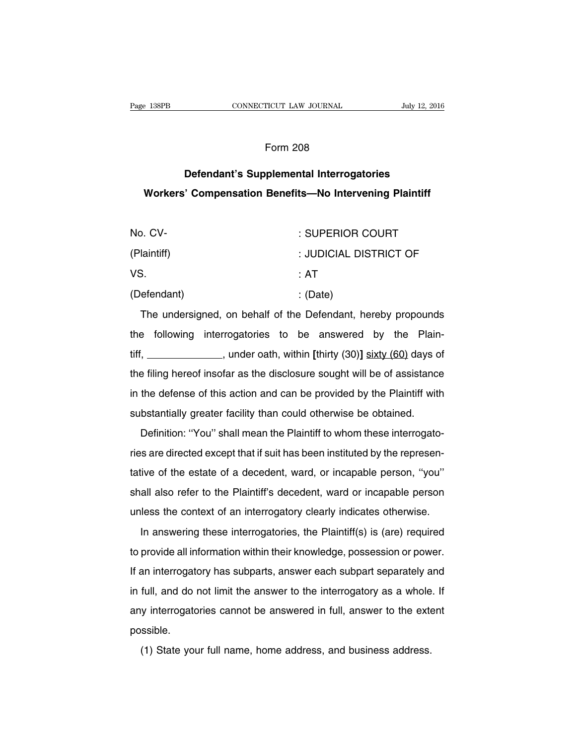#### Form 208

## **Defendant's Supplemental Interrogatories Workers' Compensation Benefits—No Intervening Plaintiff**

| No. CV-     | : SUPERIOR COURT       |
|-------------|------------------------|
| (Plaintiff) | : JUDICIAL DISTRICT OF |
| VS.         | :AT                    |
| (Defendant) | : (Date)               |

The undersigned, on behalf of the Defendant, hereby propounds the following interrogatories to be answered by the Plaintiff, , under oath, within **[**thirty (30)**]** sixty (60) days of the filing hereof insofar as the disclosure sought will be of assistance in the defense of this action and can be provided by the Plaintiff with substantially greater facility than could otherwise be obtained.

Definition: ''You'' shall mean the Plaintiff to whom these interrogatories are directed except that if suit has been instituted by the representative of the estate of a decedent, ward, or incapable person, ''you'' shall also refer to the Plaintiff's decedent, ward or incapable person unless the context of an interrogatory clearly indicates otherwise.

In answering these interrogatories, the Plaintiff(s) is (are) required to provide all information within their knowledge, possession or power. If an interrogatory has subparts, answer each subpart separately and in full, and do not limit the answer to the interrogatory as a whole. If any interrogatories cannot be answered in full, answer to the extent possible.

(1) State your full name, home address, and business address.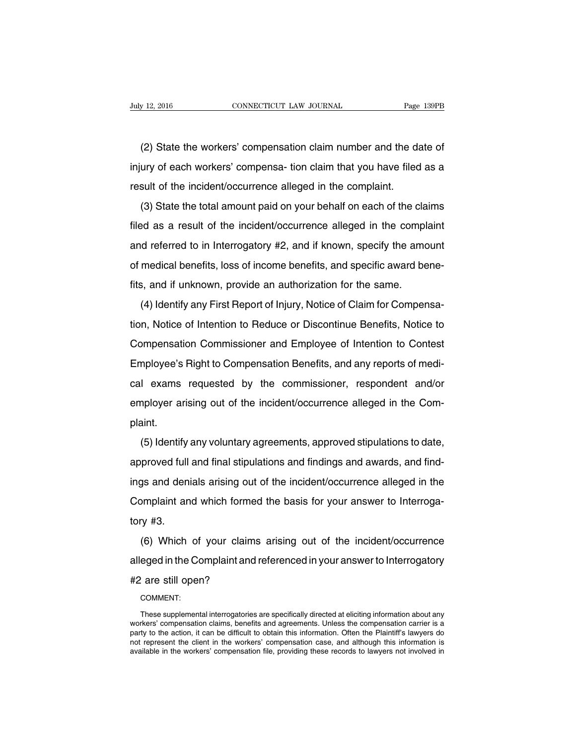(2) State the workers' compensation claim number and the date of injury of each workers' compensa- tion claim that you have filed as a result of the incident/occurrence alleged in the complaint.

(3) State the total amount paid on your behalf on each of the claims filed as a result of the incident/occurrence alleged in the complaint and referred to in Interrogatory #2, and if known, specify the amount of medical benefits, loss of income benefits, and specific award benefits, and if unknown, provide an authorization for the same.

(4) Identify any First Report of Injury, Notice of Claim for Compensation, Notice of Intention to Reduce or Discontinue Benefits, Notice to Compensation Commissioner and Employee of Intention to Contest Employee's Right to Compensation Benefits, and any reports of medical exams requested by the commissioner, respondent and/or employer arising out of the incident/occurrence alleged in the Complaint.

(5) Identify any voluntary agreements, approved stipulations to date, approved full and final stipulations and findings and awards, and findings and denials arising out of the incident/occurrence alleged in the Complaint and which formed the basis for your answer to Interrogatory #3.

(6) Which of your claims arising out of the incident/occurrence alleged in the Complaint and referenced in your answer to Interrogatory #2 are still open?

COMMENT:

These supplemental interrogatories are specifically directed at eliciting information about any workers' compensation claims, benefits and agreements. Unless the compensation carrier is a party to the action, it can be difficult to obtain this information. Often the Plaintiff's lawyers do not represent the client in the workers' compensation case, and although this information is available in the workers' compensation file, providing these records to lawyers not involved in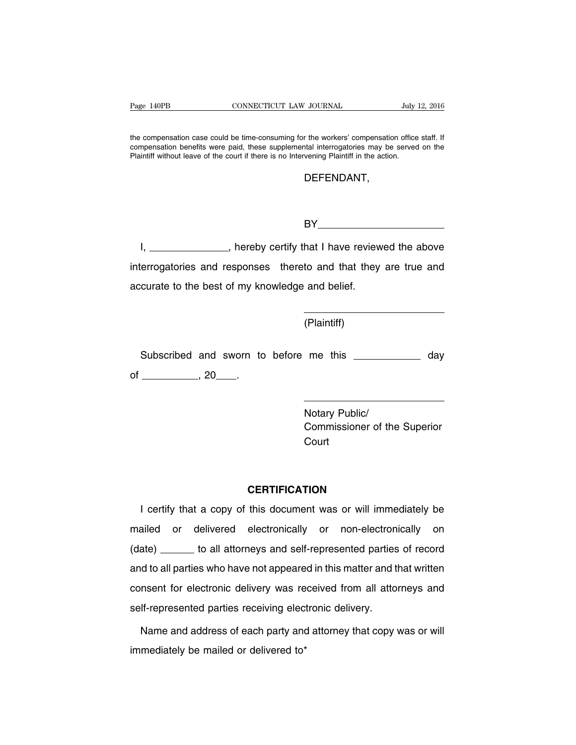the compensation case could be time-consuming for the workers' compensation office staff. If compensation benefits were paid, these supplemental interrogatories may be served on the Plaintiff without leave of the court if there is no Intervening Plaintiff in the action.

#### DEFENDANT,

**BY\_\_\_\_\_\_\_\_\_\_\_\_\_\_\_\_\_\_\_\_\_\_\_\_\_\_\_** 

I, \_\_\_\_\_\_\_\_\_\_\_\_\_\_, hereby certify that I have reviewed the above interrogatories and responses thereto and that they are true and accurate to the best of my knowledge and belief.

(Plaintiff)

Subscribed and sworn to before me this **constant and structure** day of  $\_\_\_\_\_\$ , 20 $\_\_\_\_\$ .

> Notary Public/ Commissioner of the Superior **Court**

### **CERTIFICATION**

I certify that a copy of this document was or will immediately be mailed or delivered electronically or non-electronically on (date) \_\_\_\_\_\_ to all attorneys and self-represented parties of record and to all parties who have not appeared in this matter and that written consent for electronic delivery was received from all attorneys and self-represented parties receiving electronic delivery.

Name and address of each party and attorney that copy was or will immediately be mailed or delivered to\*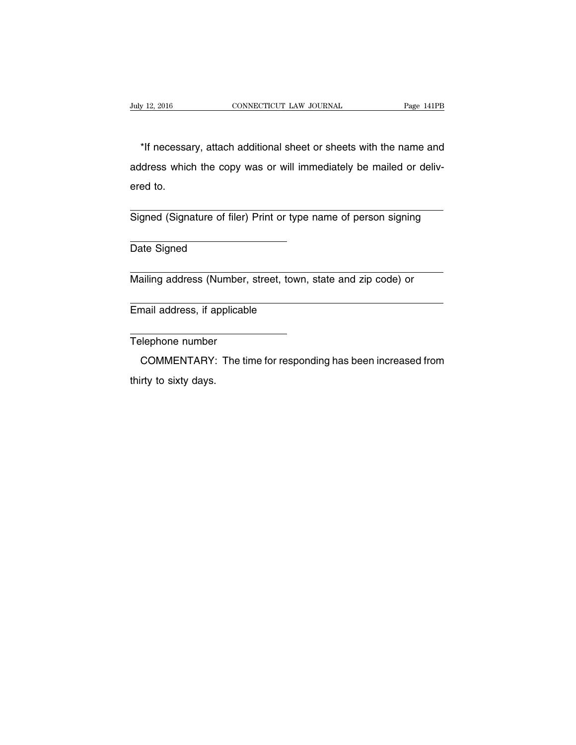\*If necessary, attach additional sheet or sheets with the name and address which the copy was or will immediately be mailed or delivered to.

Signed (Signature of filer) Print or type name of person signing

Date Signed

Mailing address (Number, street, town, state and zip code) or

Email address, if applicable

Telephone number

COMMENTARY: The time for responding has been increased from thirty to sixty days.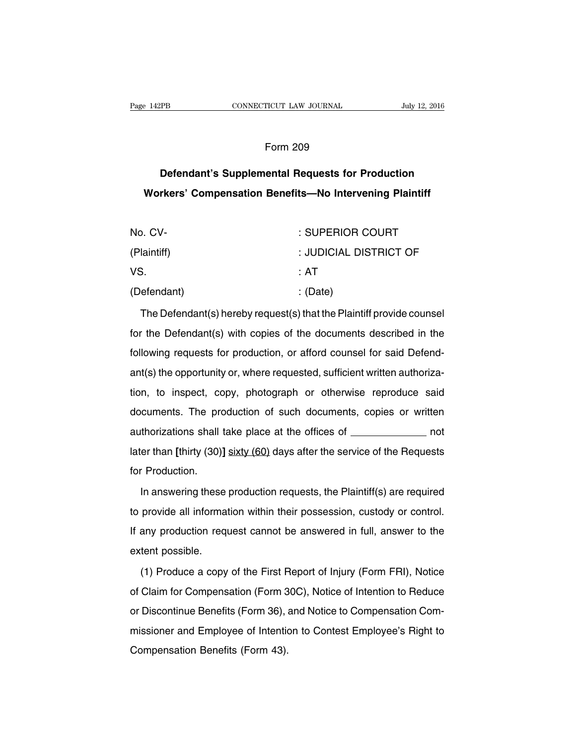## Form 209

# **Defendant's Supplemental Requests for Production Workers' Compensation Benefits—No Intervening Plaintiff**

| No. CV-     | : SUPERIOR COURT       |
|-------------|------------------------|
| (Plaintiff) | : JUDICIAL DISTRICT OF |
| VS.         | ∴ AT                   |
| (Defendant) | : (Date)               |

The Defendant(s) hereby request(s) that the Plaintiff provide counsel for the Defendant(s) with copies of the documents described in the following requests for production, or afford counsel for said Defendant(s) the opportunity or, where requested, sufficient written authorization, to inspect, copy, photograph or otherwise reproduce said documents. The production of such documents, copies or written authorizations shall take place at the offices of \_\_\_\_\_\_\_\_\_\_\_\_\_ not later than **[**thirty (30)**]** sixty (60) days after the service of the Requests for Production.

In answering these production requests, the Plaintiff(s) are required to provide all information within their possession, custody or control. If any production request cannot be answered in full, answer to the extent possible.

(1) Produce a copy of the First Report of Injury (Form FRI), Notice of Claim for Compensation (Form 30C), Notice of Intention to Reduce or Discontinue Benefits (Form 36), and Notice to Compensation Commissioner and Employee of Intention to Contest Employee's Right to Compensation Benefits (Form 43).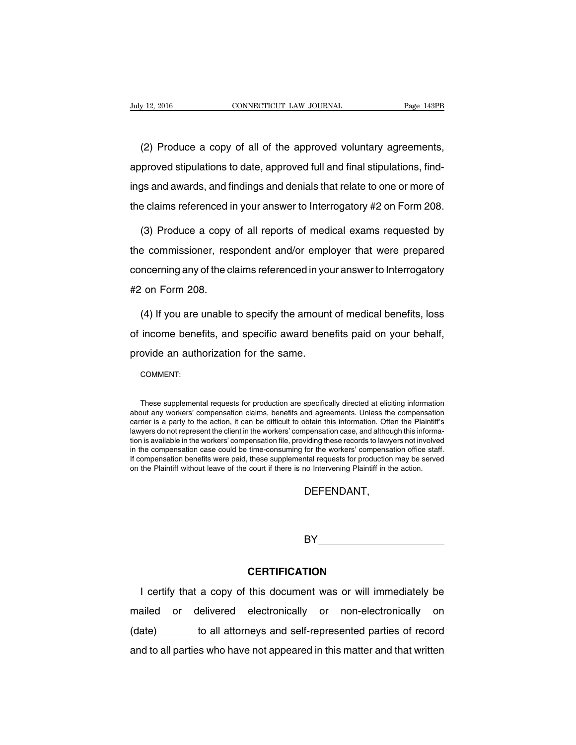(2) Produce a copy of all of the approved voluntary agreements, approved stipulations to date, approved full and final stipulations, findings and awards, and findings and denials that relate to one or more of the claims referenced in your answer to Interrogatory #2 on Form 208.

(3) Produce a copy of all reports of medical exams requested by the commissioner, respondent and/or employer that were prepared concerning any of the claims referenced in your answer to Interrogatory #2 on Form 208.

(4) If you are unable to specify the amount of medical benefits, loss of income benefits, and specific award benefits paid on your behalf, provide an authorization for the same.

COMMENT:

These supplemental requests for production are specifically directed at eliciting information about any workers' compensation claims, benefits and agreements. Unless the compensation carrier is a party to the action, it can be difficult to obtain this information. Often the Plaintiff's lawyers do not represent the client in the workers' compensation case, and although this information is available in the workers' compensation file, providing these records to lawyers not involved in the compensation case could be time-consuming for the workers' compensation office staff. If compensation benefits were paid, these supplemental requests for production may be served on the Plaintiff without leave of the court if there is no Intervening Plaintiff in the action.

DEFENDANT,

BY **BY** 

### **CERTIFICATION**

I certify that a copy of this document was or will immediately be mailed or delivered electronically or non-electronically on (date) to all attorneys and self-represented parties of record and to all parties who have not appeared in this matter and that written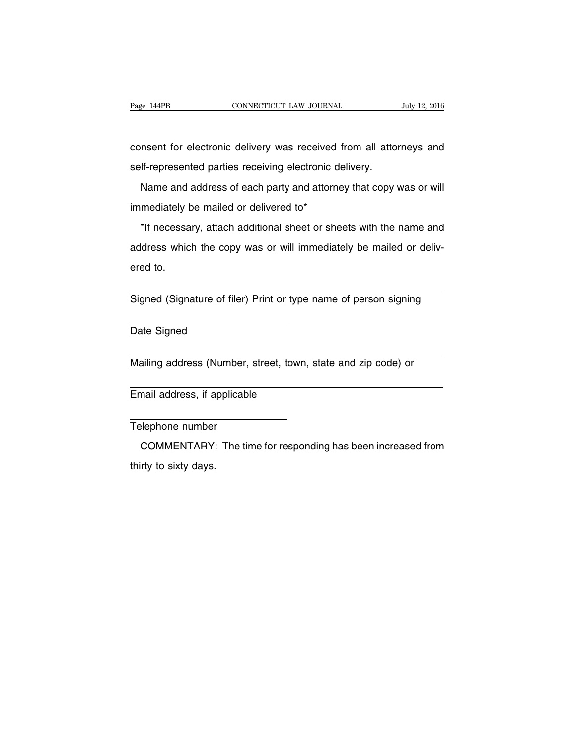consent for electronic delivery was received from all attorneys and self-represented parties receiving electronic delivery.

Name and address of each party and attorney that copy was or will immediately be mailed or delivered to\*

\*If necessary, attach additional sheet or sheets with the name and address which the copy was or will immediately be mailed or delivered to.

Signed (Signature of filer) Print or type name of person signing

Date Signed

Mailing address (Number, street, town, state and zip code) or

Email address, if applicable

Telephone number

COMMENTARY: The time for responding has been increased from thirty to sixty days.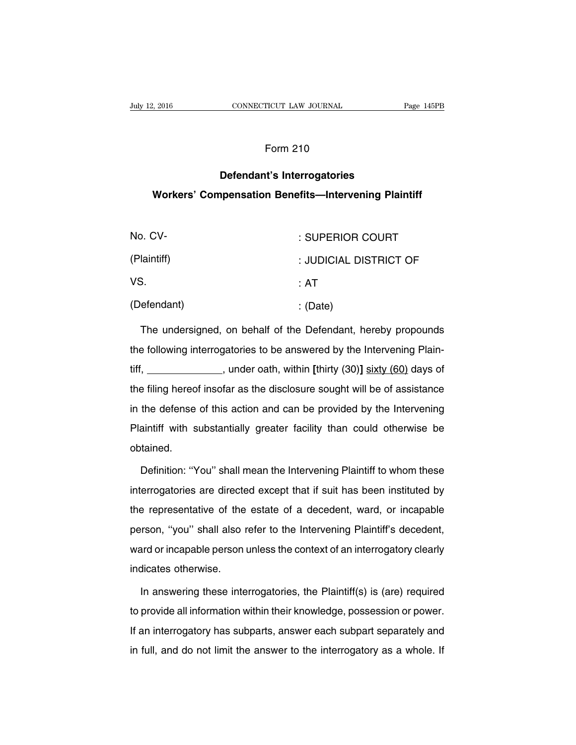## Form 210

## **Defendant's Interrogatories Workers' Compensation Benefits—Intervening Plaintiff**

| No. CV-     | : SUPERIOR COURT       |
|-------------|------------------------|
| (Plaintiff) | : JUDICIAL DISTRICT OF |
| VS.         | ∴ AT                   |
| (Defendant) | : (Date)               |

The undersigned, on behalf of the Defendant, hereby propounds the following interrogatories to be answered by the Intervening Plaintiff, , under oath, within **[**thirty (30)**]** sixty (60) days of the filing hereof insofar as the disclosure sought will be of assistance in the defense of this action and can be provided by the Intervening Plaintiff with substantially greater facility than could otherwise be obtained.

Definition: ''You'' shall mean the Intervening Plaintiff to whom these interrogatories are directed except that if suit has been instituted by the representative of the estate of a decedent, ward, or incapable person, ''you'' shall also refer to the Intervening Plaintiff's decedent, ward or incapable person unless the context of an interrogatory clearly indicates otherwise.

In answering these interrogatories, the Plaintiff(s) is (are) required to provide all information within their knowledge, possession or power. If an interrogatory has subparts, answer each subpart separately and in full, and do not limit the answer to the interrogatory as a whole. If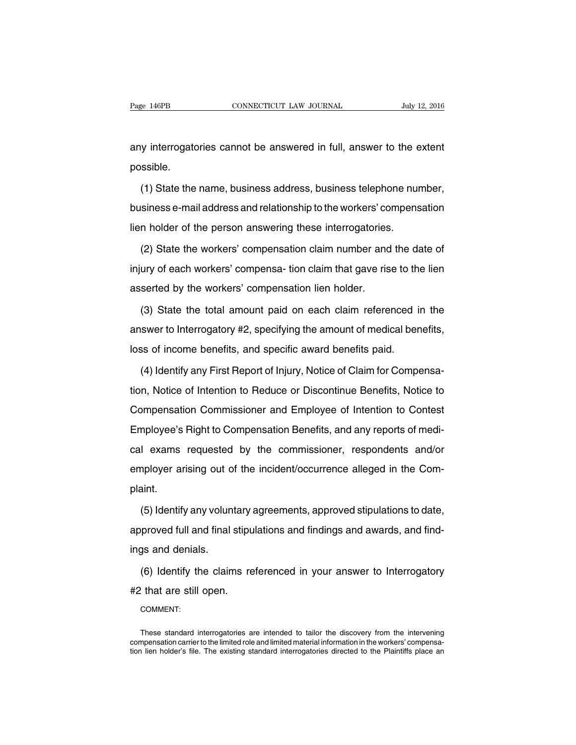any interrogatories cannot be answered in full, answer to the extent possible.

(1) State the name, business address, business telephone number, business e-mail address and relationship to the workers' compensation lien holder of the person answering these interrogatories.

(2) State the workers' compensation claim number and the date of injury of each workers' compensa- tion claim that gave rise to the lien asserted by the workers' compensation lien holder.

(3) State the total amount paid on each claim referenced in the answer to Interrogatory #2, specifying the amount of medical benefits, loss of income benefits, and specific award benefits paid.

(4) Identify any First Report of Injury, Notice of Claim for Compensation, Notice of Intention to Reduce or Discontinue Benefits, Notice to Compensation Commissioner and Employee of Intention to Contest Employee's Right to Compensation Benefits, and any reports of medical exams requested by the commissioner, respondents and/or employer arising out of the incident/occurrence alleged in the Complaint.

(5) Identify any voluntary agreements, approved stipulations to date, approved full and final stipulations and findings and awards, and findings and denials.

(6) Identify the claims referenced in your answer to Interrogatory #2 that are still open.

COMMENT:

These standard interrogatories are intended to tailor the discovery from the intervening compensation carrier to the limited role and limited material information in the workers' compensation lien holder's file. The existing standard interrogatories directed to the Plaintiffs place an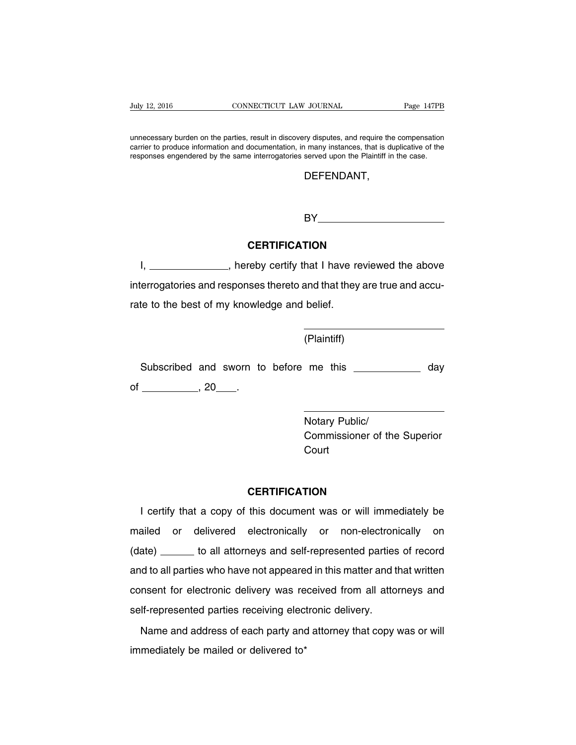unnecessary burden on the parties, result in discovery disputes, and require the compensation carrier to produce information and documentation, in many instances, that is duplicative of the responses engendered by the same interrogatories served upon the Plaintiff in the case.

### DEFENDANT,

BY **BY** 

### **CERTIFICATION**

I, \_\_\_\_\_\_\_\_\_\_\_\_\_\_, hereby certify that I have reviewed the above interrogatories and responses thereto and that they are true and accurate to the best of my knowledge and belief.

(Plaintiff)

Subscribed and sworn to before me this \_\_\_\_\_\_\_\_\_\_\_\_\_ day of  $\_\_\_\_\$ , 20  $\_\_\_\$ .

> Notary Public/ Commissioner of the Superior Court

### **CERTIFICATION**

I certify that a copy of this document was or will immediately be mailed or delivered electronically or non-electronically on (date) \_\_\_\_\_\_ to all attorneys and self-represented parties of record and to all parties who have not appeared in this matter and that written consent for electronic delivery was received from all attorneys and self-represented parties receiving electronic delivery.

Name and address of each party and attorney that copy was or will immediately be mailed or delivered to\*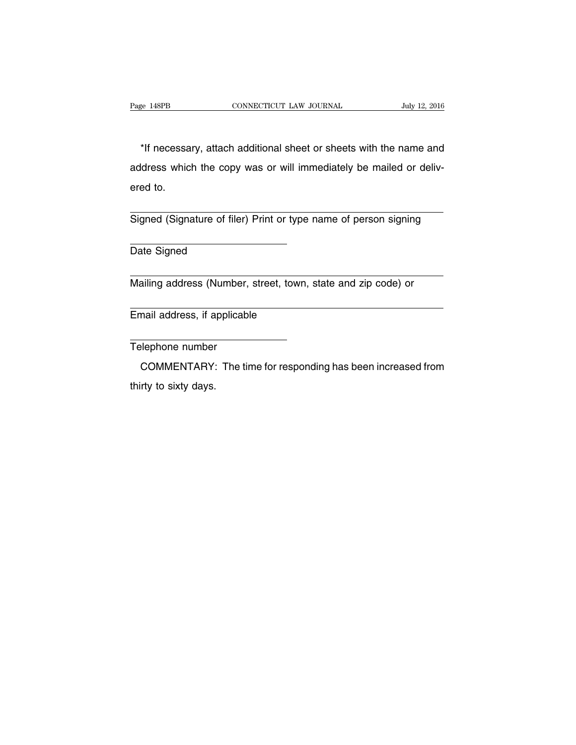\*If necessary, attach additional sheet or sheets with the name and address which the copy was or will immediately be mailed or delivered to.

Signed (Signature of filer) Print or type name of person signing

Date Signed

Mailing address (Number, street, town, state and zip code) or

Email address, if applicable

Telephone number

COMMENTARY: The time for responding has been increased from thirty to sixty days.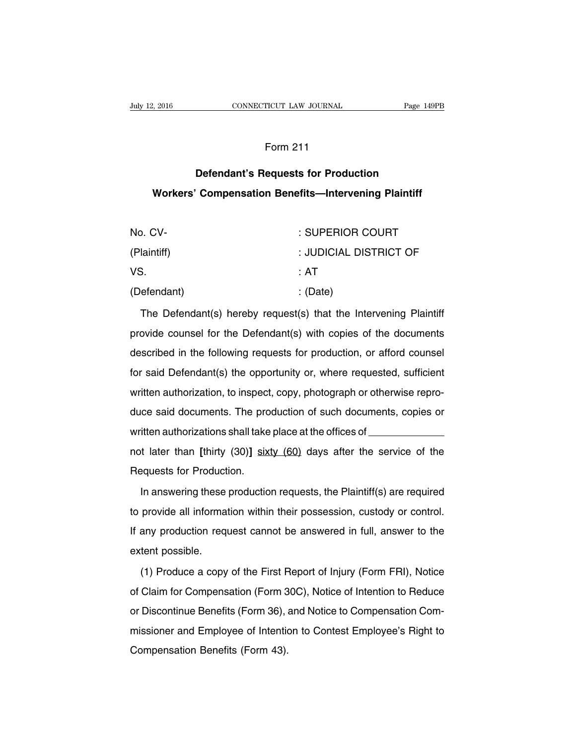## Form 211

# **Defendant's Requests for Production Workers' Compensation Benefits—Intervening Plaintiff**

| No. CV-     | : SUPERIOR COURT       |
|-------------|------------------------|
| (Plaintiff) | : JUDICIAL DISTRICT OF |
| VS.         | ∴ AT                   |
| (Defendant) | : (Date)               |

The Defendant(s) hereby request(s) that the Intervening Plaintiff provide counsel for the Defendant(s) with copies of the documents described in the following requests for production, or afford counsel for said Defendant(s) the opportunity or, where requested, sufficient written authorization, to inspect, copy, photograph or otherwise reproduce said documents. The production of such documents, copies or written authorizations shall take place at the offices of not later than **[**thirty (30)**]** sixty (60) days after the service of the Requests for Production.

In answering these production requests, the Plaintiff(s) are required to provide all information within their possession, custody or control. If any production request cannot be answered in full, answer to the extent possible.

(1) Produce a copy of the First Report of Injury (Form FRI), Notice of Claim for Compensation (Form 30C), Notice of Intention to Reduce or Discontinue Benefits (Form 36), and Notice to Compensation Commissioner and Employee of Intention to Contest Employee's Right to Compensation Benefits (Form 43).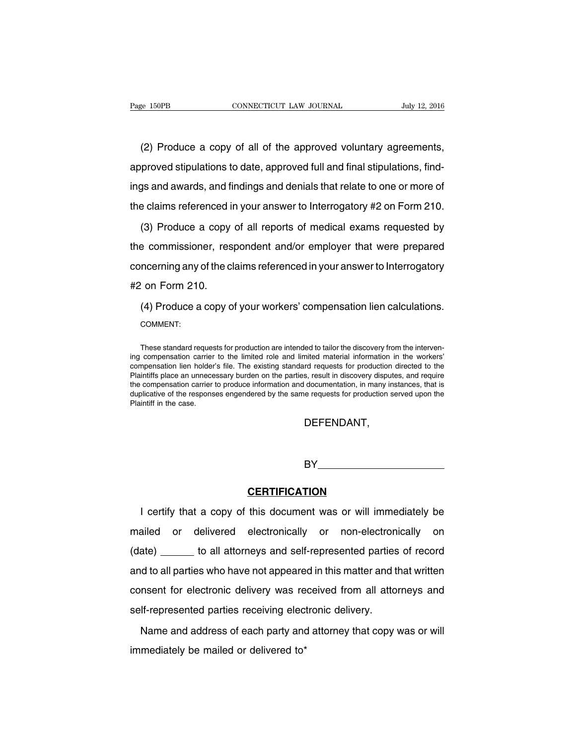(2) Produce a copy of all of the approved voluntary agreements, approved stipulations to date, approved full and final stipulations, findings and awards, and findings and denials that relate to one or more of the claims referenced in your answer to Interrogatory #2 on Form 210.

(3) Produce a copy of all reports of medical exams requested by the commissioner, respondent and/or employer that were prepared concerning any of the claims referenced in your answer to Interrogatory #2 on Form 210.

(4) Produce a copy of your workers' compensation lien calculations. COMMENT:

These standard requests for production are intended to tailor the discovery from the intervening compensation carrier to the limited role and limited material information in the workers' compensation lien holder's file. The existing standard requests for production directed to the Plaintiffs place an unnecessary burden on the parties, result in discovery disputes, and require the compensation carrier to produce information and documentation, in many instances, that is duplicative of the responses engendered by the same requests for production served upon the Plaintiff in the case.

DEFENDANT,

BY **Example 1999** 

### **CERTIFICATION**

I certify that a copy of this document was or will immediately be mailed or delivered electronically or non-electronically on (date) to all attorneys and self-represented parties of record and to all parties who have not appeared in this matter and that written consent for electronic delivery was received from all attorneys and self-represented parties receiving electronic delivery.

Name and address of each party and attorney that copy was or will immediately be mailed or delivered to\*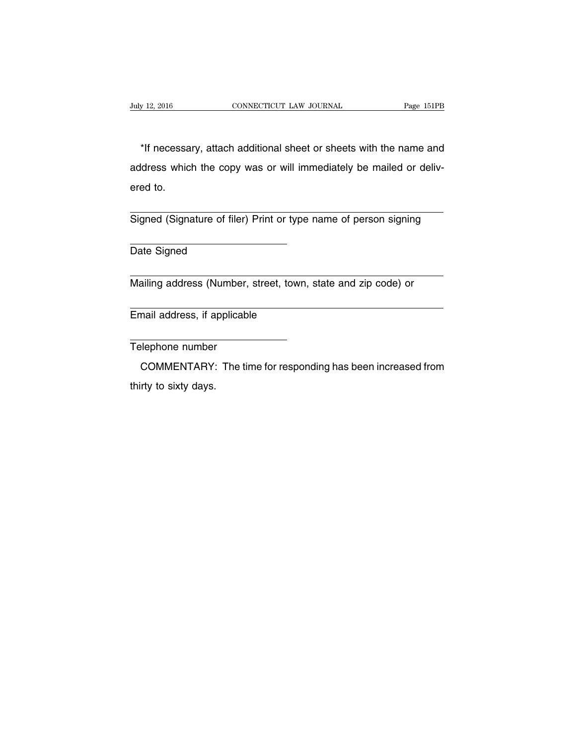\*If necessary, attach additional sheet or sheets with the name and address which the copy was or will immediately be mailed or delivered to.

Signed (Signature of filer) Print or type name of person signing

Date Signed

Mailing address (Number, street, town, state and zip code) or

Email address, if applicable

Telephone number

COMMENTARY: The time for responding has been increased from thirty to sixty days.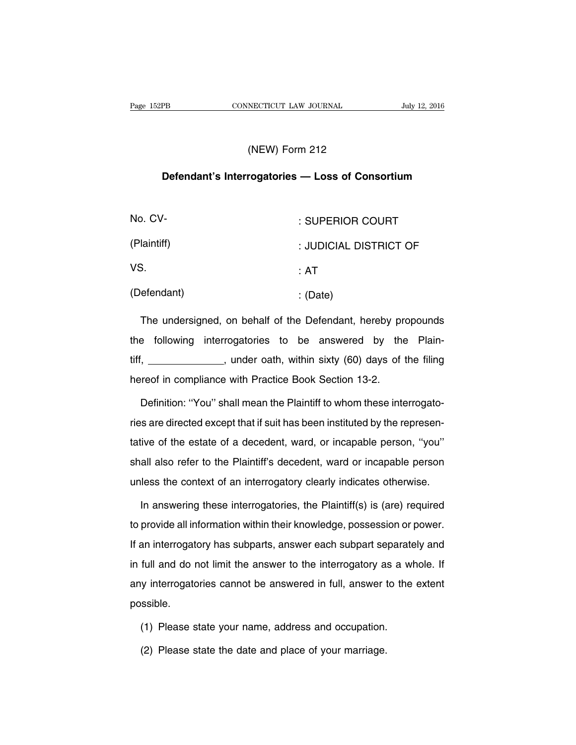### (NEW) Form 212

### **Defendant's Interrogatories — Loss of Consortium**

| No. CV-     | : SUPERIOR COURT       |
|-------------|------------------------|
| (Plaintiff) | : JUDICIAL DISTRICT OF |
| VS.         | :AT                    |
| (Defendant) | : $(Date)$             |

The undersigned, on behalf of the Defendant, hereby propounds the following interrogatories to be answered by the Plaintiff, \_\_\_\_\_\_\_\_\_\_\_\_\_, under oath, within sixty (60) days of the filing hereof in compliance with Practice Book Section 13-2.

Definition: ''You'' shall mean the Plaintiff to whom these interrogatories are directed except that if suit has been instituted by the representative of the estate of a decedent, ward, or incapable person, ''you'' shall also refer to the Plaintiff's decedent, ward or incapable person unless the context of an interrogatory clearly indicates otherwise.

In answering these interrogatories, the Plaintiff(s) is (are) required to provide all information within their knowledge, possession or power. If an interrogatory has subparts, answer each subpart separately and in full and do not limit the answer to the interrogatory as a whole. If any interrogatories cannot be answered in full, answer to the extent possible.

- (1) Please state your name, address and occupation.
- (2) Please state the date and place of your marriage.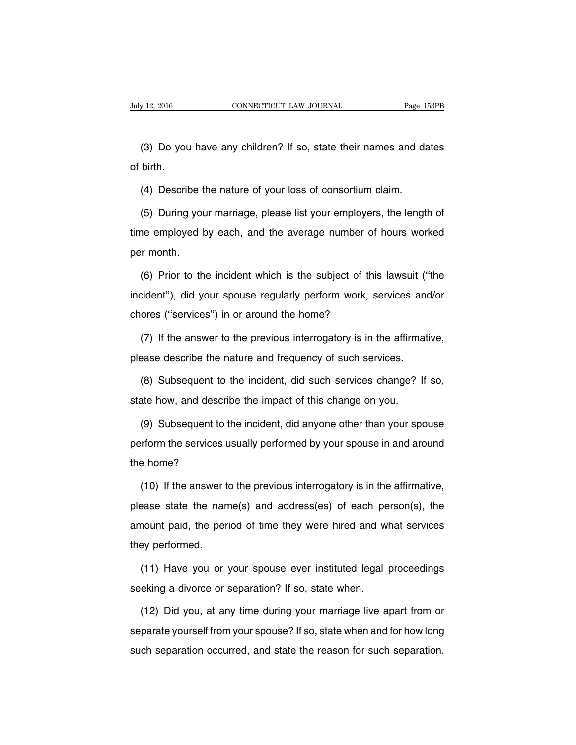(3) Do you have any children? If so, state their names and dates of birth.

(4) Describe the nature of your loss of consortium claim.

(5) During your marriage, please list your employers, the length of time employed by each, and the average number of hours worked per month.

(6) Prior to the incident which is the subject of this lawsuit (''the incident''), did your spouse regularly perform work, services and/or chores (''services'') in or around the home?

(7) If the answer to the previous interrogatory is in the affirmative, please describe the nature and frequency of such services.

(8) Subsequent to the incident, did such services change? If so, state how, and describe the impact of this change on you.

(9) Subsequent to the incident, did anyone other than your spouse perform the services usually performed by your spouse in and around the home?

(10) If the answer to the previous interrogatory is in the affirmative, please state the name(s) and address(es) of each person(s), the amount paid, the period of time they were hired and what services they performed.

(11) Have you or your spouse ever instituted legal proceedings seeking a divorce or separation? If so, state when.

(12) Did you, at any time during your marriage live apart from or separate yourself from your spouse? If so, state when and for how long such separation occurred, and state the reason for such separation.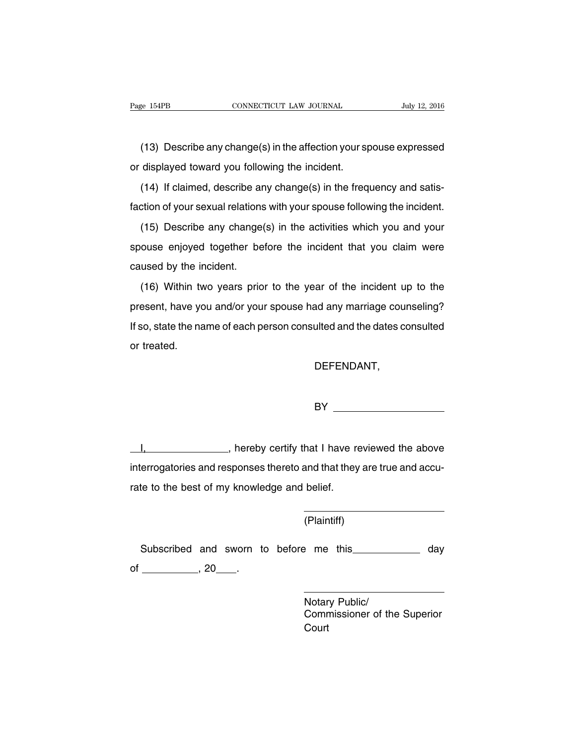(13) Describe any change(s) in the affection your spouse expressed or displayed toward you following the incident.

(14) If claimed, describe any change(s) in the frequency and satisfaction of your sexual relations with your spouse following the incident.

(15) Describe any change(s) in the activities which you and your spouse enjoyed together before the incident that you claim were caused by the incident.

(16) Within two years prior to the year of the incident up to the present, have you and/or your spouse had any marriage counseling? If so, state the name of each person consulted and the dates consulted or treated.

DEFENDANT,

BY **BY Example 1999** 

I, 1. **I** hereby certify that I have reviewed the above interrogatories and responses thereto and that they are true and accurate to the best of my knowledge and belief.

(Plaintiff)

Subscribed and sworn to before me this \_\_\_\_\_\_\_\_\_\_\_ day of  $\frac{1}{20}$ , 20  $\frac{1}{20}$ .

> Notary Public/ Commissioner of the Superior Court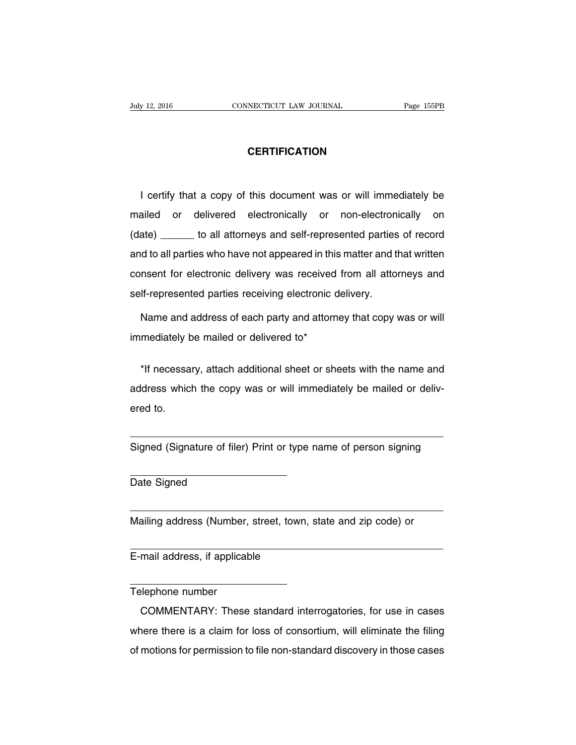#### **CERTIFICATION**

I certify that a copy of this document was or will immediately be mailed or delivered electronically or non-electronically on (date) \_\_\_\_\_\_ to all attorneys and self-represented parties of record and to all parties who have not appeared in this matter and that written consent for electronic delivery was received from all attorneys and self-represented parties receiving electronic delivery.

Name and address of each party and attorney that copy was or will immediately be mailed or delivered to\*

\*If necessary, attach additional sheet or sheets with the name and address which the copy was or will immediately be mailed or delivered to.

Signed (Signature of filer) Print or type name of person signing

Date Signed

Mailing address (Number, street, town, state and zip code) or

E-mail address, if applicable

Telephone number

COMMENTARY: These standard interrogatories, for use in cases where there is a claim for loss of consortium, will eliminate the filing of motions for permission to file non-standard discovery in those cases